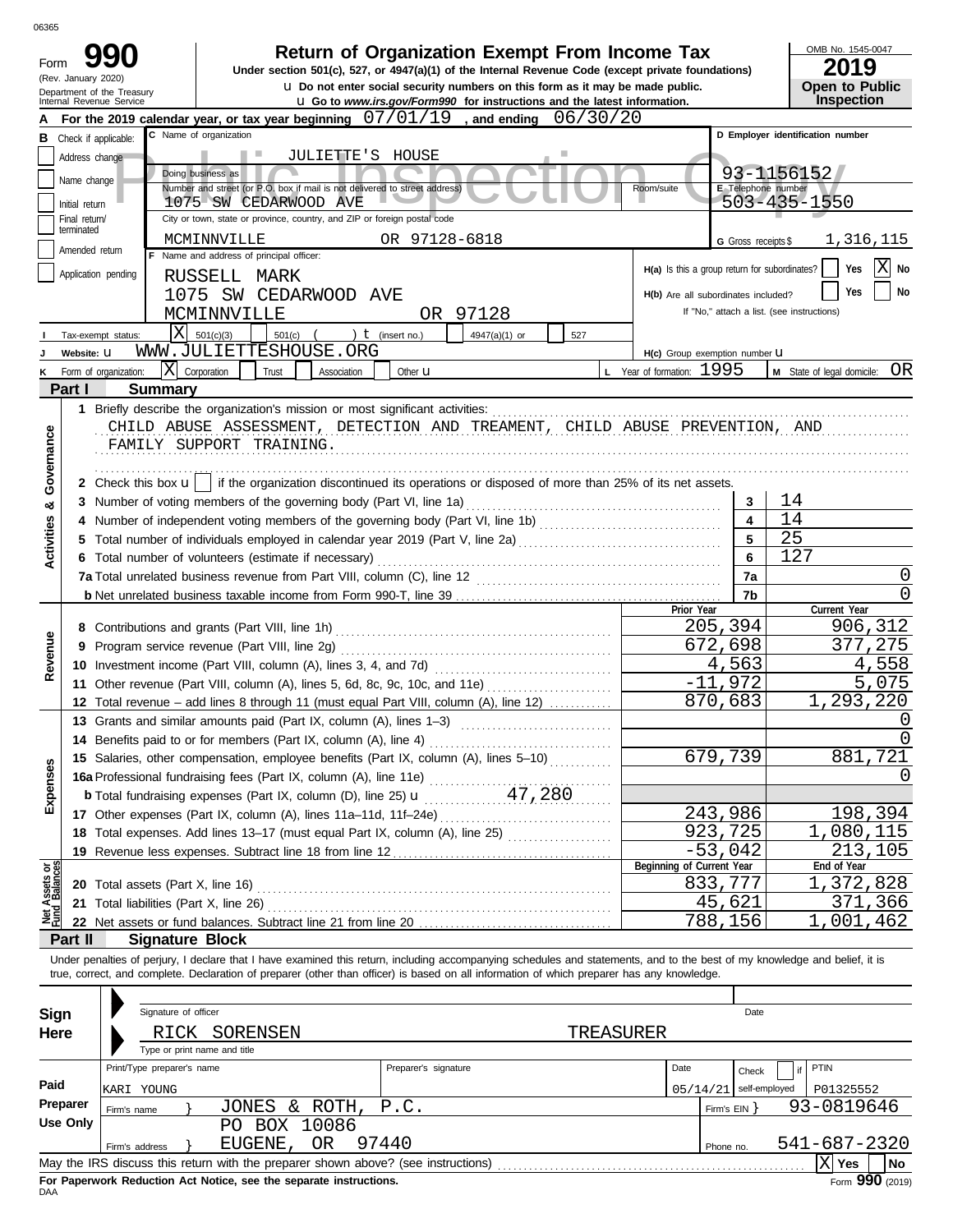| 06365             |                               |                                                                            |                                                                                                                                                                                                                                                                                                                          |                                                                                                                                                                         |                         |                                               |                         |                                            |
|-------------------|-------------------------------|----------------------------------------------------------------------------|--------------------------------------------------------------------------------------------------------------------------------------------------------------------------------------------------------------------------------------------------------------------------------------------------------------------------|-------------------------------------------------------------------------------------------------------------------------------------------------------------------------|-------------------------|-----------------------------------------------|-------------------------|--------------------------------------------|
| Form              | (Rev. January 2020)           |                                                                            | Under section 501(c), 527, or 4947(a)(1) of the Internal Revenue Code (except private foundations)                                                                                                                                                                                                                       | <b>Return of Organization Exempt From Income Tax</b>                                                                                                                    |                         |                                               |                         | OMB No. 1545-0047<br>2019                  |
|                   |                               | Department of the Treasury<br>Internal Revenue Service                     |                                                                                                                                                                                                                                                                                                                          | <b>u</b> Do not enter social security numbers on this form as it may be made public.<br><b>u</b> Go to www.irs.gov/Form990 for instructions and the latest information. |                         |                                               |                         | <b>Open to Public</b><br>Inspection        |
|                   |                               |                                                                            | For the 2019 calendar year, or tax year beginning $07/01/19$                                                                                                                                                                                                                                                             | , and ending                                                                                                                                                            | 06/30/20                |                                               |                         |                                            |
|                   | <b>B</b> Check if applicable: |                                                                            | C Name of organization                                                                                                                                                                                                                                                                                                   |                                                                                                                                                                         |                         |                                               |                         | D Employer identification number           |
|                   | Address change                |                                                                            | Ш<br>JULIETTE 'S                                                                                                                                                                                                                                                                                                         | HOUSE                                                                                                                                                                   |                         |                                               |                         |                                            |
|                   |                               |                                                                            | Doing business as                                                                                                                                                                                                                                                                                                        |                                                                                                                                                                         |                         |                                               |                         | 93-1156152                                 |
|                   | Name change                   | Number and street (or P.O. box if mail is not delivered to street address) | E Telephone number                                                                                                                                                                                                                                                                                                       |                                                                                                                                                                         |                         |                                               |                         |                                            |
|                   | Initial return                |                                                                            | 1075 SW CEDARWOOD AVE                                                                                                                                                                                                                                                                                                    |                                                                                                                                                                         |                         |                                               |                         | 503-435-1550                               |
|                   | Final return/<br>terminated   |                                                                            | City or town, state or province, country, and ZIP or foreign postal code                                                                                                                                                                                                                                                 |                                                                                                                                                                         |                         |                                               |                         |                                            |
|                   | Amended return                |                                                                            | MCMINNVILLE                                                                                                                                                                                                                                                                                                              | OR 97128-6818                                                                                                                                                           |                         |                                               | G Gross receipts \$     | 1,316,115                                  |
|                   |                               |                                                                            | F Name and address of principal officer:                                                                                                                                                                                                                                                                                 |                                                                                                                                                                         |                         | H(a) Is this a group return for subordinates? |                         | Χ<br>Yes<br>No                             |
|                   |                               | Application pending                                                        | RUSSELL<br>MARK                                                                                                                                                                                                                                                                                                          |                                                                                                                                                                         |                         |                                               |                         |                                            |
|                   |                               | 1075                                                                       | SW CEDARWOOD AVE                                                                                                                                                                                                                                                                                                         |                                                                                                                                                                         |                         | H(b) Are all subordinates included?           |                         | <b>No</b><br>Yes                           |
|                   |                               |                                                                            | MCMINNVILLE                                                                                                                                                                                                                                                                                                              | OR 97128                                                                                                                                                                |                         |                                               |                         | If "No," attach a list. (see instructions) |
|                   |                               | $\overline{\text{X}}$<br>Tax-exempt status:                                | 501(c)(3)<br>501(c)                                                                                                                                                                                                                                                                                                      | ) $t$ (insert no.)<br>4947(a)(1) or                                                                                                                                     | 527                     |                                               |                         |                                            |
|                   | Website: U                    |                                                                            | WWW.JULIETTESHOUSE.ORG                                                                                                                                                                                                                                                                                                   |                                                                                                                                                                         |                         | H(c) Group exemption number LI                |                         |                                            |
| Κ                 |                               | lxl<br>Form of organization:                                               | Corporation<br>Trust<br>Association                                                                                                                                                                                                                                                                                      | Other <b>u</b>                                                                                                                                                          |                         | L Year of formation: 1995                     |                         | OR<br>M State of legal domicile:           |
|                   | Part I                        | <b>Summary</b>                                                             |                                                                                                                                                                                                                                                                                                                          |                                                                                                                                                                         |                         |                                               |                         |                                            |
| Governance        |                               |                                                                            | CHILD ABUSE ASSESSMENT, DETECTION AND TREAMENT, CHILD ABUSE PREVENTION, AND<br>FAMILY SUPPORT TRAINING.<br>2 Check this box $\mathbf{u}$   if the organization discontinued its operations or disposed of more than 25% of its net assets.                                                                               |                                                                                                                                                                         |                         |                                               |                         |                                            |
|                   |                               |                                                                            | 3 Number of voting members of the governing body (Part VI, line 1a)                                                                                                                                                                                                                                                      |                                                                                                                                                                         |                         |                                               | 3                       | 14                                         |
| ಯ                 |                               |                                                                            | 4 Number of independent voting members of the governing body (Part VI, line 1b) [[[[[[[[[[[[[[[[[[[[[[[[[[[[[[                                                                                                                                                                                                           |                                                                                                                                                                         |                         |                                               | $\overline{\mathbf{4}}$ | 14                                         |
|                   |                               |                                                                            | 5 Total number of individuals employed in calendar year 2019 (Part V, line 2a) [[[[[[[[[[[[[[[[[[[[[[[[[[[[[[[                                                                                                                                                                                                           |                                                                                                                                                                         |                         |                                               | 5                       | 25                                         |
| <b>Activities</b> |                               |                                                                            | 6 Total number of volunteers (estimate if necessary)                                                                                                                                                                                                                                                                     |                                                                                                                                                                         |                         |                                               | 6                       | 127                                        |
|                   |                               |                                                                            | 7a Total unrelated business revenue from Part VIII, column (C), line 12                                                                                                                                                                                                                                                  |                                                                                                                                                                         |                         |                                               | 7a                      | 0                                          |
|                   |                               |                                                                            |                                                                                                                                                                                                                                                                                                                          |                                                                                                                                                                         |                         |                                               | 7b                      | O                                          |
|                   |                               |                                                                            |                                                                                                                                                                                                                                                                                                                          |                                                                                                                                                                         |                         | Prior Year                                    |                         | Current Year                               |
|                   |                               |                                                                            |                                                                                                                                                                                                                                                                                                                          |                                                                                                                                                                         |                         |                                               | 205,394                 | 906,312                                    |
| Revenue           |                               |                                                                            | 9 Program service revenue (Part VIII, line 2g)                                                                                                                                                                                                                                                                           |                                                                                                                                                                         | 672,698                 | 275<br>37                                     |                         |                                            |
|                   |                               |                                                                            |                                                                                                                                                                                                                                                                                                                          |                                                                                                                                                                         | 4,563                   | 4,558                                         |                         |                                            |
|                   |                               |                                                                            | 11 Other revenue (Part VIII, column (A), lines 5, 6d, 8c, 9c, 10c, and 11e)                                                                                                                                                                                                                                              | $-11$                                                                                                                                                                   | 972                     | 075<br>5                                      |                         |                                            |
|                   |                               |                                                                            | 12 Total revenue - add lines 8 through 11 (must equal Part VIII, column (A), line 12)                                                                                                                                                                                                                                    |                                                                                                                                                                         |                         |                                               | 870,683                 | 293,<br>220                                |
|                   |                               |                                                                            | 13 Grants and similar amounts paid (Part IX, column (A), lines 1-3)                                                                                                                                                                                                                                                      |                                                                                                                                                                         |                         |                                               |                         | O                                          |
|                   |                               |                                                                            | 14 Benefits paid to or for members (Part IX, column (A), line 4)                                                                                                                                                                                                                                                         |                                                                                                                                                                         |                         |                                               |                         | <sup>0</sup>                               |
|                   |                               |                                                                            | 15 Salaries, other compensation, employee benefits (Part IX, column (A), lines 5-10)                                                                                                                                                                                                                                     |                                                                                                                                                                         |                         |                                               | 679,739                 | 881,721                                    |
| Expenses          |                               |                                                                            |                                                                                                                                                                                                                                                                                                                          |                                                                                                                                                                         |                         |                                               |                         | $\left( \right)$                           |
|                   |                               |                                                                            | <b>16a</b> Professional fundraising fees (Part IX, column (A), line 11e) $\ldots$ 47, 280                                                                                                                                                                                                                                |                                                                                                                                                                         |                         |                                               |                         |                                            |
|                   |                               |                                                                            |                                                                                                                                                                                                                                                                                                                          |                                                                                                                                                                         |                         |                                               | 243,986                 | 198,394                                    |
|                   |                               |                                                                            | 18 Total expenses. Add lines 13-17 (must equal Part IX, column (A), line 25)                                                                                                                                                                                                                                             |                                                                                                                                                                         |                         |                                               | 923,725                 | 1,080,115                                  |
|                   |                               |                                                                            |                                                                                                                                                                                                                                                                                                                          |                                                                                                                                                                         |                         |                                               | $-53,042$               | 213,105                                    |
|                   |                               |                                                                            |                                                                                                                                                                                                                                                                                                                          |                                                                                                                                                                         |                         | Beginning of Current Year                     |                         | End of Year                                |
| Assets or         |                               | 20 Total assets (Part X, line 16)                                          |                                                                                                                                                                                                                                                                                                                          |                                                                                                                                                                         |                         |                                               | 833,777                 | 1,372,828                                  |
|                   |                               | 21 Total liabilities (Part X, line 26)                                     |                                                                                                                                                                                                                                                                                                                          |                                                                                                                                                                         |                         |                                               | 45,621                  | 371,366                                    |
|                   |                               |                                                                            |                                                                                                                                                                                                                                                                                                                          |                                                                                                                                                                         |                         |                                               | 788,156                 | 1,001,462                                  |
|                   | Part II                       | <b>Signature Block</b>                                                     |                                                                                                                                                                                                                                                                                                                          |                                                                                                                                                                         |                         |                                               |                         |                                            |
|                   |                               |                                                                            | Under penalties of perjury, I declare that I have examined this return, including accompanying schedules and statements, and to the best of my knowledge and belief, it is<br>true, correct, and complete. Declaration of preparer (other than officer) is based on all information of which preparer has any knowledge. |                                                                                                                                                                         |                         |                                               |                         |                                            |
| <b>Sign</b>       |                               | Signature of officer                                                       |                                                                                                                                                                                                                                                                                                                          |                                                                                                                                                                         |                         |                                               | Date                    |                                            |
| Here              |                               | RICK                                                                       | SORENSEN                                                                                                                                                                                                                                                                                                                 |                                                                                                                                                                         | TREASURER               |                                               |                         |                                            |
|                   |                               |                                                                            | Type or print name and title                                                                                                                                                                                                                                                                                             |                                                                                                                                                                         |                         |                                               |                         |                                            |
|                   |                               | Print/Type preparer's name                                                 |                                                                                                                                                                                                                                                                                                                          | Preparer's signature                                                                                                                                                    |                         | Date                                          | Check                   | PTIN                                       |
| Paid              |                               |                                                                            |                                                                                                                                                                                                                                                                                                                          |                                                                                                                                                                         |                         | 05/14/21                                      | self-employed           |                                            |
|                   | Preparer                      | KARI YOUNG                                                                 |                                                                                                                                                                                                                                                                                                                          |                                                                                                                                                                         | P01325552<br>93-0819646 |                                               |                         |                                            |
|                   | <b>Use Only</b>               | Firm's name                                                                | JONES & ROTH,<br>PO BOX 10086                                                                                                                                                                                                                                                                                            | P.C.                                                                                                                                                                    |                         |                                               | Firm's $EIN$ }          |                                            |
|                   |                               |                                                                            | OR<br>EUGENE,                                                                                                                                                                                                                                                                                                            | 97440                                                                                                                                                                   |                         |                                               |                         | 541-687-2320                               |
|                   |                               | Firm's address                                                             |                                                                                                                                                                                                                                                                                                                          |                                                                                                                                                                         |                         |                                               | Phone no.               | $ \mathrm{X} $ Yes                         |
|                   |                               |                                                                            |                                                                                                                                                                                                                                                                                                                          |                                                                                                                                                                         |                         |                                               |                         | No                                         |

| Sign     |                                                                                                | Signature of officer         |                           |                      | Date      |  |                          |              |  |  |  |
|----------|------------------------------------------------------------------------------------------------|------------------------------|---------------------------|----------------------|-----------|--|--------------------------|--------------|--|--|--|
| Here     |                                                                                                | RICK                         | SORENSEN                  |                      | TREASURER |  |                          |              |  |  |  |
|          |                                                                                                | Type or print name and title |                           |                      |           |  |                          |              |  |  |  |
|          |                                                                                                | Print/Type preparer's name   |                           | Preparer's signature | Date      |  |                          |              |  |  |  |
| Paid     |                                                                                                | KARI YOUNG                   |                           |                      |           |  | $05/14/21$ self-employed | P01325552    |  |  |  |
| Preparer | Firm's name                                                                                    |                              | ROTH, P.C.<br>JONES<br>&. |                      |           |  | Firm's $EIN$             | 93-0819646   |  |  |  |
| Use Only |                                                                                                |                              | BOX 10086<br>PN           |                      |           |  |                          |              |  |  |  |
|          | Firm's address                                                                                 |                              | OR<br>EUGENE.             | 97440                |           |  | Phone no.                | 541-687-2320 |  |  |  |
|          | May the IRS discuss this return with the preparer shown above? (see instructions)<br>No<br>Yes |                              |                           |                      |           |  |                          |              |  |  |  |
|          |                                                                                                |                              |                           |                      |           |  |                          |              |  |  |  |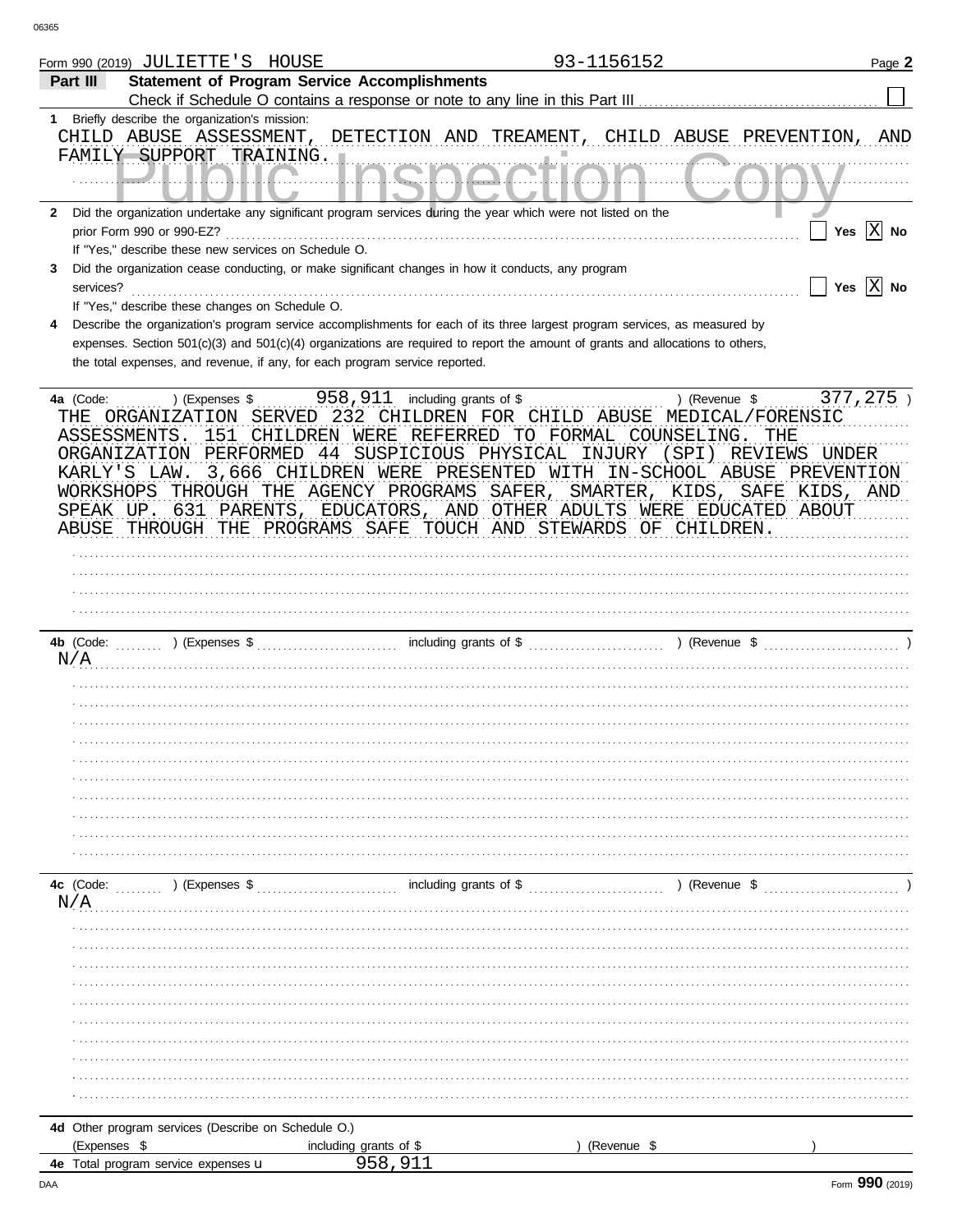|   | 93-1156152<br>Form 990 (2019) JULIETTE'S HOUSE                                                                                                                                | Page 2                      |
|---|-------------------------------------------------------------------------------------------------------------------------------------------------------------------------------|-----------------------------|
|   | <b>Statement of Program Service Accomplishments</b><br>Part III                                                                                                               |                             |
|   | Check if Schedule O contains a response or note to any line in this Part III                                                                                                  |                             |
|   | 1 Briefly describe the organization's mission:                                                                                                                                |                             |
|   | CHILD ABUSE ASSESSMENT, DETECTION AND TREAMENT,<br>CHILD ABUSE PREVENTION, AND<br>FAMILY SUPPORT TRAINING.                                                                    |                             |
|   |                                                                                                                                                                               |                             |
|   | 2 Did the organization undertake any significant program services during the year which were not listed on the                                                                |                             |
|   | prior Form 990 or 990-EZ?                                                                                                                                                     | Yes $\boxed{\mathbf{X}}$ No |
|   | If "Yes," describe these new services on Schedule O.                                                                                                                          |                             |
| 3 | Did the organization cease conducting, or make significant changes in how it conducts, any program                                                                            |                             |
|   | services?                                                                                                                                                                     | Yes $\overline{X}$ No       |
| 4 | If "Yes," describe these changes on Schedule O.<br>Describe the organization's program service accomplishments for each of its three largest program services, as measured by |                             |
|   | expenses. Section 501(c)(3) and 501(c)(4) organizations are required to report the amount of grants and allocations to others,                                                |                             |
|   | the total expenses, and revenue, if any, for each program service reported.                                                                                                   |                             |
|   |                                                                                                                                                                               |                             |
|   | ) (Revenue \$<br>4a (Code:<br>) (Expenses \$                                                                                                                                  | 377,275)                    |
|   | THE ORGANIZATION SERVED 232 CHILDREN FOR CHILD ABUSE MEDICAL/FORENSIC                                                                                                         |                             |
|   | 151 CHILDREN WERE REFERRED TO FORMAL COUNSELING.<br>ASSESSMENTS.<br>THE                                                                                                       |                             |
|   | PERFORMED 44 SUSPICIOUS PHYSICAL INJURY (SPI) REVIEWS UNDER<br>ORGANIZATION                                                                                                   |                             |
|   | 3,666 CHILDREN WERE PRESENTED WITH IN-SCHOOL ABUSE PREVENTION<br>KARLY'S LAW.                                                                                                 |                             |
|   | WORKSHOPS THROUGH THE AGENCY PROGRAMS SAFER, SMARTER, KIDS, SAFE KIDS, AND                                                                                                    |                             |
|   | SPEAK UP. 631 PARENTS, EDUCATORS, AND OTHER ADULTS WERE EDUCATED ABOUT                                                                                                        |                             |
|   | ABUSE THROUGH THE PROGRAMS SAFE TOUCH AND STEWARDS OF CHILDREN.                                                                                                               |                             |
|   |                                                                                                                                                                               |                             |
|   |                                                                                                                                                                               |                             |
|   |                                                                                                                                                                               |                             |
|   |                                                                                                                                                                               |                             |
|   |                                                                                                                                                                               |                             |
|   | N/A                                                                                                                                                                           |                             |
|   |                                                                                                                                                                               |                             |
|   |                                                                                                                                                                               |                             |
|   |                                                                                                                                                                               |                             |
|   |                                                                                                                                                                               |                             |
|   |                                                                                                                                                                               |                             |
|   |                                                                                                                                                                               |                             |
|   |                                                                                                                                                                               |                             |
|   |                                                                                                                                                                               |                             |
|   |                                                                                                                                                                               |                             |
|   |                                                                                                                                                                               |                             |
|   |                                                                                                                                                                               |                             |
|   | including grants of \$<br>) (Revenue \$<br>4c (Code:<br>$\ldots$ ) (Expenses \$                                                                                               |                             |
|   | N/A                                                                                                                                                                           |                             |
|   |                                                                                                                                                                               |                             |
|   |                                                                                                                                                                               |                             |
|   |                                                                                                                                                                               |                             |
|   |                                                                                                                                                                               |                             |
|   |                                                                                                                                                                               |                             |
|   |                                                                                                                                                                               |                             |
|   |                                                                                                                                                                               |                             |
|   |                                                                                                                                                                               |                             |
|   |                                                                                                                                                                               |                             |
|   |                                                                                                                                                                               |                             |
|   | 4d Other program services (Describe on Schedule O.)                                                                                                                           |                             |
|   | (Expenses \$<br>including grants of \$<br>(Revenue \$                                                                                                                         |                             |
|   | 958,911<br>4e Total program service expenses <b>u</b>                                                                                                                         |                             |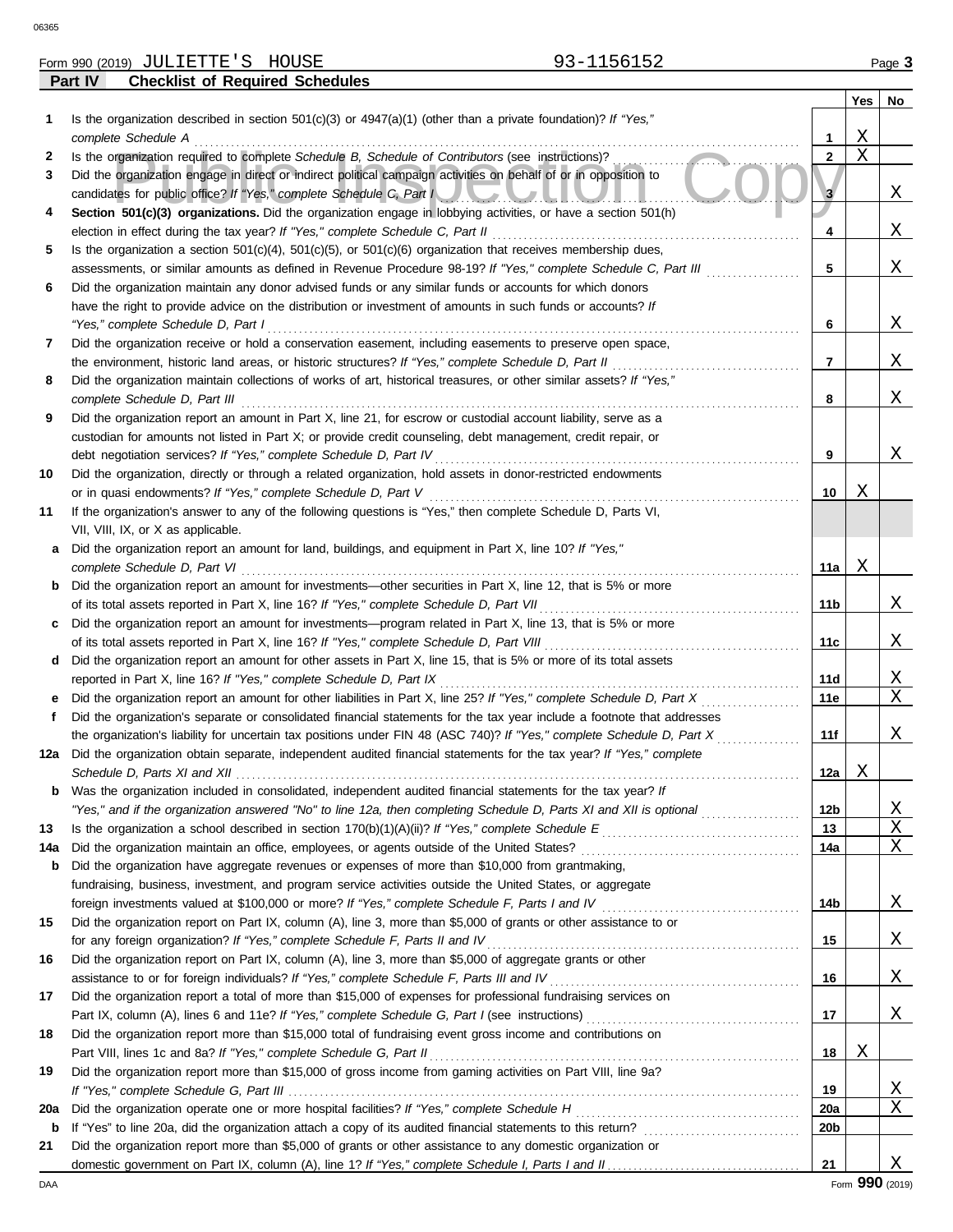|     | 93-1156152<br>Form 990 (2019) JULIETTE'S HOUSE                                                                                                                                                            |                 |             | Page 3 |
|-----|-----------------------------------------------------------------------------------------------------------------------------------------------------------------------------------------------------------|-----------------|-------------|--------|
|     | Part IV<br><b>Checklist of Required Schedules</b>                                                                                                                                                         |                 |             |        |
|     |                                                                                                                                                                                                           |                 | Yes         | No     |
| 1   | Is the organization described in section $501(c)(3)$ or $4947(a)(1)$ (other than a private foundation)? If "Yes,"                                                                                         |                 |             |        |
|     | complete Schedule A                                                                                                                                                                                       | 1               | Χ           |        |
| 2   | Is the organization required to complete Schedule B, Schedule of Contributors (see instructions)?                                                                                                         | $\mathbf{2}$    | $\mathbf X$ |        |
| 3   | Did the organization engage in direct or indirect political campaign activities on behalf of or in opposition to                                                                                          |                 |             |        |
|     | candidates for public office? If "Yes," complete Schedule C, Part I                                                                                                                                       | 3               |             | Χ      |
| 4   | Section 501(c)(3) organizations. Did the organization engage in lobbying activities, or have a section 501(h)<br>election in effect during the tax year? If "Yes," complete Schedule C, Part II           |                 |             | Χ      |
| 5   | Is the organization a section $501(c)(4)$ , $501(c)(5)$ , or $501(c)(6)$ organization that receives membership dues,                                                                                      | 4               |             |        |
|     | assessments, or similar amounts as defined in Revenue Procedure 98-19? If "Yes," complete Schedule C, Part III                                                                                            | 5               |             | Χ      |
| 6   | Did the organization maintain any donor advised funds or any similar funds or accounts for which donors                                                                                                   |                 |             |        |
|     | have the right to provide advice on the distribution or investment of amounts in such funds or accounts? If                                                                                               |                 |             |        |
|     | "Yes," complete Schedule D, Part I                                                                                                                                                                        | 6               |             | Χ      |
| 7   | Did the organization receive or hold a conservation easement, including easements to preserve open space,                                                                                                 |                 |             |        |
|     | the environment, historic land areas, or historic structures? If "Yes," complete Schedule D, Part II                                                                                                      | 7               |             | Χ      |
| 8   | Did the organization maintain collections of works of art, historical treasures, or other similar assets? If "Yes,"                                                                                       |                 |             |        |
|     | complete Schedule D, Part III                                                                                                                                                                             | 8               |             | Χ      |
| 9   | Did the organization report an amount in Part X, line 21, for escrow or custodial account liability, serve as a                                                                                           |                 |             |        |
|     | custodian for amounts not listed in Part X; or provide credit counseling, debt management, credit repair, or                                                                                              |                 |             |        |
|     | debt negotiation services? If "Yes," complete Schedule D, Part IV                                                                                                                                         | 9               |             | Χ      |
| 10  | Did the organization, directly or through a related organization, hold assets in donor-restricted endowments                                                                                              |                 |             |        |
|     | or in quasi endowments? If "Yes," complete Schedule D, Part V                                                                                                                                             | 10              | Χ           |        |
| 11  | If the organization's answer to any of the following questions is "Yes," then complete Schedule D, Parts VI,                                                                                              |                 |             |        |
|     | VII, VIII, IX, or X as applicable.                                                                                                                                                                        |                 |             |        |
| а   | Did the organization report an amount for land, buildings, and equipment in Part X, line 10? If "Yes,"                                                                                                    |                 |             |        |
|     | complete Schedule D, Part VI                                                                                                                                                                              | 11a             | Χ           |        |
| b   | Did the organization report an amount for investments—other securities in Part X, line 12, that is 5% or more<br>of its total assets reported in Part X, line 16? If "Yes," complete Schedule D, Part VII | 11 <sub>b</sub> |             | Χ      |
| c   | Did the organization report an amount for investments—program related in Part X, line 13, that is 5% or more                                                                                              |                 |             |        |
|     | of its total assets reported in Part X, line 16? If "Yes," complete Schedule D, Part VIII                                                                                                                 | 11c             |             | Χ      |
| d   | Did the organization report an amount for other assets in Part X, line 15, that is 5% or more of its total assets                                                                                         |                 |             |        |
|     | reported in Part X, line 16? If "Yes," complete Schedule D, Part IX                                                                                                                                       | 11d             |             | Χ      |
| е   | Did the organization report an amount for other liabilities in Part X, line 25? If "Yes," complete Schedule D, Part X                                                                                     | 11e             |             | Χ      |
|     | Did the organization's separate or consolidated financial statements for the tax year include a footnote that addresses                                                                                   |                 |             |        |
|     | the organization's liability for uncertain tax positions under FIN 48 (ASC 740)? If "Yes," complete Schedule D, Part X                                                                                    | 11f             |             | Χ      |
|     | Did the organization obtain separate, independent audited financial statements for the tax year? If "Yes," complete                                                                                       |                 |             |        |
|     |                                                                                                                                                                                                           | 12a             | Χ           |        |
| b   | Was the organization included in consolidated, independent audited financial statements for the tax year? If                                                                                              |                 |             |        |
|     | "Yes," and if the organization answered "No" to line 12a, then completing Schedule D, Parts XI and XII is optional                                                                                        | 12 <sub>b</sub> |             | Χ      |
| 13  |                                                                                                                                                                                                           | 13              |             | Χ      |
| 14a | Did the organization maintain an office, employees, or agents outside of the United States?                                                                                                               | 14a             |             | Χ      |
| b   | Did the organization have aggregate revenues or expenses of more than \$10,000 from grantmaking,                                                                                                          |                 |             |        |
|     | fundraising, business, investment, and program service activities outside the United States, or aggregate                                                                                                 |                 |             |        |
|     | Did the organization report on Part IX, column (A), line 3, more than \$5,000 of grants or other assistance to or                                                                                         | 14b             |             | Χ      |
| 15  | for any foreign organization? If "Yes," complete Schedule F, Parts II and IV                                                                                                                              | 15              |             | Χ      |
| 16  | Did the organization report on Part IX, column (A), line 3, more than \$5,000 of aggregate grants or other                                                                                                |                 |             |        |
|     | assistance to or for foreign individuals? If "Yes," complete Schedule F, Parts III and IV                                                                                                                 | 16              |             | Χ      |
| 17  | Did the organization report a total of more than \$15,000 of expenses for professional fundraising services on                                                                                            |                 |             |        |
|     |                                                                                                                                                                                                           | 17              |             | Χ      |
| 18  | Did the organization report more than \$15,000 total of fundraising event gross income and contributions on                                                                                               |                 |             |        |
|     | Part VIII, lines 1c and 8a? If "Yes," complete Schedule G, Part II                                                                                                                                        | 18              | Χ           |        |
| 19  | Did the organization report more than \$15,000 of gross income from gaming activities on Part VIII, line 9a?                                                                                              |                 |             |        |
|     |                                                                                                                                                                                                           | 19              |             | Χ      |
| 20a | Did the organization operate one or more hospital facilities? If "Yes," complete Schedule H                                                                                                               | 20a             |             | Χ      |
| b   | If "Yes" to line 20a, did the organization attach a copy of its audited financial statements to this return?                                                                                              | 20 <sub>b</sub> |             |        |
| 21  | Did the organization report more than \$5,000 of grants or other assistance to any domestic organization or                                                                                               |                 |             |        |

domestic government on Part IX, column (A), line 1? If "Yes," complete Schedule I, Parts I and II.

 $\vert$  21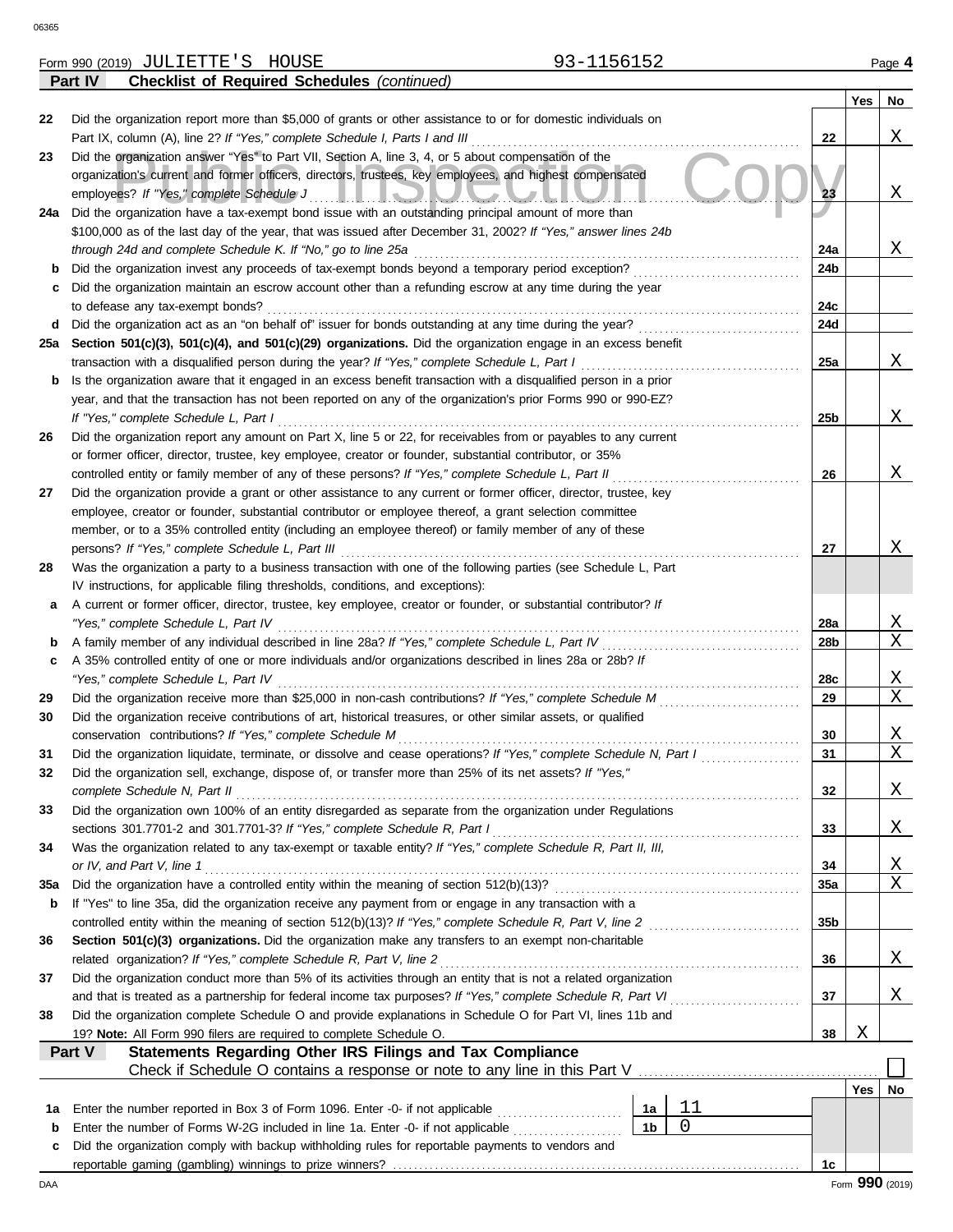|     | <b>Checklist of Required Schedules (continued)</b><br>Part IV                                                                                              |     |     |                 |
|-----|------------------------------------------------------------------------------------------------------------------------------------------------------------|-----|-----|-----------------|
|     |                                                                                                                                                            |     | Yes | No              |
| 22  | Did the organization report more than \$5,000 of grants or other assistance to or for domestic individuals on                                              |     |     |                 |
|     | Part IX, column (A), line 2? If "Yes," complete Schedule I, Parts I and III                                                                                | 22  |     | Χ               |
| 23  | Did the organization answer "Yes" to Part VII, Section A, line 3, 4, or 5 about compensation of the                                                        |     |     |                 |
|     | organization's current and former officers, directors, trustees, key employees, and highest compensated                                                    |     |     |                 |
|     | employees? If "Yes," complete Schedule J<br><u>I IQIUQUUL</u>                                                                                              | 23  |     | Χ               |
| 24a | Did the organization have a tax-exempt bond issue with an outstanding principal amount of more than                                                        |     |     |                 |
|     | \$100,000 as of the last day of the year, that was issued after December 31, 2002? If "Yes," answer lines 24b                                              |     |     |                 |
|     | through 24d and complete Schedule K. If "No," go to line 25a                                                                                               | 24a |     | Χ               |
|     | Did the organization invest any proceeds of tax-exempt bonds beyond a temporary period exception?                                                          | 24b |     |                 |
| с   | Did the organization maintain an escrow account other than a refunding escrow at any time during the year                                                  |     |     |                 |
|     | to defease any tax-exempt bonds?                                                                                                                           | 24c |     |                 |
| d   | Did the organization act as an "on behalf of" issuer for bonds outstanding at any time during the year?                                                    | 24d |     |                 |
| 25а | Section 501(c)(3), 501(c)(4), and 501(c)(29) organizations. Did the organization engage in an excess benefit                                               |     |     |                 |
|     | transaction with a disqualified person during the year? If "Yes," complete Schedule L, Part I                                                              | 25a |     | Χ               |
|     | Is the organization aware that it engaged in an excess benefit transaction with a disqualified person in a prior                                           |     |     |                 |
| b   | year, and that the transaction has not been reported on any of the organization's prior Forms 990 or 990-EZ?                                               |     |     |                 |
|     |                                                                                                                                                            |     |     | Χ               |
|     | If "Yes," complete Schedule L, Part I                                                                                                                      | 25b |     |                 |
| 26  | Did the organization report any amount on Part X, line 5 or 22, for receivables from or payables to any current                                            |     |     |                 |
|     | or former officer, director, trustee, key employee, creator or founder, substantial contributor, or 35%                                                    |     |     |                 |
|     | controlled entity or family member of any of these persons? If "Yes," complete Schedule L, Part II                                                         | 26  |     | Χ               |
| 27  | Did the organization provide a grant or other assistance to any current or former officer, director, trustee, key                                          |     |     |                 |
|     | employee, creator or founder, substantial contributor or employee thereof, a grant selection committee                                                     |     |     |                 |
|     | member, or to a 35% controlled entity (including an employee thereof) or family member of any of these                                                     |     |     |                 |
|     | persons? If "Yes," complete Schedule L, Part III                                                                                                           | 27  |     | Χ               |
| 28  | Was the organization a party to a business transaction with one of the following parties (see Schedule L, Part                                             |     |     |                 |
|     | IV instructions, for applicable filing thresholds, conditions, and exceptions):                                                                            |     |     |                 |
| а   | A current or former officer, director, trustee, key employee, creator or founder, or substantial contributor? If                                           |     |     |                 |
|     | "Yes," complete Schedule L, Part IV                                                                                                                        | 28a |     | <u>X</u>        |
| b   | A family member of any individual described in line 28a? If "Yes," complete Schedule L, Part IV                                                            | 28b |     | Χ               |
| c   | A 35% controlled entity of one or more individuals and/or organizations described in lines 28a or 28b? If                                                  |     |     |                 |
|     | "Yes," complete Schedule L, Part IV                                                                                                                        | 28c |     | $\mathbf{X}$    |
| 29  | Did the organization receive more than \$25,000 in non-cash contributions? If "Yes," complete Schedule M                                                   | 29  |     | Χ               |
| 30  | Did the organization receive contributions of art, historical treasures, or other similar assets, or qualified                                             |     |     |                 |
|     | conservation contributions? If "Yes," complete Schedule M                                                                                                  | 30  |     | $\mathbf{X}$    |
| 31  | Did the organization liquidate, terminate, or dissolve and cease operations? If "Yes," complete Schedule N, Part I                                         | 31  |     | Χ               |
|     | Did the organization sell, exchange, dispose of, or transfer more than 25% of its net assets? If "Yes,"                                                    |     |     |                 |
|     | complete Schedule N, Part II                                                                                                                               | 32  |     | Χ               |
| 33  | Did the organization own 100% of an entity disregarded as separate from the organization under Regulations                                                 |     |     |                 |
|     | sections 301.7701-2 and 301.7701-3? If "Yes," complete Schedule R, Part I                                                                                  | 33  |     | Χ               |
| 34  | Was the organization related to any tax-exempt or taxable entity? If "Yes," complete Schedule R, Part II, III,                                             |     |     |                 |
|     | or IV, and Part V, line 1                                                                                                                                  | 34  |     | <u>X</u>        |
| 35a | Did the organization have a controlled entity within the meaning of section 512(b)(13)?                                                                    | 35a |     | X               |
| b   | If "Yes" to line 35a, did the organization receive any payment from or engage in any transaction with a                                                    |     |     |                 |
|     | controlled entity within the meaning of section 512(b)(13)? If "Yes," complete Schedule R, Part V, line 2                                                  | 35b |     |                 |
| 36  | Section 501(c)(3) organizations. Did the organization make any transfers to an exempt non-charitable                                                       |     |     |                 |
|     | related organization? If "Yes," complete Schedule R, Part V, line 2                                                                                        | 36  |     | Χ               |
| 37  | Did the organization conduct more than 5% of its activities through an entity that is not a related organization                                           |     |     |                 |
|     | and that is treated as a partnership for federal income tax purposes? If "Yes," complete Schedule R, Part VI                                               | 37  |     | Χ               |
| 38  | Did the organization complete Schedule O and provide explanations in Schedule O for Part VI, lines 11b and                                                 |     |     |                 |
|     | 19? Note: All Form 990 filers are required to complete Schedule O.                                                                                         | 38  | Χ   |                 |
|     | Part V<br>Statements Regarding Other IRS Filings and Tax Compliance                                                                                        |     |     |                 |
|     |                                                                                                                                                            |     |     |                 |
|     | Check if Schedule O contains a response or note to any line in this Part V [11] Check if Schedule O contains a response or note to any line in this Part V |     |     |                 |
|     |                                                                                                                                                            |     | Yes | No              |
| 1а  | 11<br>Enter the number reported in Box 3 of Form 1096. Enter -0- if not applicable<br>1a<br>0                                                              |     |     |                 |
| b   | 1 <sub>b</sub><br>Enter the number of Forms W-2G included in line 1a. Enter -0- if not applicable                                                          |     |     |                 |
| c   | Did the organization comply with backup withholding rules for reportable payments to vendors and                                                           |     |     |                 |
|     |                                                                                                                                                            | 1c  |     |                 |
| DAA |                                                                                                                                                            |     |     | Form 990 (2019) |

JULIETTE'S HOUSE 93-1156152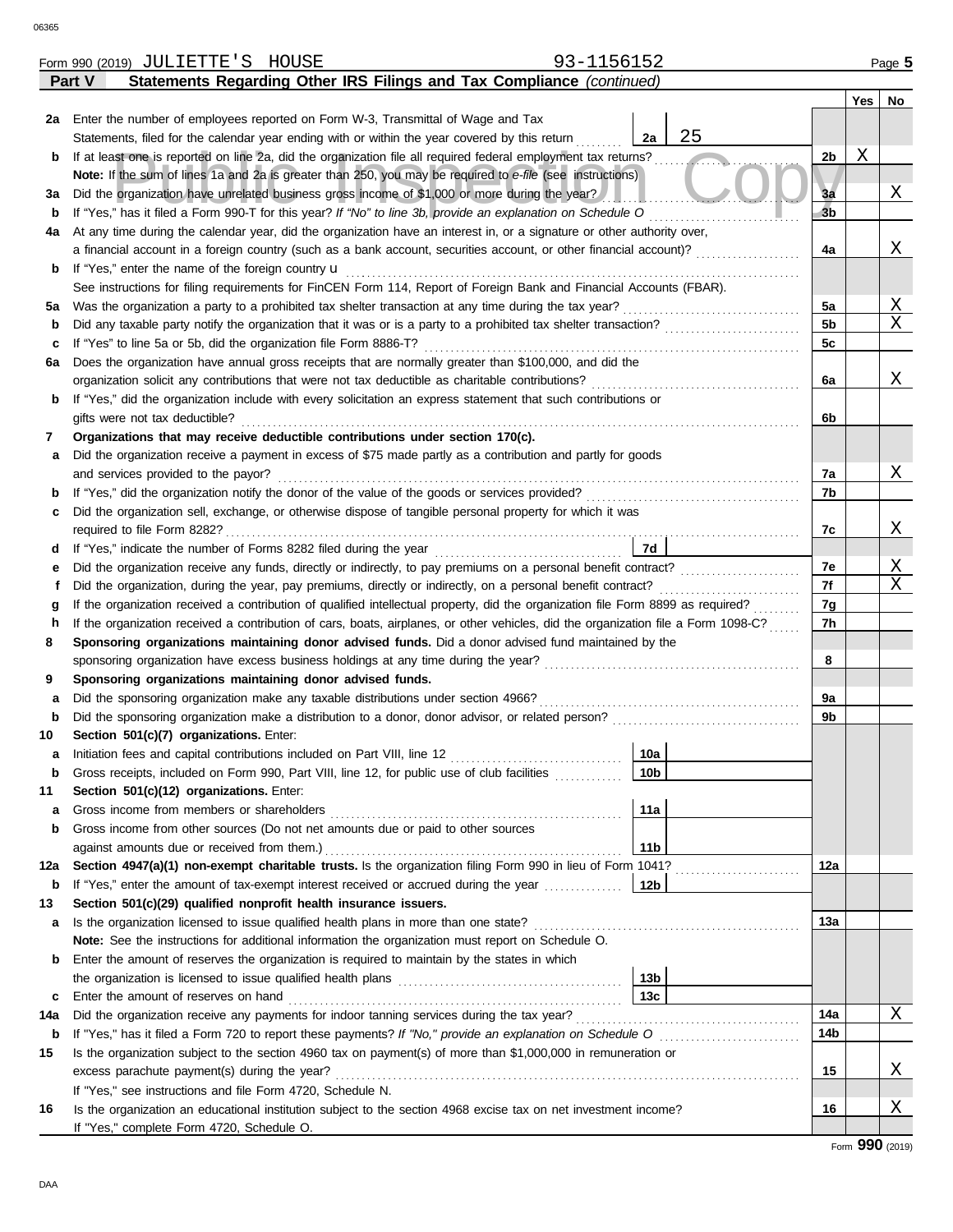|                                                                                                           | Statements Regarding Other IRS Filings and Tax Compliance (continued)<br>Part V                                                         |                |     |    |  |  |  |  |  |  |  |
|-----------------------------------------------------------------------------------------------------------|-----------------------------------------------------------------------------------------------------------------------------------------|----------------|-----|----|--|--|--|--|--|--|--|
|                                                                                                           |                                                                                                                                         |                | Yes | No |  |  |  |  |  |  |  |
|                                                                                                           | 2a Enter the number of employees reported on Form W-3, Transmittal of Wage and Tax                                                      |                |     |    |  |  |  |  |  |  |  |
|                                                                                                           | 25<br>Statements, filed for the calendar year ending with or within the year covered by this return<br>2a                               |                |     |    |  |  |  |  |  |  |  |
| b                                                                                                         | If at least one is reported on line 2a, did the organization file all required federal employment tax returns?                          | 2b             | Χ   |    |  |  |  |  |  |  |  |
|                                                                                                           | Note: If the sum of lines 1a and 2a is greater than 250, you may be required to e-file (see instructions)                               |                |     |    |  |  |  |  |  |  |  |
| За                                                                                                        | Did the organization have unrelated business gross income of \$1,000 or more during the year?                                           | 3a             |     | Χ  |  |  |  |  |  |  |  |
| b                                                                                                         | If "Yes," has it filed a Form 990-T for this year? If "No" to line 3b, provide an explanation on Schedule O                             | 3 <sub>b</sub> |     |    |  |  |  |  |  |  |  |
| 4a                                                                                                        | At any time during the calendar year, did the organization have an interest in, or a signature or other authority over,                 |                |     |    |  |  |  |  |  |  |  |
|                                                                                                           | a financial account in a foreign country (such as a bank account, securities account, or other financial account)?                      | 4a             |     | Χ  |  |  |  |  |  |  |  |
| b                                                                                                         | If "Yes," enter the name of the foreign country <b>u</b>                                                                                |                |     |    |  |  |  |  |  |  |  |
|                                                                                                           | See instructions for filing requirements for FinCEN Form 114, Report of Foreign Bank and Financial Accounts (FBAR).                     | 5a             |     | Χ  |  |  |  |  |  |  |  |
| 5a                                                                                                        | Was the organization a party to a prohibited tax shelter transaction at any time during the tax year?                                   |                |     |    |  |  |  |  |  |  |  |
| b                                                                                                         | Did any taxable party notify the organization that it was or is a party to a prohibited tax shelter transaction?                        | 5 <sub>b</sub> |     | X  |  |  |  |  |  |  |  |
| с                                                                                                         | If "Yes" to line 5a or 5b, did the organization file Form 8886-T?                                                                       | 5c             |     |    |  |  |  |  |  |  |  |
| 6а                                                                                                        | Does the organization have annual gross receipts that are normally greater than \$100,000, and did the                                  |                |     |    |  |  |  |  |  |  |  |
|                                                                                                           | organization solicit any contributions that were not tax deductible as charitable contributions?                                        | 6a             |     | Χ  |  |  |  |  |  |  |  |
| b                                                                                                         | If "Yes," did the organization include with every solicitation an express statement that such contributions or                          |                |     |    |  |  |  |  |  |  |  |
|                                                                                                           | gifts were not tax deductible?                                                                                                          | 6b             |     |    |  |  |  |  |  |  |  |
| 7                                                                                                         | Organizations that may receive deductible contributions under section 170(c).                                                           |                |     |    |  |  |  |  |  |  |  |
| а                                                                                                         | Did the organization receive a payment in excess of \$75 made partly as a contribution and partly for goods                             |                |     |    |  |  |  |  |  |  |  |
|                                                                                                           | and services provided to the payor?                                                                                                     | 7a<br>7b       |     | Χ  |  |  |  |  |  |  |  |
|                                                                                                           | If "Yes," did the organization notify the donor of the value of the goods or services provided?<br>b                                    |                |     |    |  |  |  |  |  |  |  |
| с                                                                                                         | Did the organization sell, exchange, or otherwise dispose of tangible personal property for which it was                                |                |     | Χ  |  |  |  |  |  |  |  |
|                                                                                                           | 7d                                                                                                                                      | 7c             |     |    |  |  |  |  |  |  |  |
| d                                                                                                         | Did the organization receive any funds, directly or indirectly, to pay premiums on a personal benefit contract?                         | 7e             |     | Χ  |  |  |  |  |  |  |  |
| е                                                                                                         | Did the organization, during the year, pay premiums, directly or indirectly, on a personal benefit contract?<br>f                       |                |     |    |  |  |  |  |  |  |  |
| g                                                                                                         | If the organization received a contribution of qualified intellectual property, did the organization file Form 8899 as required?        | 7f<br>7g       |     | X  |  |  |  |  |  |  |  |
|                                                                                                           | If the organization received a contribution of cars, boats, airplanes, or other vehicles, did the organization file a Form 1098-C?<br>h |                |     |    |  |  |  |  |  |  |  |
| Sponsoring organizations maintaining donor advised funds. Did a donor advised fund maintained by the<br>8 |                                                                                                                                         |                |     |    |  |  |  |  |  |  |  |
|                                                                                                           |                                                                                                                                         |                |     |    |  |  |  |  |  |  |  |
| 9                                                                                                         | Sponsoring organizations maintaining donor advised funds.                                                                               | 8              |     |    |  |  |  |  |  |  |  |
| а                                                                                                         | Did the sponsoring organization make any taxable distributions under section 4966?                                                      | 9a             |     |    |  |  |  |  |  |  |  |
| b                                                                                                         | Did the sponsoring organization make a distribution to a donor, donor advisor, or related person?                                       | 9b             |     |    |  |  |  |  |  |  |  |
| 10                                                                                                        | Section 501(c)(7) organizations. Enter:                                                                                                 |                |     |    |  |  |  |  |  |  |  |
| a                                                                                                         | 10a<br>Initiation fees and capital contributions included on Part VIII, line 12 [11] [11] [12] [11] [12] [11] [12] [1                   |                |     |    |  |  |  |  |  |  |  |
|                                                                                                           | 10b<br>Gross receipts, included on Form 990, Part VIII, line 12, for public use of club facilities                                      |                |     |    |  |  |  |  |  |  |  |
| 11                                                                                                        | Section 501(c)(12) organizations. Enter:                                                                                                |                |     |    |  |  |  |  |  |  |  |
| а                                                                                                         | Gross income from members or shareholders<br>11a                                                                                        |                |     |    |  |  |  |  |  |  |  |
| b                                                                                                         | Gross income from other sources (Do not net amounts due or paid to other sources                                                        |                |     |    |  |  |  |  |  |  |  |
|                                                                                                           | 11 <sub>b</sub><br>against amounts due or received from them.)                                                                          |                |     |    |  |  |  |  |  |  |  |
| 12a                                                                                                       | Section 4947(a)(1) non-exempt charitable trusts. Is the organization filing Form 990 in lieu of Form 1041?                              | 12a            |     |    |  |  |  |  |  |  |  |
| b                                                                                                         | If "Yes," enter the amount of tax-exempt interest received or accrued during the year<br>12 <sub>b</sub>                                |                |     |    |  |  |  |  |  |  |  |
| 13                                                                                                        | Section 501(c)(29) qualified nonprofit health insurance issuers.                                                                        |                |     |    |  |  |  |  |  |  |  |
| а                                                                                                         | Is the organization licensed to issue qualified health plans in more than one state?                                                    | 13a            |     |    |  |  |  |  |  |  |  |
|                                                                                                           | Note: See the instructions for additional information the organization must report on Schedule O.                                       |                |     |    |  |  |  |  |  |  |  |
| b                                                                                                         | Enter the amount of reserves the organization is required to maintain by the states in which                                            |                |     |    |  |  |  |  |  |  |  |
|                                                                                                           | 13 <sub>b</sub>                                                                                                                         |                |     |    |  |  |  |  |  |  |  |
| c                                                                                                         | 13 <sub>c</sub><br>Enter the amount of reserves on hand                                                                                 |                |     |    |  |  |  |  |  |  |  |
| 14a                                                                                                       | Did the organization receive any payments for indoor tanning services during the tax year?                                              | 14a            |     | Χ  |  |  |  |  |  |  |  |
| b                                                                                                         | If "Yes," has it filed a Form 720 to report these payments? If "No," provide an explanation on Schedule O                               | 14b            |     |    |  |  |  |  |  |  |  |
| 15                                                                                                        | Is the organization subject to the section 4960 tax on payment(s) of more than \$1,000,000 in remuneration or                           | 15             |     | Χ  |  |  |  |  |  |  |  |
| excess parachute payment(s) during the year?                                                              |                                                                                                                                         |                |     |    |  |  |  |  |  |  |  |
|                                                                                                           | If "Yes," see instructions and file Form 4720, Schedule N.                                                                              |                |     |    |  |  |  |  |  |  |  |
| 16                                                                                                        | Is the organization an educational institution subject to the section 4968 excise tax on net investment income?                         | 16             |     | Χ  |  |  |  |  |  |  |  |
|                                                                                                           | If "Yes," complete Form 4720, Schedule O.                                                                                               |                |     |    |  |  |  |  |  |  |  |

Form 990 (2019) Page **5** JULIETTE'S HOUSE 93-1156152

|  |  |  | 156152 |  |  |  |  |  |  |
|--|--|--|--------|--|--|--|--|--|--|
|--|--|--|--------|--|--|--|--|--|--|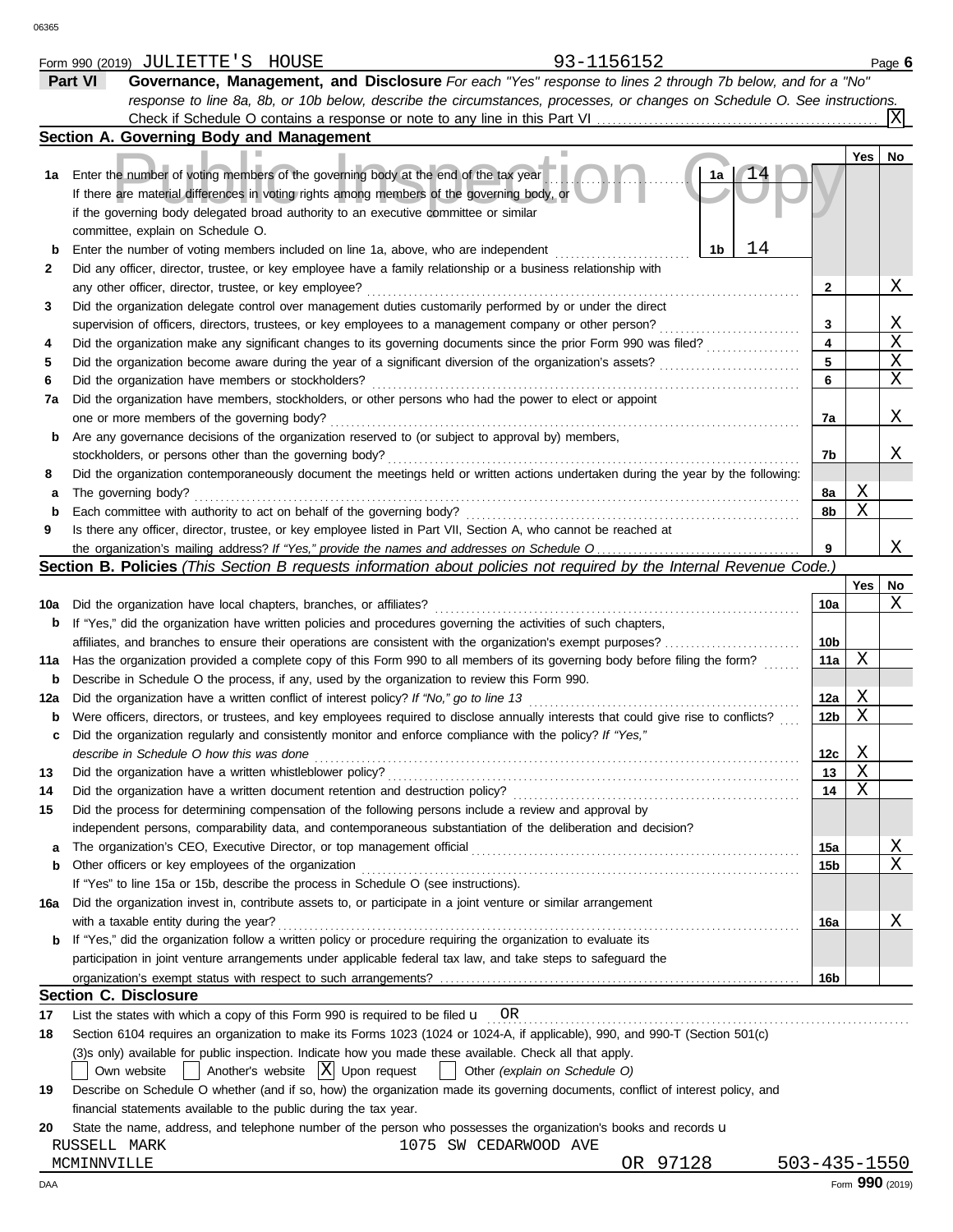|     | Part VI<br>Governance, Management, and Disclosure For each "Yes" response to lines 2 through 7b below, and for a "No"               |              |                |                 |
|-----|-------------------------------------------------------------------------------------------------------------------------------------|--------------|----------------|-----------------|
|     | response to line 8a, 8b, or 10b below, describe the circumstances, processes, or changes on Schedule O. See instructions.           |              |                |                 |
|     | Check if Schedule O contains a response or note to any line in this Part VI                                                         |              |                |                 |
|     | Section A. Governing Body and Management                                                                                            |              |                |                 |
|     |                                                                                                                                     |              | Yes            | No              |
| 1a  | Enter the number of voting members of the governing body at the end of the tax year<br>1a                                           |              |                |                 |
|     | If there are material differences in voting rights among members of the governing body, or                                          |              |                |                 |
|     | if the governing body delegated broad authority to an executive committee or similar                                                |              |                |                 |
|     | committee, explain on Schedule O.                                                                                                   |              |                |                 |
| b   | 14<br>Enter the number of voting members included on line 1a, above, who are independent<br>1b                                      |              |                |                 |
| 2   | Did any officer, director, trustee, or key employee have a family relationship or a business relationship with                      |              |                |                 |
|     | any other officer, director, trustee, or key employee?                                                                              | 2            |                | Χ               |
| 3   | Did the organization delegate control over management duties customarily performed by or under the direct                           |              |                |                 |
|     | supervision of officers, directors, trustees, or key employees to a management company or other person?                             | 3            |                | Χ               |
| 4   | Did the organization make any significant changes to its governing documents since the prior Form 990 was filed?                    | 4            |                | Χ               |
| 5   | Did the organization become aware during the year of a significant diversion of the organization's assets?                          | 5            |                | Χ               |
| 6   | Did the organization have members or stockholders?                                                                                  | 6            |                | Χ               |
| 7а  | Did the organization have members, stockholders, or other persons who had the power to elect or appoint                             |              |                |                 |
|     | one or more members of the governing body?                                                                                          | 7a           |                | Χ               |
| b   | Are any governance decisions of the organization reserved to (or subject to approval by) members,                                   |              |                |                 |
|     | stockholders, or persons other than the governing body?                                                                             | 7b           |                | Χ               |
| 8   | Did the organization contemporaneously document the meetings held or written actions undertaken during the year by the following:   |              |                |                 |
| а   | The governing body?                                                                                                                 | 8а           | Χ              |                 |
| b   | Each committee with authority to act on behalf of the governing body?                                                               | 8b           | Χ              |                 |
| 9   | Is there any officer, director, trustee, or key employee listed in Part VII, Section A, who cannot be reached at                    |              |                |                 |
|     |                                                                                                                                     | 9            |                | Χ               |
|     | <b>Section B. Policies</b> (This Section B requests information about policies not required by the Internal Revenue Code.)          |              |                |                 |
|     |                                                                                                                                     |              | Yes            | No              |
| 10a | Did the organization have local chapters, branches, or affiliates?                                                                  | 10a          |                | Χ               |
| b   | If "Yes," did the organization have written policies and procedures governing the activities of such chapters,                      |              |                |                 |
|     | affiliates, and branches to ensure their operations are consistent with the organization's exempt purposes?                         | 10b          |                |                 |
| 11a | Has the organization provided a complete copy of this Form 990 to all members of its governing body before filing the form?         | 11a          | Χ              |                 |
| b   | Describe in Schedule O the process, if any, used by the organization to review this Form 990.                                       |              |                |                 |
| 12a | Did the organization have a written conflict of interest policy? If "No," go to line 13                                             | 12a          | Χ              |                 |
| b   | Were officers, directors, or trustees, and key employees required to disclose annually interests that could give rise to conflicts? | 12b          | Χ              |                 |
| c   | Did the organization regularly and consistently monitor and enforce compliance with the policy? If "Yes,"                           |              |                |                 |
|     | describe in Schedule O how this was done                                                                                            | 12c          | Χ              |                 |
| 13  | Did the organization have a written whistleblower policy?                                                                           | 13           | $\overline{X}$ |                 |
| 14  | Did the organization have a written document retention and destruction policy?                                                      | 14           | X              |                 |
| 15  | Did the process for determining compensation of the following persons include a review and approval by                              |              |                |                 |
|     | independent persons, comparability data, and contemporaneous substantiation of the deliberation and decision?                       |              |                |                 |
| а   |                                                                                                                                     | 15a          |                | <u>X</u>        |
| b   | Other officers or key employees of the organization                                                                                 | 15b          |                | Χ               |
|     | If "Yes" to line 15a or 15b, describe the process in Schedule O (see instructions).                                                 |              |                |                 |
| 16a | Did the organization invest in, contribute assets to, or participate in a joint venture or similar arrangement                      |              |                |                 |
|     | with a taxable entity during the year?                                                                                              | 16a          |                | Χ               |
| b   | If "Yes," did the organization follow a written policy or procedure requiring the organization to evaluate its                      |              |                |                 |
|     | participation in joint venture arrangements under applicable federal tax law, and take steps to safeguard the                       |              |                |                 |
|     |                                                                                                                                     | 16b          |                |                 |
|     | <b>Section C. Disclosure</b>                                                                                                        |              |                |                 |
| 17  | List the states with which a copy of this Form 990 is required to be filed $\mathbf{u}$ OR                                          |              |                |                 |
| 18  | Section 6104 requires an organization to make its Forms 1023 (1024 or 1024-A, if applicable), 990, and 990-T (Section 501(c)        |              |                |                 |
|     | (3)s only) available for public inspection. Indicate how you made these available. Check all that apply.                            |              |                |                 |
|     | $\vert$ Another's website $\vert X \vert$ Upon request<br>  Other (explain on Schedule O)<br>Own website                            |              |                |                 |
| 19  | Describe on Schedule O whether (and if so, how) the organization made its governing documents, conflict of interest policy, and     |              |                |                 |
|     | financial statements available to the public during the tax year.                                                                   |              |                |                 |
| 20  | State the name, address, and telephone number of the person who possesses the organization's books and records u                    |              |                |                 |
|     | 1075 SW CEDARWOOD AVE<br>RUSSELL MARK                                                                                               |              |                |                 |
|     | OR 97128<br>MCMINNVILLE                                                                                                             | 503-435-1550 |                |                 |
| DAA |                                                                                                                                     |              |                | Form 990 (2019) |

Form 990 (2019) Page **6** JULIETTE'S HOUSE 93-1156152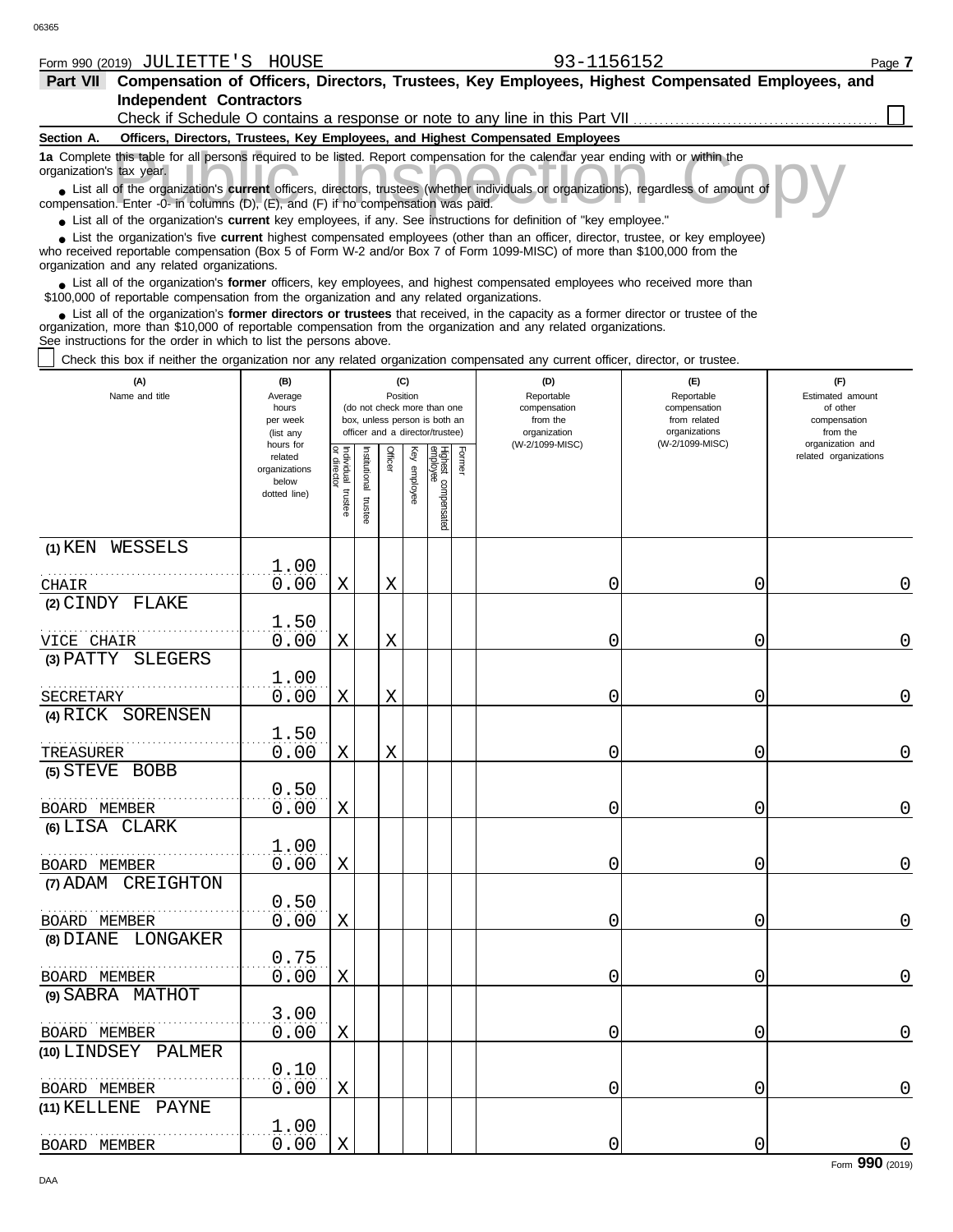| -<br>(2019)<br>Form 990 | $- - -$<br>ना⊤∴<br>. <del>.</del><br>п.<br>பட | -------<br>− т.<br>- T <i>C</i><br>תכו<br>ונ זרי | . .<br>∸⊐∠ | Page |
|-------------------------|-----------------------------------------------|--------------------------------------------------|------------|------|
|                         |                                               |                                                  |            |      |

| Part VII Compensation of Officers, Directors, Trustees, Key Employees, Highest Compensated Employees, and                                                                                                                                                                                                                   |                          |            |                       |          |              |                                 |        |                                                                                 |                                  |                              |
|-----------------------------------------------------------------------------------------------------------------------------------------------------------------------------------------------------------------------------------------------------------------------------------------------------------------------------|--------------------------|------------|-----------------------|----------|--------------|---------------------------------|--------|---------------------------------------------------------------------------------|----------------------------------|------------------------------|
| <b>Independent Contractors</b>                                                                                                                                                                                                                                                                                              |                          |            |                       |          |              |                                 |        |                                                                                 |                                  |                              |
|                                                                                                                                                                                                                                                                                                                             |                          |            |                       |          |              |                                 |        | Check if Schedule O contains a response or note to any line in this Part VII    |                                  |                              |
| Section A.                                                                                                                                                                                                                                                                                                                  |                          |            |                       |          |              |                                 |        | Officers, Directors, Trustees, Key Employees, and Highest Compensated Employees |                                  |                              |
| 1a Complete this table for all persons required to be listed. Report compensation for the calendar year ending with or within the<br>organization's tax year.                                                                                                                                                               |                          |            |                       |          |              |                                 |        |                                                                                 |                                  |                              |
| List all of the organization's <b>current</b> officers, directors, trustees (whether individuals or organizations), regardless of amount of<br>compensation. Enter -0- in columns (D), (E), and (F) if no compensation was paid.                                                                                            |                          |            |                       |          |              |                                 |        |                                                                                 |                                  |                              |
| • List all of the organization's current key employees, if any. See instructions for definition of "key employee."<br>List the organization's five current highest compensated employees (other than an officer, director, trustee, or key employee)                                                                        |                          |            |                       |          |              |                                 |        |                                                                                 |                                  |                              |
| who received reportable compensation (Box 5 of Form W-2 and/or Box 7 of Form 1099-MISC) of more than \$100,000 from the<br>organization and any related organizations.                                                                                                                                                      |                          |            |                       |          |              |                                 |        |                                                                                 |                                  |                              |
| List all of the organization's former officers, key employees, and highest compensated employees who received more than<br>\$100,000 of reportable compensation from the organization and any related organizations.                                                                                                        |                          |            |                       |          |              |                                 |        |                                                                                 |                                  |                              |
| List all of the organization's former directors or trustees that received, in the capacity as a former director or trustee of the<br>organization, more than \$10,000 of reportable compensation from the organization and any related organizations.<br>See instructions for the order in which to list the persons above. |                          |            |                       |          |              |                                 |        |                                                                                 |                                  |                              |
| Check this box if neither the organization nor any related organization compensated any current officer, director, or trustee.                                                                                                                                                                                              |                          |            |                       |          |              |                                 |        |                                                                                 |                                  |                              |
| (A)                                                                                                                                                                                                                                                                                                                         | (B)                      |            |                       | (C)      |              |                                 |        | (D)                                                                             | (E)                              | (F)                          |
| Name and title                                                                                                                                                                                                                                                                                                              | Average<br>hours         |            |                       | Position |              | (do not check more than one     |        | Reportable<br>compensation                                                      | Reportable<br>compensation       | Estimated amount<br>of other |
|                                                                                                                                                                                                                                                                                                                             | per week                 |            |                       |          |              | box, unless person is both an   |        | from the                                                                        | from related                     | compensation                 |
|                                                                                                                                                                                                                                                                                                                             | (list any<br>hours for   |            |                       |          |              | officer and a director/trustee) |        | organization<br>(W-2/1099-MISC)                                                 | organizations<br>(W-2/1099-MISC) | from the<br>organization and |
|                                                                                                                                                                                                                                                                                                                             | related<br>organizations | Individual | Institutional trustee | Officer  | Key employee | Highest compensated<br>employee | Former |                                                                                 |                                  | related organizations        |
|                                                                                                                                                                                                                                                                                                                             | below                    |            |                       |          |              |                                 |        |                                                                                 |                                  |                              |
|                                                                                                                                                                                                                                                                                                                             | dotted line)             | trustee    |                       |          |              |                                 |        |                                                                                 |                                  |                              |
|                                                                                                                                                                                                                                                                                                                             |                          |            |                       |          |              |                                 |        |                                                                                 |                                  |                              |
| (1) KEN WESSELS                                                                                                                                                                                                                                                                                                             |                          |            |                       |          |              |                                 |        |                                                                                 |                                  |                              |
|                                                                                                                                                                                                                                                                                                                             | 1.00                     |            |                       |          |              |                                 |        |                                                                                 |                                  |                              |
| CHAIR                                                                                                                                                                                                                                                                                                                       | 0.00                     | X          |                       | Χ        |              |                                 |        | 0                                                                               | 0                                | 0                            |
| (2) CINDY FLAKE                                                                                                                                                                                                                                                                                                             |                          |            |                       |          |              |                                 |        |                                                                                 |                                  |                              |
|                                                                                                                                                                                                                                                                                                                             | 1.50                     |            |                       |          |              |                                 |        |                                                                                 |                                  |                              |
| VICE CHAIR<br>(3) PATTY SLEGERS                                                                                                                                                                                                                                                                                             | 0.00                     | X          |                       | Χ        |              |                                 |        | 0                                                                               | 0                                | 0                            |
|                                                                                                                                                                                                                                                                                                                             | 1.00                     |            |                       |          |              |                                 |        |                                                                                 |                                  |                              |
| .<br>SECRETARY                                                                                                                                                                                                                                                                                                              | 0.00                     | Χ          |                       | Χ        |              |                                 |        | 0                                                                               | 0                                | 0                            |
| (4) RICK SORENSEN                                                                                                                                                                                                                                                                                                           |                          |            |                       |          |              |                                 |        |                                                                                 |                                  |                              |
|                                                                                                                                                                                                                                                                                                                             | 1.50                     |            |                       |          |              |                                 |        |                                                                                 |                                  |                              |
| TREASURER                                                                                                                                                                                                                                                                                                                   | 0.00                     | Χ          |                       | Χ        |              |                                 |        | 0                                                                               | 0                                | 0                            |
| (5) STEVE BOBB                                                                                                                                                                                                                                                                                                              |                          |            |                       |          |              |                                 |        |                                                                                 |                                  |                              |
|                                                                                                                                                                                                                                                                                                                             | 0.50                     |            |                       |          |              |                                 |        |                                                                                 |                                  |                              |
| BOARD MEMBER                                                                                                                                                                                                                                                                                                                | 0.00                     | Χ          |                       |          |              |                                 |        | 0                                                                               | 0                                | 0                            |
| (6) LISA CLARK                                                                                                                                                                                                                                                                                                              | 1.00                     |            |                       |          |              |                                 |        |                                                                                 |                                  |                              |
| BOARD MEMBER                                                                                                                                                                                                                                                                                                                | 0.00                     | Χ          |                       |          |              |                                 |        | 0                                                                               | 0                                | 0                            |
| (7) ADAM CREIGHTON                                                                                                                                                                                                                                                                                                          |                          |            |                       |          |              |                                 |        |                                                                                 |                                  |                              |
|                                                                                                                                                                                                                                                                                                                             | 0.50                     |            |                       |          |              |                                 |        |                                                                                 |                                  |                              |
| BOARD MEMBER                                                                                                                                                                                                                                                                                                                | 0.00                     | Χ          |                       |          |              |                                 |        | 0                                                                               | 0                                | 0                            |
| (8) DIANE LONGAKER                                                                                                                                                                                                                                                                                                          |                          |            |                       |          |              |                                 |        |                                                                                 |                                  |                              |
|                                                                                                                                                                                                                                                                                                                             | 0.75                     |            |                       |          |              |                                 |        |                                                                                 |                                  |                              |
| BOARD MEMBER                                                                                                                                                                                                                                                                                                                | 0.00                     | Χ          |                       |          |              |                                 |        | 0                                                                               | 0                                | 0                            |
| (9) SABRA MATHOT                                                                                                                                                                                                                                                                                                            |                          |            |                       |          |              |                                 |        |                                                                                 |                                  |                              |
|                                                                                                                                                                                                                                                                                                                             | 3.00                     |            |                       |          |              |                                 |        |                                                                                 |                                  |                              |
| BOARD MEMBER                                                                                                                                                                                                                                                                                                                | 0.00                     | X          |                       |          |              |                                 |        | 0                                                                               | 0                                | $\overline{0}$               |

0.00 X 0 0 0 0 0 0

0.00 X 0 0 0 0 0 0

**(10)** LINDSEY PALMER

. . . . . . . . . . . . . . . . . . . . . . . . . . . . . . . . . . . . . . . . . . . . . . . . . . . . . . .

0.10

 $\frac{1.00}{0.00}$ 

. . . . . . . . . . . . . . . . . . . . . . . . . . . . . . . . . . . . . . . . . . . . . . . . . . . . . . . BOARD MEMBER

**(11)** KELLENE PAYNE

BOARD MEMBER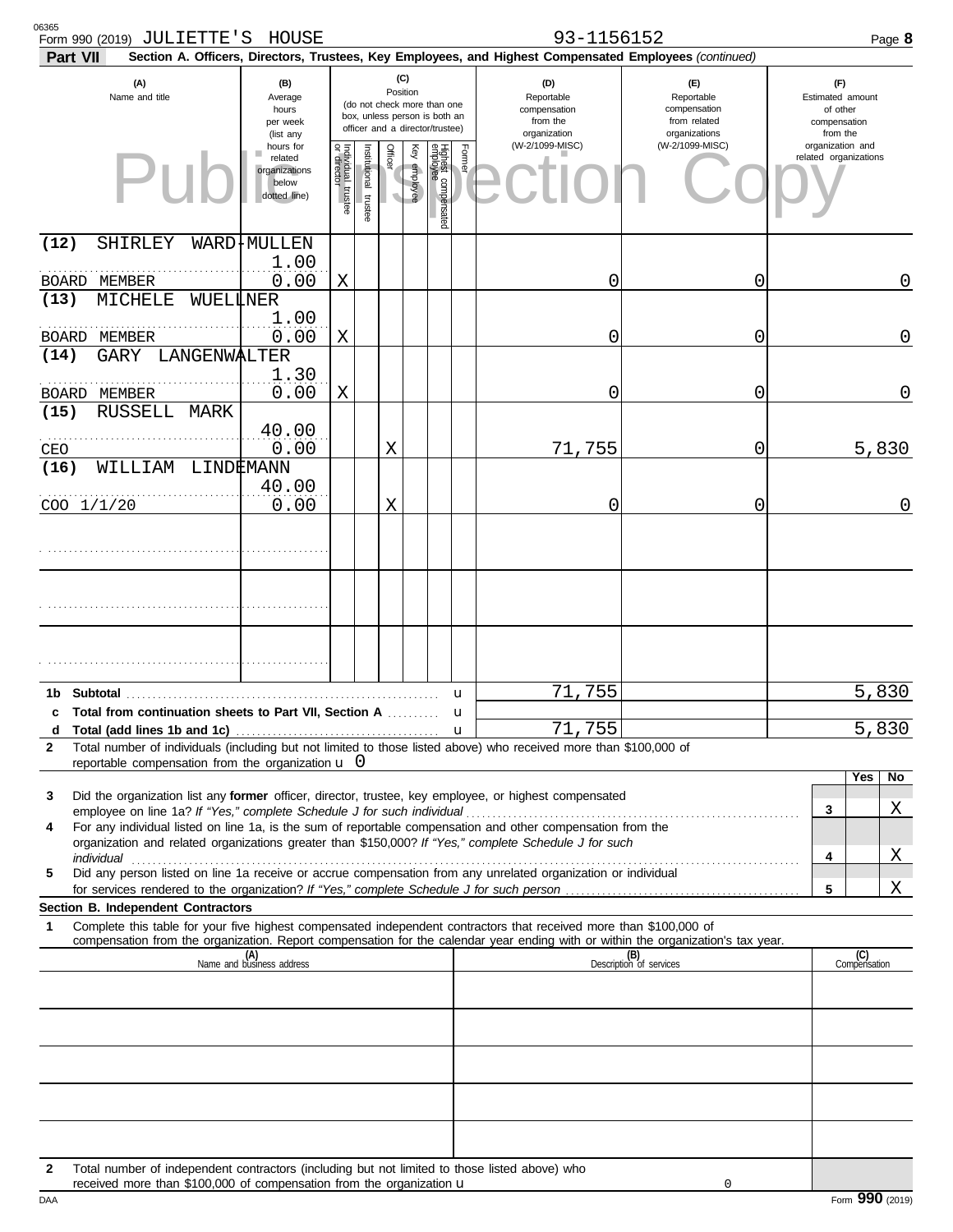| 06365<br>Form 990 (2019) JULIETTE'S HOUSE<br><b>Part VII</b>                                                                                                                                                                                                                                                                                                                                                                                                                                                                                                                                                                                                                                         |                                                                                                                                                                 |                                      |                       |         |              |                                 |                                                               | 93-1156152<br>Section A. Officers, Directors, Trustees, Key Employees, and Highest Compensated Employees (continued) |                                                                               |        | Page 8                                                          |
|------------------------------------------------------------------------------------------------------------------------------------------------------------------------------------------------------------------------------------------------------------------------------------------------------------------------------------------------------------------------------------------------------------------------------------------------------------------------------------------------------------------------------------------------------------------------------------------------------------------------------------------------------------------------------------------------------|-----------------------------------------------------------------------------------------------------------------------------------------------------------------|--------------------------------------|-----------------------|---------|--------------|---------------------------------|---------------------------------------------------------------|----------------------------------------------------------------------------------------------------------------------|-------------------------------------------------------------------------------|--------|-----------------------------------------------------------------|
| (A)<br>Name and title                                                                                                                                                                                                                                                                                                                                                                                                                                                                                                                                                                                                                                                                                | (B)<br>Position<br>Average<br>(do not check more than one<br>hours<br>box, unless person is both an<br>per week<br>officer and a director/trustee)<br>(list any |                                      |                       |         |              |                                 | (D)<br>Reportable<br>compensation<br>from the<br>organization |                                                                                                                      | $(\mathsf{F})$<br>Reportable<br>compensation<br>from related<br>organizations |        | (F)<br>Estimated amount<br>of other<br>compensation<br>from the |
|                                                                                                                                                                                                                                                                                                                                                                                                                                                                                                                                                                                                                                                                                                      | hours for<br>related<br>organizations<br>below<br>dotted line)                                                                                                  | Individual<br>or director<br>trustee | Institutional trustee | Officer | Key employee | Highest compensated<br>employee | Former                                                        | (W-2/1099-MISC)                                                                                                      | (W-2/1099-MISC)                                                               |        | organization and<br>related organizations                       |
| (12)<br>SHIRLEY<br>BOARD MEMBER                                                                                                                                                                                                                                                                                                                                                                                                                                                                                                                                                                                                                                                                      | WARD+MULLEN<br>1.00<br>0.00                                                                                                                                     | Χ                                    |                       |         |              |                                 |                                                               | 0                                                                                                                    | 0                                                                             |        | 0                                                               |
| (13)<br>MICHELE<br>WUELLNER<br>BOARD MEMBER                                                                                                                                                                                                                                                                                                                                                                                                                                                                                                                                                                                                                                                          | 1.00<br>0.00                                                                                                                                                    | Χ                                    |                       |         |              |                                 |                                                               | 0                                                                                                                    | 0                                                                             |        | 0                                                               |
| GARY LANGENWALTER<br>(14)<br>BOARD MEMBER                                                                                                                                                                                                                                                                                                                                                                                                                                                                                                                                                                                                                                                            | 1.30<br>0.00                                                                                                                                                    | Χ                                    |                       |         |              |                                 |                                                               | 0                                                                                                                    | 0                                                                             |        | 0                                                               |
| <b>RUSSELL</b><br>(15)<br>MARK<br>CEO                                                                                                                                                                                                                                                                                                                                                                                                                                                                                                                                                                                                                                                                | 40.00<br>0.00                                                                                                                                                   |                                      |                       | Χ       |              |                                 |                                                               | 71,755                                                                                                               | 0                                                                             |        | 5,830                                                           |
| (16)<br>WILLIAM<br>LINDEMANN<br>COO 1/1/20                                                                                                                                                                                                                                                                                                                                                                                                                                                                                                                                                                                                                                                           | 40.00<br>0.00                                                                                                                                                   |                                      |                       | Χ       |              |                                 |                                                               | 0                                                                                                                    | 0                                                                             |        | 0                                                               |
|                                                                                                                                                                                                                                                                                                                                                                                                                                                                                                                                                                                                                                                                                                      |                                                                                                                                                                 |                                      |                       |         |              |                                 |                                                               |                                                                                                                      |                                                                               |        |                                                                 |
|                                                                                                                                                                                                                                                                                                                                                                                                                                                                                                                                                                                                                                                                                                      |                                                                                                                                                                 |                                      |                       |         |              |                                 |                                                               |                                                                                                                      |                                                                               |        |                                                                 |
|                                                                                                                                                                                                                                                                                                                                                                                                                                                                                                                                                                                                                                                                                                      |                                                                                                                                                                 |                                      |                       |         |              |                                 |                                                               |                                                                                                                      |                                                                               |        |                                                                 |
| <b>Subtotal</b><br>1b.<br>c Total from continuation sheets to Part VII, Section A<br>d                                                                                                                                                                                                                                                                                                                                                                                                                                                                                                                                                                                                               |                                                                                                                                                                 |                                      |                       |         |              |                                 | u<br>u<br>$\mathbf u$                                         | 755<br>71<br>71,755                                                                                                  |                                                                               |        | 5,830<br>5,830                                                  |
| Total number of individuals (including but not limited to those listed above) who received more than \$100,000 of<br>$\mathbf{2}$<br>reportable compensation from the organization $\mathbf{u}$ 0                                                                                                                                                                                                                                                                                                                                                                                                                                                                                                    |                                                                                                                                                                 |                                      |                       |         |              |                                 |                                                               |                                                                                                                      |                                                                               |        | Yes                                                             |
| Did the organization list any former officer, director, trustee, key employee, or highest compensated<br>3<br>For any individual listed on line 1a, is the sum of reportable compensation and other compensation from the<br>4<br>organization and related organizations greater than \$150,000? If "Yes," complete Schedule J for such<br>individual <b>construction in the construction of the construction</b> in the construction of the construction of the construction of the construction of the construction of the construction of the construction of the construct<br>Did any person listed on line 1a receive or accrue compensation from any unrelated organization or individual<br>5 |                                                                                                                                                                 |                                      |                       |         |              |                                 |                                                               |                                                                                                                      |                                                                               | 3<br>4 | No<br>Χ<br>Χ                                                    |
| Section B. Independent Contractors                                                                                                                                                                                                                                                                                                                                                                                                                                                                                                                                                                                                                                                                   |                                                                                                                                                                 |                                      |                       |         |              |                                 |                                                               |                                                                                                                      |                                                                               | 5      | Χ                                                               |
| Complete this table for your five highest compensated independent contractors that received more than \$100,000 of<br>1<br>compensation from the organization. Report compensation for the calendar year ending with or within the organization's tax year.                                                                                                                                                                                                                                                                                                                                                                                                                                          | (A)<br>Name and business address                                                                                                                                |                                      |                       |         |              |                                 |                                                               |                                                                                                                      |                                                                               |        | (C)<br>Compensation                                             |
|                                                                                                                                                                                                                                                                                                                                                                                                                                                                                                                                                                                                                                                                                                      |                                                                                                                                                                 |                                      |                       |         |              |                                 |                                                               |                                                                                                                      | (B)<br>Description of services                                                |        |                                                                 |
|                                                                                                                                                                                                                                                                                                                                                                                                                                                                                                                                                                                                                                                                                                      |                                                                                                                                                                 |                                      |                       |         |              |                                 |                                                               |                                                                                                                      |                                                                               |        |                                                                 |
|                                                                                                                                                                                                                                                                                                                                                                                                                                                                                                                                                                                                                                                                                                      |                                                                                                                                                                 |                                      |                       |         |              |                                 |                                                               |                                                                                                                      |                                                                               |        |                                                                 |
| Total number of independent contractors (including but not limited to those listed above) who<br>$\mathbf{2}$<br>received more than \$100,000 of compensation from the organization u                                                                                                                                                                                                                                                                                                                                                                                                                                                                                                                |                                                                                                                                                                 |                                      |                       |         |              |                                 |                                                               |                                                                                                                      | 0                                                                             |        |                                                                 |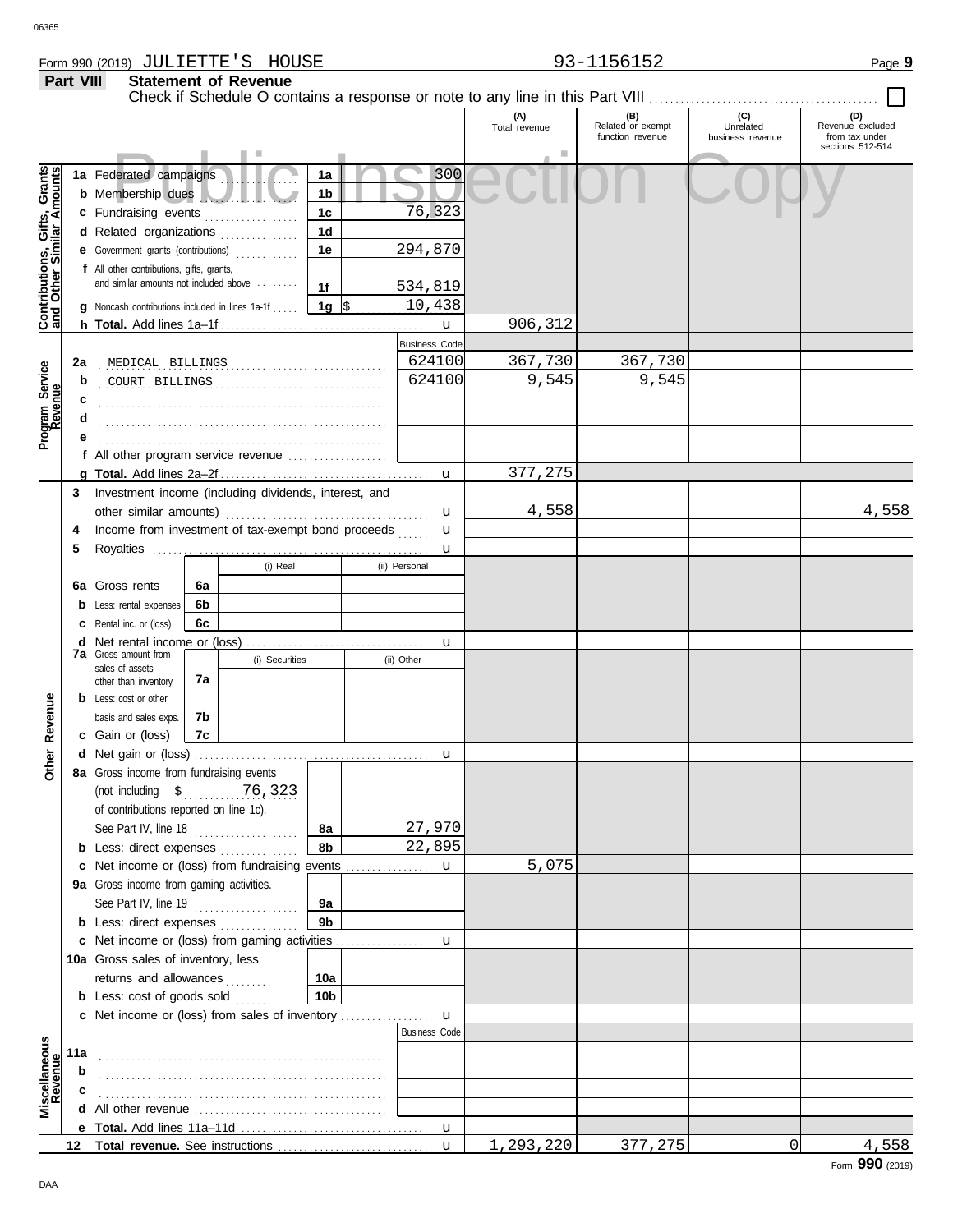**Part VIII Statement of Revenue**

#### Check if Schedule O contains a response or note to any line in this Part VIII **(A) (B) (C) (D)** Total revenue Related or exempt Unrelated Revenue excluded function revenue business revenue from tax under sections 512-514 Public Inspection Copy <u>ិទី</u> **Contributions, Gifts, Grants and Other Similar Amounts** 300 **1a** Federated campaigns **. . . . . . . . . . . . 1a** Gifts, Grant<br>nilar Amount: **1b b** Membership dues . . . . . . . . . . . . . . . . . . . 76,323 **c** Fundraising events **. . . . . . . . . . . . . .** . . **1c 1d d** Related organizations . . . . . . . . . . . . . Contributions, 294,870 **1e e** Government grants (contributions) . . . . . . . . . . . . **f** All other contributions, gifts, grants, and similar amounts not included above ........ **1f** 534,819 **1g**  $\frac{10,438}{1}$ **g** Noncash contributions included in lines 1a-1f . . . . . 906,312 **h Total.** Add lines 1a–1f . . . . . . . . . . . . . . . . . . . . . . . . . . . . . . . . . . . . . . . . u Business Code . . . . . . . . . . . . . . . . . . . . . . . . . . . . . . . . . . . . . . . . . . . . . . . . . . . . . . . **2a** MEDICAL BILLINGS 624100 367,730 367,730 Program Service<br>Revenue **Program Service** . . . . . . . . . . . . . . . . . . . . . . . . . . . . . . . . . . . . . . . . . . . . . . . . . . . . . . . COURT BILLINGS 624100 9,545 9,545 **b c** . . . . . . . . . . . . . . . . . . . . . . . . . . . . . . . . . . . . . . . . . . . . . . . . . . . . . . . **d** . . . . . . . . . . . . . . . . . . . . . . . . . . . . . . . . . . . . . . . . . . . . . . . . . . . . . . . **e** . . . . . . . . . . . . . . . . . . . . . . . . . . . . . . . . . . . . . . . . . . . . . . . . . . . . . . . **f** All other program service revenue . . . . . . . . . . . . . . . . . . . 377,275 **g Total.** Add lines 2a–2f . . . . . . . . . . . . . . . . . . . . . . . . . . . . . . . . . . . . . . . . u **3** Investment income (including dividends, interest, and 4,558 4,558 other similar amounts) . . . . . . . . . . . . . . . . . . . . . . . . . . . . . . . . . . . . . . . u Income from investment of tax-exempt bond proceeds **4** u **5** Royalties ..... u (i) Real (ii) Personal **6a 6a** Gross rents **6b b** Less: rental expenses **6c c** Rental inc. or (loss) **d** Net rental income or (loss) . . . . . . . . . . . . . . . . . . . . . . . . . . . . . . . . . . . u **7a** Gross amount from (i) Securities | (ii) Other sales of assets **7a** other than inventory Revenue **b** Less: cost or other **Other Revenue 7b** basis and sales exps. **7c c** Gain or (loss) **Other d** u Net gain or (loss) . . . . . . . . . . . . . . . . . . . . . . . . . . . . . . . . . . . . . . . . . . . . . **8a** Gross income from fundraising events (not including \$ . . . . . . . . . . . . . . . . . . . . . . 76,323 of contributions reported on line 1c). See Part IV, line 18 . . . . . . . . . . . . . . . . . . . . **8a** 27,970 **8b** 22,895 **b** Less: direct expenses . . . . . . . . . . . . . 5,075 u **c** Net income or (loss) from fundraising events ............... **9a** Gross income from gaming activities. See Part IV, line 19 . . . . . . . . . . . . . . . . . . . . **9a 9b b** Less: direct expenses ............... u Net income or (loss) from gaming activities . . . . . . . . . . . . . . . . . . **c** 10a Gross sales of inventory, less returns and allowances .......... **10a 10b b** Less: cost of goods sold  $\ldots$ Net income or (loss) from sales of inventory . . . . . . . . . . . . . . . . . **c** u Business Code **Revenue Miscellaneous 11a** . . . . . . . . . . . . . . . . . . . . . . . . . . . . . . . . . . . . . . . . . . . . . . . . . . . . . . . **b c d** All other revenue . . . . . . . . . . . . . . . . . . . . . . . . . . . . . . . . . . . . . **e Total.** Add lines 11a–11d . . . . . . . . . . . . . . . . . . . . . . . . . . . . . . . . . . . . u Total revenue. See instructions 1,293,220 377,275 0 4,558 **12** u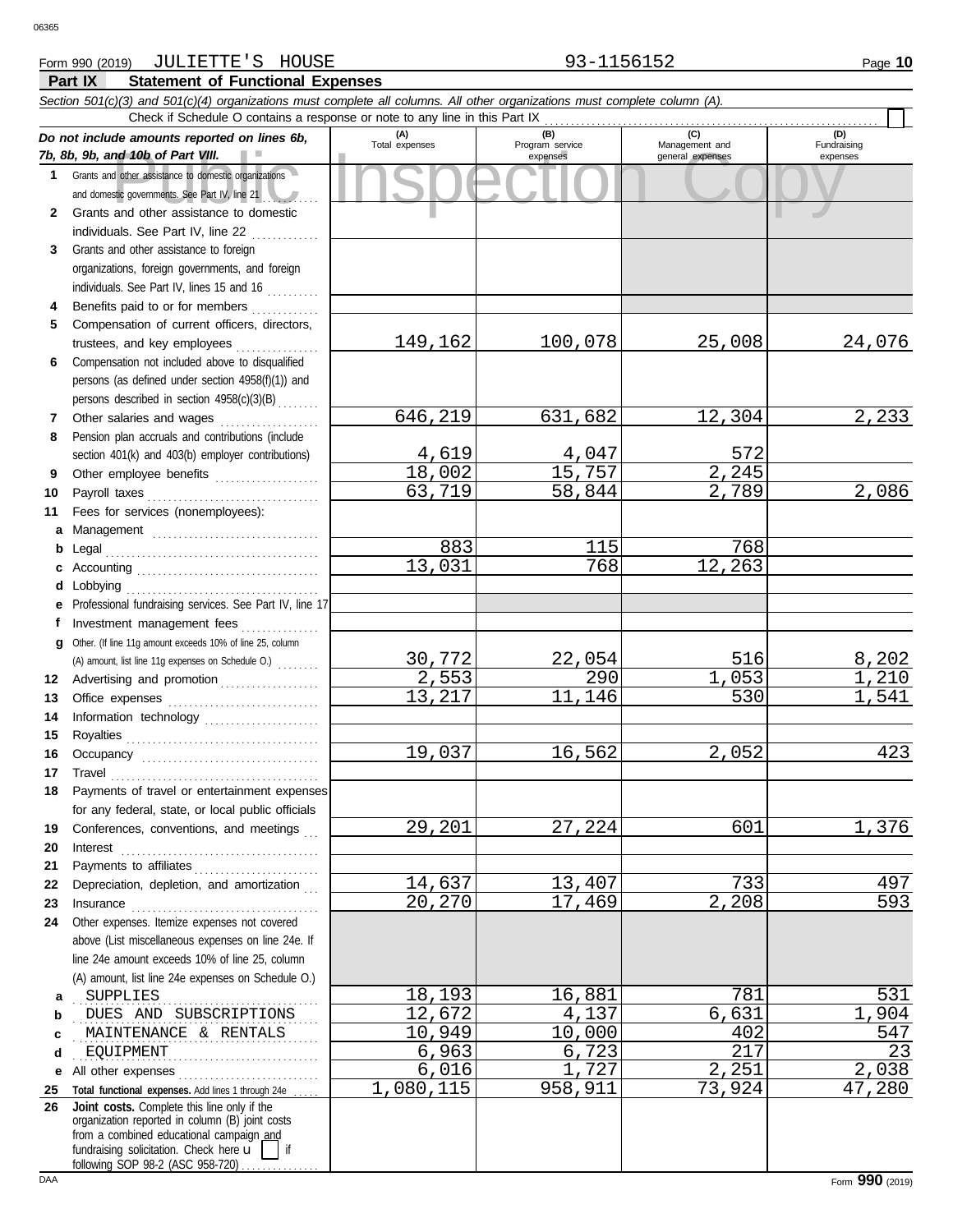### **Part IX Statement of Functional Expenses** Form 990 (2019) Page **10** JULIETTE'S HOUSE 93-1156152

|          | Section 501(c)(3) and 501(c)(4) organizations must complete all columns. All other organizations must complete column (A).                                                                                                                                                                                                                                                                               |                       |                        |                      |                    |  |  |  |  |  |  |  |
|----------|----------------------------------------------------------------------------------------------------------------------------------------------------------------------------------------------------------------------------------------------------------------------------------------------------------------------------------------------------------------------------------------------------------|-----------------------|------------------------|----------------------|--------------------|--|--|--|--|--|--|--|
|          | Check if Schedule O contains a response or note to any line in this Part IX<br>(C)                                                                                                                                                                                                                                                                                                                       |                       |                        |                      |                    |  |  |  |  |  |  |  |
|          | Do not include amounts reported on lines 6b,                                                                                                                                                                                                                                                                                                                                                             | (A)<br>Total expenses | (B)<br>Program service | Management and       | (D)<br>Fundraising |  |  |  |  |  |  |  |
|          | 7b, 8b, 9b, and 10b of Part VIII.                                                                                                                                                                                                                                                                                                                                                                        |                       | expenses               | general expenses     | expenses           |  |  |  |  |  |  |  |
|          | 1 Grants and other assistance to domestic organizations                                                                                                                                                                                                                                                                                                                                                  |                       |                        |                      |                    |  |  |  |  |  |  |  |
|          | and domestic governments. See Part IV, line 21<br>Grants and other assistance to domestic                                                                                                                                                                                                                                                                                                                |                       |                        |                      |                    |  |  |  |  |  |  |  |
| 2.       | individuals. See Part IV, line 22                                                                                                                                                                                                                                                                                                                                                                        |                       |                        |                      |                    |  |  |  |  |  |  |  |
| 3        | Grants and other assistance to foreign                                                                                                                                                                                                                                                                                                                                                                   |                       |                        |                      |                    |  |  |  |  |  |  |  |
|          | organizations, foreign governments, and foreign                                                                                                                                                                                                                                                                                                                                                          |                       |                        |                      |                    |  |  |  |  |  |  |  |
|          | individuals. See Part IV, lines 15 and 16                                                                                                                                                                                                                                                                                                                                                                |                       |                        |                      |                    |  |  |  |  |  |  |  |
| 4        | Benefits paid to or for members                                                                                                                                                                                                                                                                                                                                                                          |                       |                        |                      |                    |  |  |  |  |  |  |  |
| 5.       | Compensation of current officers, directors,                                                                                                                                                                                                                                                                                                                                                             |                       |                        |                      |                    |  |  |  |  |  |  |  |
|          | trustees, and key employees                                                                                                                                                                                                                                                                                                                                                                              | 149,162               | 100,078                | 25,008               | 24,076             |  |  |  |  |  |  |  |
| 6        | Compensation not included above to disqualified                                                                                                                                                                                                                                                                                                                                                          |                       |                        |                      |                    |  |  |  |  |  |  |  |
|          | persons (as defined under section 4958(f)(1)) and                                                                                                                                                                                                                                                                                                                                                        |                       |                        |                      |                    |  |  |  |  |  |  |  |
|          | persons described in section 4958(c)(3)(B)                                                                                                                                                                                                                                                                                                                                                               |                       |                        |                      |                    |  |  |  |  |  |  |  |
| 7        | Other salaries and wages                                                                                                                                                                                                                                                                                                                                                                                 | 646,219               | 631,682                | 12,304               | 2,233              |  |  |  |  |  |  |  |
| 8        | Pension plan accruals and contributions (include                                                                                                                                                                                                                                                                                                                                                         |                       |                        |                      |                    |  |  |  |  |  |  |  |
|          | section 401(k) and 403(b) employer contributions)                                                                                                                                                                                                                                                                                                                                                        | 4,619                 | 4,047                  | 572                  |                    |  |  |  |  |  |  |  |
| 9        | Other employee benefits                                                                                                                                                                                                                                                                                                                                                                                  | 18,002                | 15,757                 | $\overline{2,245}$   |                    |  |  |  |  |  |  |  |
| 10       | Payroll taxes                                                                                                                                                                                                                                                                                                                                                                                            | 63,719                | 58,844                 | 2,789                | 2,086              |  |  |  |  |  |  |  |
| 11       | Fees for services (nonemployees):                                                                                                                                                                                                                                                                                                                                                                        |                       |                        |                      |                    |  |  |  |  |  |  |  |
| a        |                                                                                                                                                                                                                                                                                                                                                                                                          |                       |                        |                      |                    |  |  |  |  |  |  |  |
| b        |                                                                                                                                                                                                                                                                                                                                                                                                          | 883                   | 115                    | 768                  |                    |  |  |  |  |  |  |  |
|          |                                                                                                                                                                                                                                                                                                                                                                                                          | 13,031                | 768                    | 12,263               |                    |  |  |  |  |  |  |  |
| d        | Lobbying                                                                                                                                                                                                                                                                                                                                                                                                 |                       |                        |                      |                    |  |  |  |  |  |  |  |
|          | Professional fundraising services. See Part IV, line 17                                                                                                                                                                                                                                                                                                                                                  |                       |                        |                      |                    |  |  |  |  |  |  |  |
| f        | Investment management fees                                                                                                                                                                                                                                                                                                                                                                               |                       |                        |                      |                    |  |  |  |  |  |  |  |
| g        | Other. (If line 11g amount exceeds 10% of line 25, column                                                                                                                                                                                                                                                                                                                                                |                       |                        |                      |                    |  |  |  |  |  |  |  |
|          | (A) amount, list line 11g expenses on Schedule O.)                                                                                                                                                                                                                                                                                                                                                       | 30,772                | 22,054                 | 516                  | 8,202              |  |  |  |  |  |  |  |
| 12       | Advertising and promotion                                                                                                                                                                                                                                                                                                                                                                                | 2,553                 | 290                    | $\overline{1}$ , 053 | 1,210              |  |  |  |  |  |  |  |
| 13       |                                                                                                                                                                                                                                                                                                                                                                                                          | 13,217                | 11,146                 | 530                  | 1,541              |  |  |  |  |  |  |  |
| 14       | Information technology                                                                                                                                                                                                                                                                                                                                                                                   |                       |                        |                      |                    |  |  |  |  |  |  |  |
| 15       |                                                                                                                                                                                                                                                                                                                                                                                                          |                       |                        |                      |                    |  |  |  |  |  |  |  |
| 16       |                                                                                                                                                                                                                                                                                                                                                                                                          | 19,037                | 16,562                 | 2,052                | 423                |  |  |  |  |  |  |  |
| 17       |                                                                                                                                                                                                                                                                                                                                                                                                          |                       |                        |                      |                    |  |  |  |  |  |  |  |
| 18       | Payments of travel or entertainment expenses                                                                                                                                                                                                                                                                                                                                                             |                       |                        |                      |                    |  |  |  |  |  |  |  |
|          | for any federal, state, or local public officials                                                                                                                                                                                                                                                                                                                                                        |                       |                        |                      |                    |  |  |  |  |  |  |  |
| 19       | Conferences, conventions, and meetings                                                                                                                                                                                                                                                                                                                                                                   | 29,201                | 27,224                 | 601                  | 1,376              |  |  |  |  |  |  |  |
| 20       | $\textbf{Interest} \hspace{1.5cm} \textbf{1} \hspace{1.5cm} \textbf{1} \hspace{1.5cm} \textbf{2} \hspace{1.5cm} \textbf{3} \hspace{1.5cm} \textbf{4} \hspace{1.5cm} \textbf{5} \hspace{1.5cm} \textbf{6} \hspace{1.5cm} \textbf{6} \hspace{1.5cm} \textbf{6} \hspace{1.5cm} \textbf{7} \hspace{1.5cm} \textbf{8} \hspace{1.5cm} \textbf{9} \hspace{1.5cm} \textbf{1} \hspace{1.5cm} \textbf{1} \hspace{$ |                       |                        |                      |                    |  |  |  |  |  |  |  |
| 21       | Payments to affiliates                                                                                                                                                                                                                                                                                                                                                                                   |                       |                        |                      |                    |  |  |  |  |  |  |  |
| 22       | Depreciation, depletion, and amortization                                                                                                                                                                                                                                                                                                                                                                | 14,637                | 13,407                 | 733                  | 497                |  |  |  |  |  |  |  |
| 23       | Insurance with a construction of the construction of the construction of the construction of the construction of the construction of the construction of the construction of the construction of the construction of the const                                                                                                                                                                           | 20,270                | 17,469                 | $\overline{2}$ , 208 | 593                |  |  |  |  |  |  |  |
| 24       | Other expenses. Itemize expenses not covered                                                                                                                                                                                                                                                                                                                                                             |                       |                        |                      |                    |  |  |  |  |  |  |  |
|          | above (List miscellaneous expenses on line 24e. If                                                                                                                                                                                                                                                                                                                                                       |                       |                        |                      |                    |  |  |  |  |  |  |  |
|          | line 24e amount exceeds 10% of line 25, column                                                                                                                                                                                                                                                                                                                                                           |                       |                        |                      |                    |  |  |  |  |  |  |  |
|          | (A) amount, list line 24e expenses on Schedule O.)                                                                                                                                                                                                                                                                                                                                                       |                       |                        |                      |                    |  |  |  |  |  |  |  |
| а        | SUPPLIES                                                                                                                                                                                                                                                                                                                                                                                                 | 18,193                | 16,881                 | 781                  | 531                |  |  |  |  |  |  |  |
| b        | DUES AND SUBSCRIPTIONS                                                                                                                                                                                                                                                                                                                                                                                   | 12,672                | 4,137                  | 6,631                | 1,904              |  |  |  |  |  |  |  |
| c        | MAINTENANCE & RENTALS                                                                                                                                                                                                                                                                                                                                                                                    | 10,949                | 10,000                 | 402                  | 547                |  |  |  |  |  |  |  |
| d        | EQUIPMENT                                                                                                                                                                                                                                                                                                                                                                                                | 6,963                 | 6,723                  | 217                  | 23                 |  |  |  |  |  |  |  |
| е        |                                                                                                                                                                                                                                                                                                                                                                                                          | 6,016                 | 1,727                  | 2,251                | 2,038              |  |  |  |  |  |  |  |
| 25<br>26 | Total functional expenses. Add lines 1 through 24e<br>Joint costs. Complete this line only if the                                                                                                                                                                                                                                                                                                        | 1,080,115             | 958,911                | 73,924               | 47,280             |  |  |  |  |  |  |  |
|          | organization reported in column (B) joint costs                                                                                                                                                                                                                                                                                                                                                          |                       |                        |                      |                    |  |  |  |  |  |  |  |
|          | from a combined educational campaign and                                                                                                                                                                                                                                                                                                                                                                 |                       |                        |                      |                    |  |  |  |  |  |  |  |
|          | fundraising solicitation. Check here u<br>$\overline{\phantom{a}}$ if<br>following SOP 98-2 (ASC 958-720)                                                                                                                                                                                                                                                                                                |                       |                        |                      |                    |  |  |  |  |  |  |  |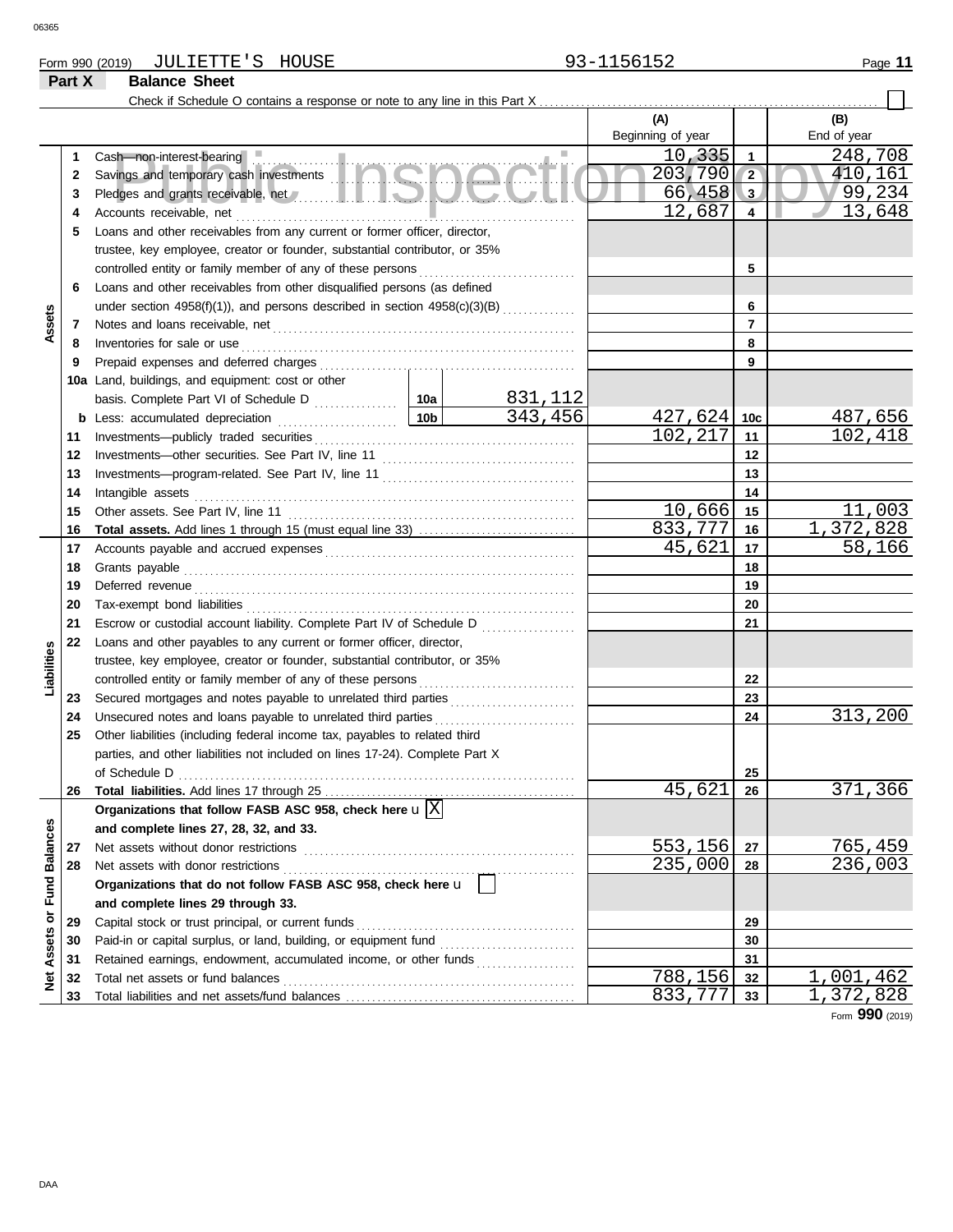# Form 990 (2019) Page **11** JULIETTE'S HOUSE 93-1156152

# **Part X Balance Sheet**

Check if Schedule O contains a response or note to any line in this Part X . . . . . . . . . . . . . . . . . . . . . . . . . . . . . . . . . . . . . . . . . . . . . . . . . . . . . . . . . . . . . . . . .

|                             |    |                                                                                                                                     |                 |            | (A)               |                         | (B)             |
|-----------------------------|----|-------------------------------------------------------------------------------------------------------------------------------------|-----------------|------------|-------------------|-------------------------|-----------------|
|                             |    |                                                                                                                                     |                 |            | Beginning of year |                         | End of year     |
|                             | 1  | Cash-non-interest-bearing                                                                                                           |                 |            | 10,335            | $\mathbf{1}$            | 248,708         |
|                             | 2  | Savings and temporary cash investments and temporary cash investments                                                               | 203,790         | $\sqrt{2}$ | 410,161           |                         |                 |
|                             | 3  | Pledges and grants receivable, net <b>All and School and School and School and School and School and School and School</b>          |                 |            | 66,458            | $\overline{\mathbf{3}}$ | 99,234          |
|                             | 4  | Accounts receivable, net                                                                                                            |                 |            | 12,687            | $\overline{4}$          | 13,648          |
|                             | 5  | Loans and other receivables from any current or former officer, director,                                                           |                 |            |                   |                         |                 |
|                             |    | trustee, key employee, creator or founder, substantial contributor, or 35%                                                          |                 |            |                   |                         |                 |
|                             |    | controlled entity or family member of any of these persons                                                                          |                 |            |                   | 5                       |                 |
|                             | 6  | Loans and other receivables from other disqualified persons (as defined                                                             |                 |            |                   |                         |                 |
|                             |    | under section 4958(f)(1)), and persons described in section 4958(c)(3)(B)                                                           |                 |            |                   | 6                       |                 |
| Assets                      | 7  |                                                                                                                                     |                 |            |                   | $\overline{7}$          |                 |
|                             | 8  | Inventories for sale or use                                                                                                         |                 |            |                   | 8                       |                 |
|                             | 9  |                                                                                                                                     |                 |            |                   | 9                       |                 |
|                             |    | 10a Land, buildings, and equipment: cost or other                                                                                   |                 |            |                   |                         |                 |
|                             |    |                                                                                                                                     |                 | 831,112    |                   |                         |                 |
|                             |    | <b>b</b> Less: accumulated depreciation                                                                                             | 10 <sub>b</sub> | 343, 456   | 427,624           | 10 <sub>c</sub>         | 487,656         |
|                             | 11 | Investments-publicly traded securities                                                                                              |                 |            | 102,217           | 11                      | 102,418         |
|                             | 12 | Investments-other securities. See Part IV, line 11                                                                                  |                 |            |                   | 12                      |                 |
|                             | 13 |                                                                                                                                     |                 |            |                   | 13                      |                 |
|                             | 14 | Intangible assets                                                                                                                   |                 |            |                   | 14                      |                 |
|                             | 15 | Other assets. See Part IV, line 11                                                                                                  |                 |            | 10,666            | 15                      | 11,003          |
|                             | 16 |                                                                                                                                     |                 |            | 833,777           | 16                      | 1,372,828       |
|                             | 17 |                                                                                                                                     |                 |            | 45,621            | 17                      | 58,166          |
|                             | 18 | Grants payable                                                                                                                      |                 |            |                   | 18                      |                 |
|                             | 19 | Deferred revenue                                                                                                                    |                 | 19         |                   |                         |                 |
|                             | 20 |                                                                                                                                     |                 | 20         |                   |                         |                 |
|                             | 21 | Escrow or custodial account liability. Complete Part IV of Schedule D                                                               |                 | 21         |                   |                         |                 |
|                             | 22 | Loans and other payables to any current or former officer, director,                                                                | .               |            |                   |                         |                 |
| Liabilities                 |    | trustee, key employee, creator or founder, substantial contributor, or 35%                                                          |                 |            |                   |                         |                 |
|                             |    | controlled entity or family member of any of these persons                                                                          |                 |            | 22                |                         |                 |
|                             | 23 | Secured mortgages and notes payable to unrelated third parties [111] Secured mortgages and notes payable to unrelated third parties |                 |            |                   | 23                      |                 |
|                             | 24 | Unsecured notes and loans payable to unrelated third parties                                                                        |                 |            |                   | 24                      | 313,200         |
|                             | 25 | Other liabilities (including federal income tax, payables to related third                                                          |                 |            |                   |                         |                 |
|                             |    | parties, and other liabilities not included on lines 17-24). Complete Part X                                                        |                 |            |                   |                         |                 |
|                             |    | of Schedule D                                                                                                                       |                 |            |                   | 25                      |                 |
|                             | 26 |                                                                                                                                     |                 |            | 45,621            | 26                      | 371,366         |
|                             |    | Organizations that follow FASB ASC 958, check here $\mathbf{u} \times$                                                              |                 |            |                   |                         |                 |
|                             |    | and complete lines 27, 28, 32, and 33.                                                                                              |                 |            |                   |                         |                 |
|                             | 27 | Net assets without donor restrictions                                                                                               |                 |            | 553,156           | 27                      | 765,459         |
|                             | 28 | Net assets with donor restrictions                                                                                                  |                 |            | 235,000           | 28                      | 236,003         |
|                             |    | Organizations that do not follow FASB ASC 958, check here u                                                                         |                 |            |                   |                         |                 |
|                             |    | and complete lines 29 through 33.                                                                                                   |                 |            |                   |                         |                 |
|                             | 29 | Capital stock or trust principal, or current funds                                                                                  |                 | 29         |                   |                         |                 |
| Net Assets or Fund Balances | 30 | Paid-in or capital surplus, or land, building, or equipment fund                                                                    |                 |            |                   | 30                      |                 |
|                             | 31 | Retained earnings, endowment, accumulated income, or other funds                                                                    |                 |            |                   | 31                      |                 |
|                             | 32 | Total net assets or fund balances                                                                                                   |                 |            | 788,156           | 32                      | 1,001,462       |
|                             | 33 |                                                                                                                                     |                 |            | 833,777           | 33                      | 1,372,828       |
|                             |    |                                                                                                                                     |                 |            |                   |                         | Form 990 (2019) |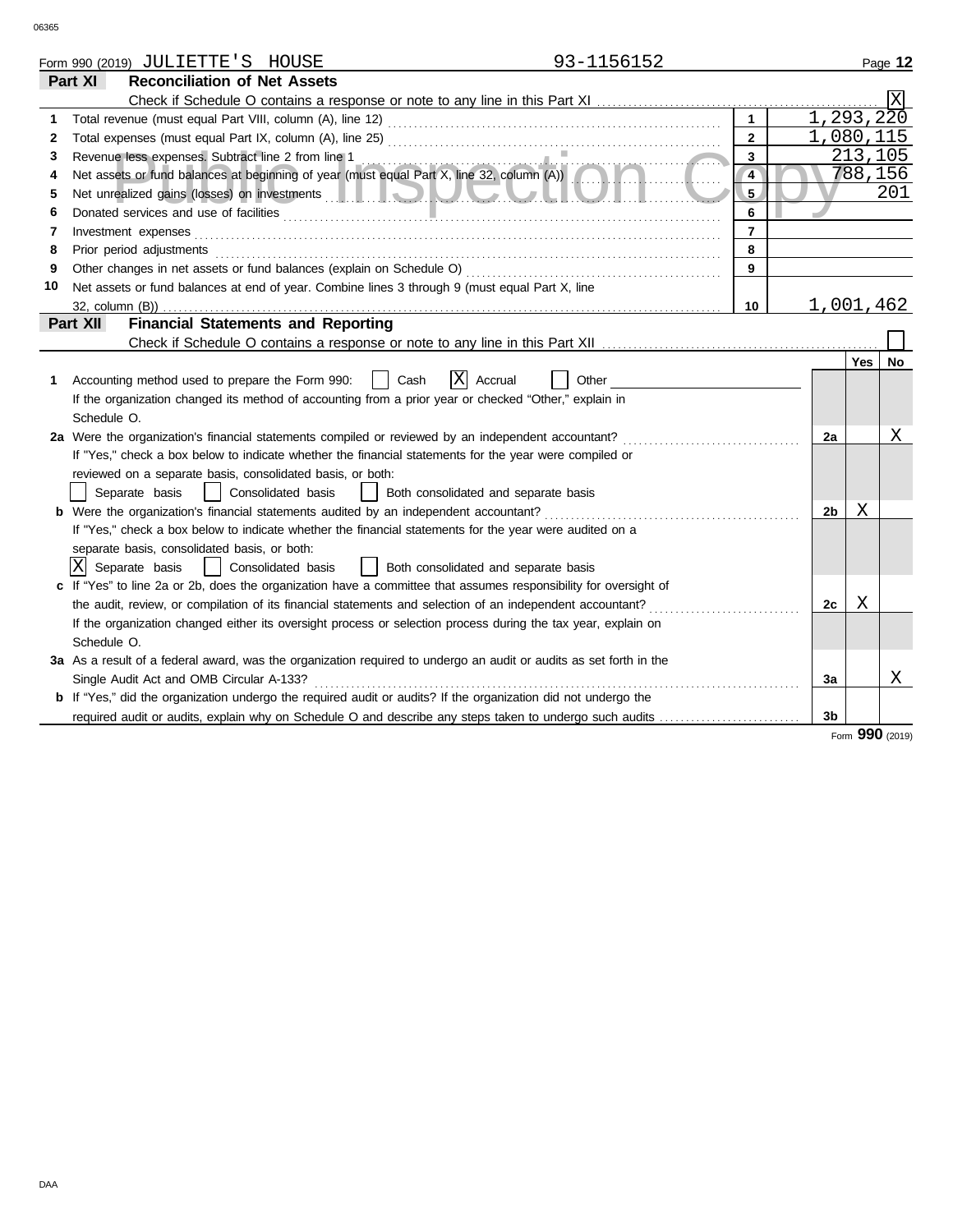|    | 93-1156152<br>Form 990 (2019) JULIETTE'S HOUSE                                                                                                                                                                                 |                |                |            | Page 12 |
|----|--------------------------------------------------------------------------------------------------------------------------------------------------------------------------------------------------------------------------------|----------------|----------------|------------|---------|
|    | Part XI<br><b>Reconciliation of Net Assets</b>                                                                                                                                                                                 |                |                |            |         |
|    |                                                                                                                                                                                                                                |                |                |            |         |
|    | Total revenue (must equal Part VIII, column (A), line 12) [2010] [2010] [2010] [2010] [2010] [2010] [2010] [20                                                                                                                 | $\mathbf{1}$   | 1, 293, 220    |            |         |
| 2  |                                                                                                                                                                                                                                | $\overline{2}$ | 1,080,115      |            |         |
| 3  |                                                                                                                                                                                                                                | $\mathbf{3}$   |                | 213,105    |         |
| 4  | Revenue less expenses. Subtract line 2 from line 1<br>Net assets or fund balances at beginning of year (must equal Part X, line 32, column (A))                                                                                | $\overline{4}$ |                | 788,156    |         |
| 5  |                                                                                                                                                                                                                                | 5              |                |            | 201     |
| 6  |                                                                                                                                                                                                                                | 6              |                |            |         |
| 7  | $Investment \textit{ expenses} \textit{________} \label{ex:ex:ex:1} \begin{minipage}[c]{0.9\linewidth} \textit{Investment} \textit{expenses} \end{minipage} \vspace{-0.1cm}$                                                   | $\overline{7}$ |                |            |         |
| 8  | Prior period adjustments entertainments and adjustments of the contract of the contract of the contract of the contract of the contract of the contract of the contract of the contract of the contract of the contract of the | 8              |                |            |         |
| 9  |                                                                                                                                                                                                                                | 9              |                |            |         |
| 10 | Net assets or fund balances at end of year. Combine lines 3 through 9 (must equal Part X, line                                                                                                                                 |                |                |            |         |
|    |                                                                                                                                                                                                                                | 10             | 1,001,462      |            |         |
|    | <b>Financial Statements and Reporting</b><br>Part XII                                                                                                                                                                          |                |                |            |         |
|    |                                                                                                                                                                                                                                |                |                |            |         |
|    |                                                                                                                                                                                                                                |                |                | <b>Yes</b> | No      |
| 1  | X Accrual<br>Accounting method used to prepare the Form 990:<br>Cash<br>Other                                                                                                                                                  |                |                |            |         |
|    | If the organization changed its method of accounting from a prior year or checked "Other," explain in                                                                                                                          |                |                |            |         |
|    | Schedule O.                                                                                                                                                                                                                    |                |                |            |         |
|    | 2a Were the organization's financial statements compiled or reviewed by an independent accountant?                                                                                                                             |                | 2a             |            | Χ       |
|    | If "Yes," check a box below to indicate whether the financial statements for the year were compiled or                                                                                                                         |                |                |            |         |
|    | reviewed on a separate basis, consolidated basis, or both:                                                                                                                                                                     |                |                |            |         |
|    | Separate basis<br>  Consolidated basis<br>  Both consolidated and separate basis                                                                                                                                               |                |                |            |         |
|    | <b>b</b> Were the organization's financial statements audited by an independent accountant?                                                                                                                                    |                | 2b             | Χ          |         |
|    | If "Yes," check a box below to indicate whether the financial statements for the year were audited on a                                                                                                                        |                |                |            |         |
|    | separate basis, consolidated basis, or both:                                                                                                                                                                                   |                |                |            |         |
|    | X Separate basis<br>  Consolidated basis<br>  Both consolidated and separate basis                                                                                                                                             |                |                |            |         |
|    | If "Yes" to line 2a or 2b, does the organization have a committee that assumes responsibility for oversight of                                                                                                                 |                |                |            |         |
|    | the audit, review, or compilation of its financial statements and selection of an independent accountant?                                                                                                                      |                | 2c             | X          |         |
|    | If the organization changed either its oversight process or selection process during the tax year, explain on                                                                                                                  |                |                |            |         |
|    | Schedule O.                                                                                                                                                                                                                    |                |                |            |         |
|    | 3a As a result of a federal award, was the organization required to undergo an audit or audits as set forth in the                                                                                                             |                |                |            |         |
|    | Single Audit Act and OMB Circular A-133?                                                                                                                                                                                       |                | За             |            | Χ       |
|    | <b>b</b> If "Yes," did the organization undergo the required audit or audits? If the organization did not undergo the                                                                                                          |                |                |            |         |
|    |                                                                                                                                                                                                                                |                | 3 <sub>b</sub> |            |         |

Form **990** (2019)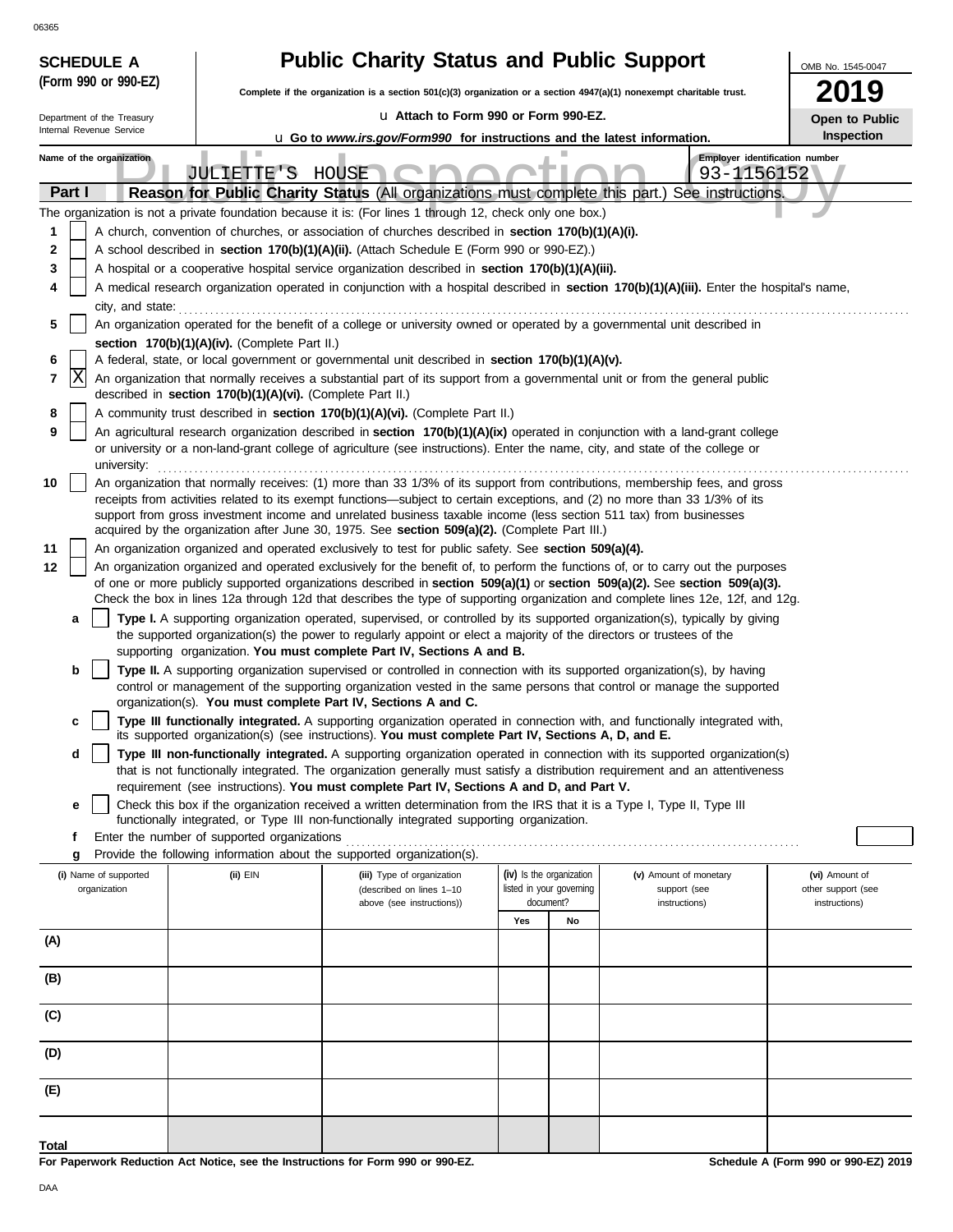| 06365                                                  |                                                                  |                                                                                                                                                                                                                                                  |                                                                                                                      |    |                                                                                                                                                                                                                                                                 |                    |  |  |  |  |
|--------------------------------------------------------|------------------------------------------------------------------|--------------------------------------------------------------------------------------------------------------------------------------------------------------------------------------------------------------------------------------------------|----------------------------------------------------------------------------------------------------------------------|----|-----------------------------------------------------------------------------------------------------------------------------------------------------------------------------------------------------------------------------------------------------------------|--------------------|--|--|--|--|
| <b>SCHEDULE A</b>                                      |                                                                  | <b>Public Charity Status and Public Support</b>                                                                                                                                                                                                  |                                                                                                                      |    |                                                                                                                                                                                                                                                                 |                    |  |  |  |  |
| (Form 990 or 990-EZ)                                   |                                                                  |                                                                                                                                                                                                                                                  | Complete if the organization is a section 501(c)(3) organization or a section 4947(a)(1) nonexempt charitable trust. |    |                                                                                                                                                                                                                                                                 |                    |  |  |  |  |
| Department of the Treasury<br>Internal Revenue Service |                                                                  | La Attach to Form 990 or Form 990-EZ.                                                                                                                                                                                                            |                                                                                                                      |    |                                                                                                                                                                                                                                                                 | Open to Public     |  |  |  |  |
|                                                        |                                                                  | <b>u</b> Go to www.irs.gov/Form990 for instructions and the latest information.                                                                                                                                                                  |                                                                                                                      |    |                                                                                                                                                                                                                                                                 | <b>Inspection</b>  |  |  |  |  |
| Name of the organization                               | Employer identification number<br>JULIETTE'S HOUSE<br>93-1156152 |                                                                                                                                                                                                                                                  |                                                                                                                      |    |                                                                                                                                                                                                                                                                 |                    |  |  |  |  |
| Part I                                                 |                                                                  | Reason for Public Charity Status (All organizations must complete this part.)                                                                                                                                                                    |                                                                                                                      |    | See instructions.                                                                                                                                                                                                                                               |                    |  |  |  |  |
|                                                        |                                                                  | The organization is not a private foundation because it is: (For lines 1 through 12, check only one box.)                                                                                                                                        |                                                                                                                      |    |                                                                                                                                                                                                                                                                 |                    |  |  |  |  |
| 1                                                      |                                                                  | A church, convention of churches, or association of churches described in section 170(b)(1)(A)(i).                                                                                                                                               |                                                                                                                      |    |                                                                                                                                                                                                                                                                 |                    |  |  |  |  |
| 2<br>3                                                 |                                                                  | A school described in <b>section 170(b)(1)(A)(ii).</b> (Attach Schedule E (Form 990 or 990-EZ).)<br>A hospital or a cooperative hospital service organization described in section 170(b)(1)(A)(iii).                                            |                                                                                                                      |    |                                                                                                                                                                                                                                                                 |                    |  |  |  |  |
| 4                                                      |                                                                  |                                                                                                                                                                                                                                                  |                                                                                                                      |    | A medical research organization operated in conjunction with a hospital described in section 170(b)(1)(A)(iii). Enter the hospital's name,                                                                                                                      |                    |  |  |  |  |
| city, and state:                                       |                                                                  |                                                                                                                                                                                                                                                  |                                                                                                                      |    |                                                                                                                                                                                                                                                                 |                    |  |  |  |  |
| 5                                                      |                                                                  | An organization operated for the benefit of a college or university owned or operated by a governmental unit described in                                                                                                                        |                                                                                                                      |    |                                                                                                                                                                                                                                                                 |                    |  |  |  |  |
| 6                                                      | section 170(b)(1)(A)(iv). (Complete Part II.)                    | A federal, state, or local government or governmental unit described in section 170(b)(1)(A)(v).                                                                                                                                                 |                                                                                                                      |    |                                                                                                                                                                                                                                                                 |                    |  |  |  |  |
| X<br>7                                                 |                                                                  | An organization that normally receives a substantial part of its support from a governmental unit or from the general public                                                                                                                     |                                                                                                                      |    |                                                                                                                                                                                                                                                                 |                    |  |  |  |  |
|                                                        | described in section 170(b)(1)(A)(vi). (Complete Part II.)       |                                                                                                                                                                                                                                                  |                                                                                                                      |    |                                                                                                                                                                                                                                                                 |                    |  |  |  |  |
| 8<br>9                                                 |                                                                  | A community trust described in section 170(b)(1)(A)(vi). (Complete Part II.)                                                                                                                                                                     |                                                                                                                      |    | An agricultural research organization described in section 170(b)(1)(A)(ix) operated in conjunction with a land-grant college                                                                                                                                   |                    |  |  |  |  |
| university:                                            |                                                                  | or university or a non-land-grant college of agriculture (see instructions). Enter the name, city, and state of the college or                                                                                                                   |                                                                                                                      |    |                                                                                                                                                                                                                                                                 |                    |  |  |  |  |
| 10                                                     |                                                                  |                                                                                                                                                                                                                                                  |                                                                                                                      |    | An organization that normally receives: (1) more than 33 1/3% of its support from contributions, membership fees, and gross                                                                                                                                     |                    |  |  |  |  |
|                                                        |                                                                  | receipts from activities related to its exempt functions—subject to certain exceptions, and (2) no more than 33 1/3% of its<br>support from gross investment income and unrelated business taxable income (less section 511 tax) from businesses |                                                                                                                      |    |                                                                                                                                                                                                                                                                 |                    |  |  |  |  |
|                                                        |                                                                  | acquired by the organization after June 30, 1975. See section 509(a)(2). (Complete Part III.)                                                                                                                                                    |                                                                                                                      |    |                                                                                                                                                                                                                                                                 |                    |  |  |  |  |
| 11                                                     |                                                                  | An organization organized and operated exclusively to test for public safety. See section 509(a)(4).                                                                                                                                             |                                                                                                                      |    |                                                                                                                                                                                                                                                                 |                    |  |  |  |  |
| 12                                                     |                                                                  |                                                                                                                                                                                                                                                  |                                                                                                                      |    | An organization organized and operated exclusively for the benefit of, to perform the functions of, or to carry out the purposes<br>of one or more publicly supported organizations described in section 509(a)(1) or section 509(a)(2). See section 509(a)(3). |                    |  |  |  |  |
|                                                        |                                                                  |                                                                                                                                                                                                                                                  |                                                                                                                      |    | Check the box in lines 12a through 12d that describes the type of supporting organization and complete lines 12e, 12f, and 12g.                                                                                                                                 |                    |  |  |  |  |
| a                                                      |                                                                  | the supported organization(s) the power to regularly appoint or elect a majority of the directors or trustees of the                                                                                                                             |                                                                                                                      |    | Type I. A supporting organization operated, supervised, or controlled by its supported organization(s), typically by giving                                                                                                                                     |                    |  |  |  |  |
| b                                                      |                                                                  | supporting organization. You must complete Part IV, Sections A and B.<br>Type II. A supporting organization supervised or controlled in connection with its supported organization(s), by having                                                 |                                                                                                                      |    |                                                                                                                                                                                                                                                                 |                    |  |  |  |  |
|                                                        |                                                                  |                                                                                                                                                                                                                                                  |                                                                                                                      |    | control or management of the supporting organization vested in the same persons that control or manage the supported                                                                                                                                            |                    |  |  |  |  |
|                                                        |                                                                  | organization(s). You must complete Part IV, Sections A and C.                                                                                                                                                                                    |                                                                                                                      |    |                                                                                                                                                                                                                                                                 |                    |  |  |  |  |
|                                                        |                                                                  | its supported organization(s) (see instructions). You must complete Part IV, Sections A, D, and E.                                                                                                                                               |                                                                                                                      |    | Type III functionally integrated. A supporting organization operated in connection with, and functionally integrated with,                                                                                                                                      |                    |  |  |  |  |
| d                                                      |                                                                  |                                                                                                                                                                                                                                                  |                                                                                                                      |    | Type III non-functionally integrated. A supporting organization operated in connection with its supported organization(s)<br>that is not functionally integrated. The organization generally must satisfy a distribution requirement and an attentiveness       |                    |  |  |  |  |
| е                                                      |                                                                  | requirement (see instructions). You must complete Part IV, Sections A and D, and Part V.<br>Check this box if the organization received a written determination from the IRS that it is a Type I, Type II, Type III                              |                                                                                                                      |    |                                                                                                                                                                                                                                                                 |                    |  |  |  |  |
|                                                        |                                                                  | functionally integrated, or Type III non-functionally integrated supporting organization.                                                                                                                                                        |                                                                                                                      |    |                                                                                                                                                                                                                                                                 |                    |  |  |  |  |
| f<br>g                                                 | Enter the number of supported organizations                      | Provide the following information about the supported organization(s).                                                                                                                                                                           |                                                                                                                      |    |                                                                                                                                                                                                                                                                 |                    |  |  |  |  |
| (i) Name of supported                                  | (ii) EIN                                                         | (iii) Type of organization                                                                                                                                                                                                                       | (iv) Is the organization                                                                                             |    | (v) Amount of monetary                                                                                                                                                                                                                                          | (vi) Amount of     |  |  |  |  |
| organization                                           |                                                                  | (described on lines 1-10                                                                                                                                                                                                                         | listed in your governing<br>document?                                                                                |    | support (see                                                                                                                                                                                                                                                    | other support (see |  |  |  |  |
|                                                        |                                                                  | above (see instructions))                                                                                                                                                                                                                        | Yes                                                                                                                  | No | instructions)                                                                                                                                                                                                                                                   | instructions)      |  |  |  |  |
| (A)                                                    |                                                                  |                                                                                                                                                                                                                                                  |                                                                                                                      |    |                                                                                                                                                                                                                                                                 |                    |  |  |  |  |
|                                                        |                                                                  |                                                                                                                                                                                                                                                  |                                                                                                                      |    |                                                                                                                                                                                                                                                                 |                    |  |  |  |  |
| (B)                                                    |                                                                  |                                                                                                                                                                                                                                                  |                                                                                                                      |    |                                                                                                                                                                                                                                                                 |                    |  |  |  |  |
| (C)                                                    |                                                                  |                                                                                                                                                                                                                                                  |                                                                                                                      |    |                                                                                                                                                                                                                                                                 |                    |  |  |  |  |
| (D)                                                    |                                                                  |                                                                                                                                                                                                                                                  |                                                                                                                      |    |                                                                                                                                                                                                                                                                 |                    |  |  |  |  |
| (E)                                                    |                                                                  |                                                                                                                                                                                                                                                  |                                                                                                                      |    |                                                                                                                                                                                                                                                                 |                    |  |  |  |  |
| <b>Total</b>                                           |                                                                  |                                                                                                                                                                                                                                                  |                                                                                                                      |    |                                                                                                                                                                                                                                                                 |                    |  |  |  |  |

**For Paperwork Reduction Act Notice, see the Instructions for Form 990 or 990-EZ.**

**Schedule A (Form 990 or 990-EZ) 2019**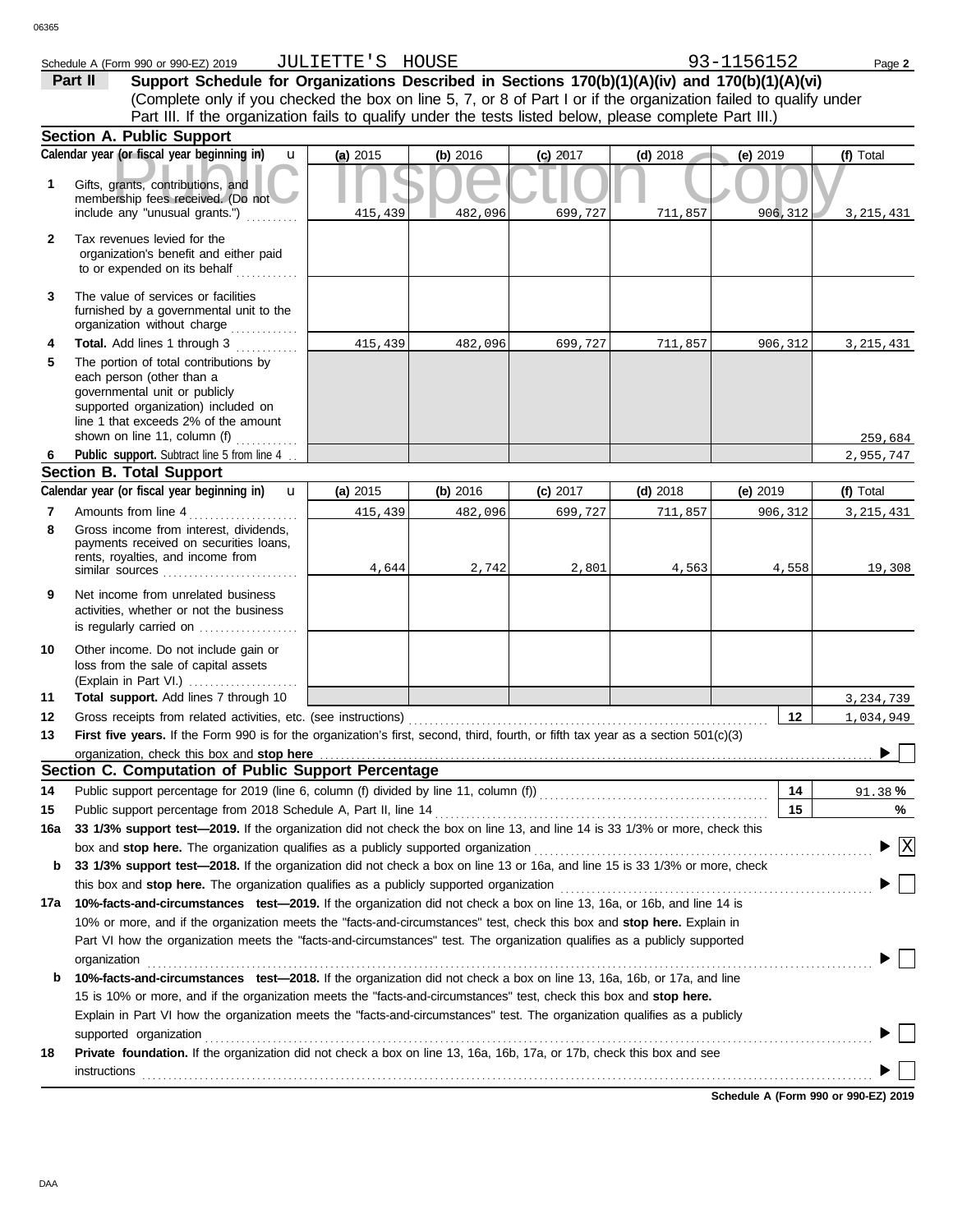| 3365         |                                                                                                                                                                                                                        |                  |          |            |            |            |             |
|--------------|------------------------------------------------------------------------------------------------------------------------------------------------------------------------------------------------------------------------|------------------|----------|------------|------------|------------|-------------|
|              | Schedule A (Form 990 or 990-EZ) 2019                                                                                                                                                                                   | JULIETTE'S HOUSE |          |            |            | 93-1156152 | Page 2      |
|              | Support Schedule for Organizations Described in Sections 170(b)(1)(A)(iv) and 170(b)(1)(A)(vi)<br>Part II                                                                                                              |                  |          |            |            |            |             |
|              | (Complete only if you checked the box on line 5, 7, or 8 of Part I or if the organization failed to qualify under                                                                                                      |                  |          |            |            |            |             |
|              | Part III. If the organization fails to qualify under the tests listed below, please complete Part III.)                                                                                                                |                  |          |            |            |            |             |
|              | Section A. Public Support                                                                                                                                                                                              |                  |          |            |            |            |             |
|              | Calendar year (or fiscal year beginning in)<br>u                                                                                                                                                                       | (a) 2015         | (b) 2016 | $(c)$ 2017 | $(d)$ 2018 | $(e)$ 2019 | (f) Total   |
| 1            | Gifts, grants, contributions, and<br>membership fees received. (Do not<br>include any "unusual grants.")                                                                                                               | 415,439          | 482,096  | 699,727    | 711,857    | 906,312    | 3, 215, 431 |
| $\mathbf{2}$ | Tax revenues levied for the<br>organization's benefit and either paid<br>to or expended on its behalf                                                                                                                  |                  |          |            |            |            |             |
| 3            | The value of services or facilities<br>furnished by a governmental unit to the<br>organization without charge                                                                                                          |                  |          |            |            |            |             |
| 4            | Total. Add lines 1 through 3                                                                                                                                                                                           | 415,439          | 482,096  | 699,727    | 711,857    | 906,312    | 3, 215, 431 |
| 5            | The portion of total contributions by<br>each person (other than a<br>governmental unit or publicly<br>supported organization) included on<br>line 1 that exceeds 2% of the amount<br>shown on line 11, column (f)     |                  |          |            |            |            | 259,684     |
| 6            | Public support. Subtract line 5 from line 4                                                                                                                                                                            |                  |          |            |            |            | 2,955,747   |
|              | <b>Section B. Total Support</b>                                                                                                                                                                                        |                  |          |            |            |            |             |
|              | Calendar year (or fiscal year beginning in)<br>$\mathbf{u}$                                                                                                                                                            | (a) 2015         | (b) 2016 | $(c)$ 2017 | $(d)$ 2018 | (e) $2019$ | (f) Total   |
| 7            | Amounts from line 4                                                                                                                                                                                                    | 415,439          | 482,096  | 699,727    | 711,857    | 906,312    | 3,215,431   |
| 8            | Gross income from interest, dividends,<br>payments received on securities loans,<br>rents, royalties, and income from<br>similar sources                                                                               | 4,644            | 2,742    | 2,801      | 4,563      | 4,558      | 19,308      |
| 9            | Net income from unrelated business<br>activities, whether or not the business<br>is regularly carried on                                                                                                               |                  |          |            |            |            |             |
| 10           | Other income. Do not include gain or<br>loss from the sale of capital assets<br>(Explain in Part VI.)                                                                                                                  |                  |          |            |            |            |             |
| 11           | Total support. Add lines 7 through 10                                                                                                                                                                                  |                  |          |            |            |            | 3, 234, 739 |
| 12           |                                                                                                                                                                                                                        |                  |          |            |            | 12         | 1,034,949   |
| 13           | First five years. If the Form 990 is for the organization's first, second, third, fourth, or fifth tax year as a section 501(c)(3)                                                                                     |                  |          |            |            |            |             |
|              | organization, check this box and stop here                                                                                                                                                                             |                  |          |            |            |            |             |
|              | Section C. Computation of Public Support Percentage                                                                                                                                                                    |                  |          |            |            |            |             |
| 14           | Public support percentage for 2019 (line 6, column (f) divided by line 11, column (f) [[[[[[[[[[[[[[[[[[[[[[[                                                                                                          |                  |          |            |            | 14         | 91.38 %     |
| 15           | Public support percentage from 2018 Schedule A, Part II, line 14                                                                                                                                                       |                  |          |            |            | 15         | %           |
| 16a          | 33 1/3% support test-2019. If the organization did not check the box on line 13, and line 14 is 33 1/3% or more, check this                                                                                            |                  |          |            |            |            |             |
|              | box and stop here. The organization qualifies as a publicly supported organization                                                                                                                                     |                  |          |            |            |            | $\vert$ X   |
| b            | 33 1/3% support test-2018. If the organization did not check a box on line 13 or 16a, and line 15 is 33 1/3% or more, check<br>this box and stop here. The organization qualifies as a publicly supported organization |                  |          |            |            |            |             |
| 17a          | 10%-facts-and-circumstances test-2019. If the organization did not check a box on line 13, 16a, or 16b, and line 14 is                                                                                                 |                  |          |            |            |            |             |
|              | 10% or more, and if the organization meets the "facts-and-circumstances" test, check this box and stop here. Explain in                                                                                                |                  |          |            |            |            |             |
|              | Part VI how the organization meets the "facts-and-circumstances" test. The organization qualifies as a publicly supported                                                                                              |                  |          |            |            |            |             |

|    | organization                                                                                                                 |
|----|------------------------------------------------------------------------------------------------------------------------------|
| b  | 10%-facts-and-circumstances test-2018. If the organization did not check a box on line 13, 16a, 16b, or 17a, and line        |
|    | 15 is 10% or more, and if the organization meets the "facts-and-circumstances" test, check this box and stop here.           |
|    | Explain in Part VI how the organization meets the "facts-and-circumstances" test. The organization qualifies as a publicly   |
|    | supported organization                                                                                                       |
| 18 | <b>Private foundation.</b> If the organization did not check a box on line 13, 16a, 16b, 17a, or 17b, check this box and see |
|    | instructions                                                                                                                 |
|    |                                                                                                                              |

**Schedule A (Form 990 or 990-EZ) 2019**

 $\blacktriangleright$   $\Box$ 

 $\blacktriangleright \Box$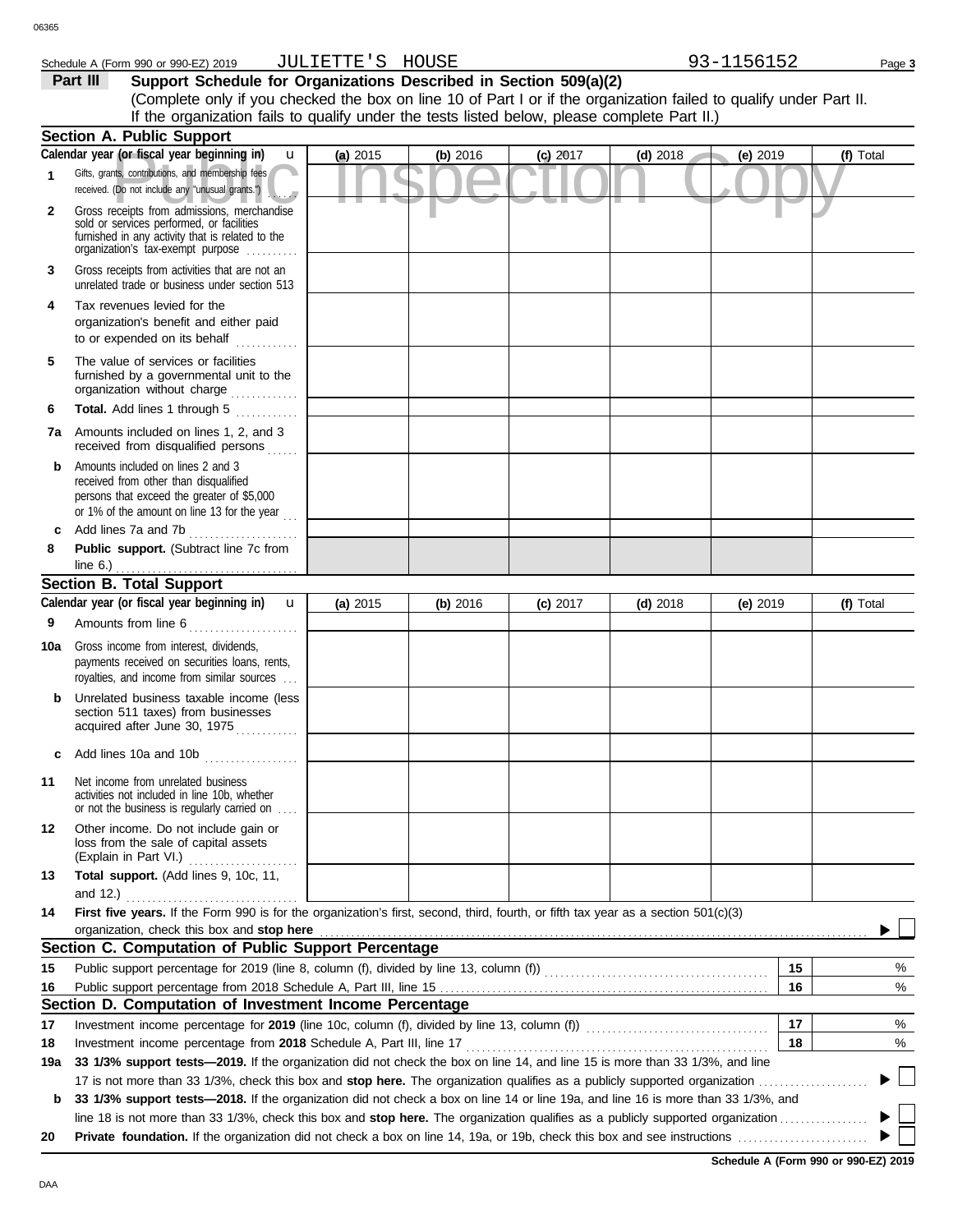### Schedule A (Form 990 or 990-EZ) 2019 Page **3** JULIETTE'S HOUSE

**Part III** Support Schedule for Organizations Described in Section 509(a)(2) (Complete only if you checked the box on line 10 of Part I or if the organization failed to qualify under Part II. If the organization fails to qualify under the tests listed below, please complete Part II.)

|     | <b>Section A. Public Support</b>                                                                                                                                                  |            |            |            |            |            |           |
|-----|-----------------------------------------------------------------------------------------------------------------------------------------------------------------------------------|------------|------------|------------|------------|------------|-----------|
|     | Calendar year (or fiscal year beginning in)<br>u                                                                                                                                  | $(a)$ 2015 | (b) 2016   | $(c)$ 2017 | $(d)$ 2018 | $(e)$ 2019 | (f) Total |
| 1   | Gifts, grants, contributions, and membership fees<br>received. (Do not include any "unusual grants.")                                                                             |            |            |            |            |            |           |
| 2   | Gross receipts from admissions, merchandise<br>sold or services performed, or facilities<br>furnished in any activity that is related to the<br>organization's fax-exempt purpose |            |            |            |            |            |           |
| 3   | Gross receipts from activities that are not an<br>unrelated trade or business under section 513                                                                                   |            |            |            |            |            |           |
| 4   | Tax revenues levied for the<br>organization's benefit and either paid<br>to or expended on its behalf<br>.                                                                        |            |            |            |            |            |           |
| 5   | The value of services or facilities<br>furnished by a governmental unit to the<br>organization without charge                                                                     |            |            |            |            |            |           |
| 6   | Total. Add lines 1 through 5                                                                                                                                                      |            |            |            |            |            |           |
| 7а  | Amounts included on lines 1, 2, and 3<br>received from disqualified persons                                                                                                       |            |            |            |            |            |           |
| b   | Amounts included on lines 2 and 3<br>received from other than disqualified<br>persons that exceed the greater of \$5,000<br>or 1% of the amount on line 13 for the year $\ldots$  |            |            |            |            |            |           |
| c   | Add lines 7a and 7b                                                                                                                                                               |            |            |            |            |            |           |
| 8   | Public support. (Subtract line 7c from                                                                                                                                            |            |            |            |            |            |           |
|     | line $6.$ )<br><b>Section B. Total Support</b>                                                                                                                                    |            |            |            |            |            |           |
|     | Calendar year (or fiscal year beginning in)<br>$\mathbf{u}$                                                                                                                       | (a) 2015   | (b) $2016$ | $(c)$ 2017 | $(d)$ 2018 | (e) 2019   | (f) Total |
| 9   | Amounts from line 6                                                                                                                                                               |            |            |            |            |            |           |
|     | Gross income from interest, dividends,                                                                                                                                            |            |            |            |            |            |           |
| 10a | payments received on securities loans, rents,<br>royalties, and income from similar sources                                                                                       |            |            |            |            |            |           |
| b   | Unrelated business taxable income (less<br>section 511 taxes) from businesses<br>acquired after June 30, 1975                                                                     |            |            |            |            |            |           |
|     | Add lines 10a and 10b                                                                                                                                                             |            |            |            |            |            |           |
| 11  | Net income from unrelated business<br>activities not included in line 10b, whether<br>or not the business is regularly carried on                                                 |            |            |            |            |            |           |
| 12  | Other income. Do not include gain or<br>loss from the sale of capital assets<br>(Explain in Part VI.)                                                                             |            |            |            |            |            |           |
| 13  | Total support. (Add lines 9, 10c, 11,                                                                                                                                             |            |            |            |            |            |           |
|     | and 12.) $\ldots$                                                                                                                                                                 |            |            |            |            |            |           |
| 14  | First five years. If the Form 990 is for the organization's first, second, third, fourth, or fifth tax year as a section 501(c)(3)<br>organization, check this box and stop here  |            |            |            |            |            |           |
|     | Section C. Computation of Public Support Percentage                                                                                                                               |            |            |            |            |            |           |
| 15  |                                                                                                                                                                                   |            |            |            |            | 15         | %         |
| 16  |                                                                                                                                                                                   |            |            |            |            | 16         | %         |
|     | Section D. Computation of Investment Income Percentage                                                                                                                            |            |            |            |            |            |           |
| 17  | Investment income percentage for 2019 (line 10c, column (f), divided by line 13, column (f)) [[[[[[[[[[[[[[[[[                                                                    |            |            |            |            | 17         | %         |
| 18  |                                                                                                                                                                                   |            |            |            |            | 18         | %         |
| 19a | 33 1/3% support tests-2019. If the organization did not check the box on line 14, and line 15 is more than 33 1/3%, and line                                                      |            |            |            |            |            |           |
|     |                                                                                                                                                                                   |            |            |            |            |            | ▶ □       |
| b   | 33 1/3% support tests-2018. If the organization did not check a box on line 14 or line 19a, and line 16 is more than 33 1/3%, and                                                 |            |            |            |            |            |           |
|     |                                                                                                                                                                                   |            |            |            |            |            |           |
| 20  |                                                                                                                                                                                   |            |            |            |            |            |           |

**Schedule A (Form 990 or 990-EZ) 2019**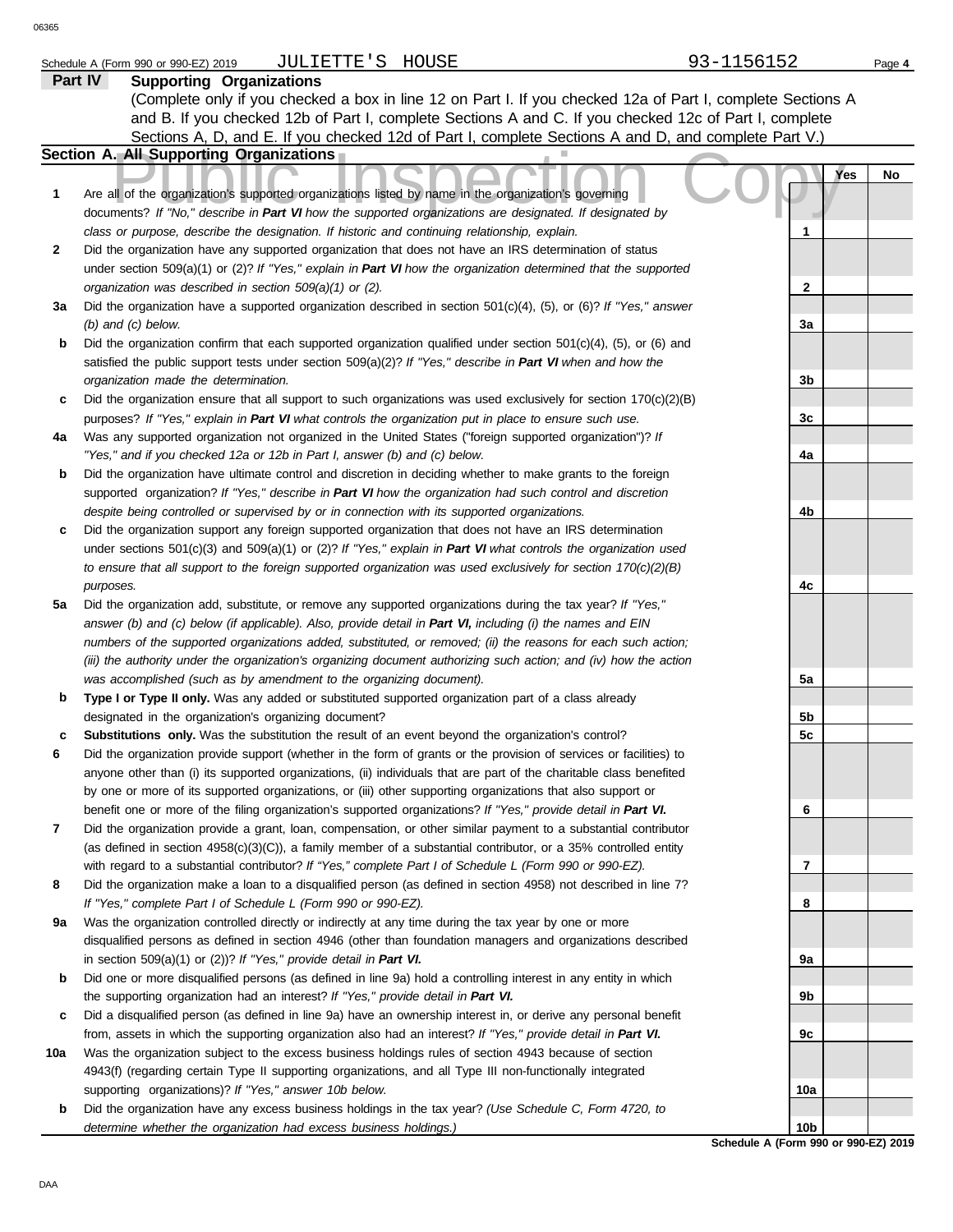# Schedule A (Form 990 or 990-EZ) 2019 Page **4** JULIETTE'S HOUSE 93-1156152

|        | contra c froces<br>Part IV<br><b>Supporting Organizations</b>                                                                                                                                                            |                 | . ago – |
|--------|--------------------------------------------------------------------------------------------------------------------------------------------------------------------------------------------------------------------------|-----------------|---------|
|        | (Complete only if you checked a box in line 12 on Part I. If you checked 12a of Part I, complete Sections A                                                                                                              |                 |         |
|        | and B. If you checked 12b of Part I, complete Sections A and C. If you checked 12c of Part I, complete                                                                                                                   |                 |         |
|        | Sections A, D, and E. If you checked 12d of Part I, complete Sections A and D, and complete Part V.)                                                                                                                     |                 |         |
|        | Section A. All Supporting Organizations                                                                                                                                                                                  |                 |         |
|        |                                                                                                                                                                                                                          | Yes             | No      |
| 1      | Are all of the organization's supported organizations listed by name in the organization's governing                                                                                                                     |                 |         |
|        | documents? If "No," describe in Part VI how the supported organizations are designated. If designated by                                                                                                                 |                 |         |
|        | class or purpose, describe the designation. If historic and continuing relationship, explain.                                                                                                                            | 1               |         |
| 2      | Did the organization have any supported organization that does not have an IRS determination of status                                                                                                                   |                 |         |
|        | under section 509(a)(1) or (2)? If "Yes," explain in Part VI how the organization determined that the supported                                                                                                          |                 |         |
|        | organization was described in section 509(a)(1) or (2).                                                                                                                                                                  | 2               |         |
| За     | Did the organization have a supported organization described in section $501(c)(4)$ , (5), or (6)? If "Yes," answer                                                                                                      |                 |         |
|        | $(b)$ and $(c)$ below.                                                                                                                                                                                                   | 3a              |         |
| b      | Did the organization confirm that each supported organization qualified under section $501(c)(4)$ , $(5)$ , or $(6)$ and                                                                                                 |                 |         |
|        | satisfied the public support tests under section 509(a)(2)? If "Yes," describe in Part VI when and how the                                                                                                               |                 |         |
|        | organization made the determination.                                                                                                                                                                                     | 3b              |         |
| c      | Did the organization ensure that all support to such organizations was used exclusively for section $170(c)(2)(B)$                                                                                                       |                 |         |
|        |                                                                                                                                                                                                                          | 3c              |         |
| 4a     | purposes? If "Yes," explain in Part VI what controls the organization put in place to ensure such use.<br>Was any supported organization not organized in the United States ("foreign supported organization")? If       |                 |         |
|        | "Yes," and if you checked 12a or 12b in Part I, answer (b) and (c) below.                                                                                                                                                | 4a              |         |
| b      | Did the organization have ultimate control and discretion in deciding whether to make grants to the foreign                                                                                                              |                 |         |
|        | supported organization? If "Yes," describe in Part VI how the organization had such control and discretion                                                                                                               |                 |         |
|        | despite being controlled or supervised by or in connection with its supported organizations.                                                                                                                             | 4b              |         |
| c      | Did the organization support any foreign supported organization that does not have an IRS determination                                                                                                                  |                 |         |
|        | under sections $501(c)(3)$ and $509(a)(1)$ or (2)? If "Yes," explain in Part VI what controls the organization used                                                                                                      |                 |         |
|        | to ensure that all support to the foreign supported organization was used exclusively for section $170(c)(2)(B)$                                                                                                         |                 |         |
|        |                                                                                                                                                                                                                          |                 |         |
|        | purposes.                                                                                                                                                                                                                | 4c              |         |
| 5a     | Did the organization add, substitute, or remove any supported organizations during the tax year? If "Yes,"<br>answer (b) and (c) below (if applicable). Also, provide detail in Part VI, including (i) the names and EIN |                 |         |
|        | numbers of the supported organizations added, substituted, or removed; (ii) the reasons for each such action;                                                                                                            |                 |         |
|        | (iii) the authority under the organization's organizing document authorizing such action; and (iv) how the action                                                                                                        |                 |         |
|        | was accomplished (such as by amendment to the organizing document).                                                                                                                                                      | 5a              |         |
| b      | Type I or Type II only. Was any added or substituted supported organization part of a class already                                                                                                                      |                 |         |
|        | designated in the organization's organizing document?                                                                                                                                                                    | 5b              |         |
|        | Substitutions only. Was the substitution the result of an event beyond the organization's control?                                                                                                                       | 5 <sub>c</sub>  |         |
| с<br>6 | Did the organization provide support (whether in the form of grants or the provision of services or facilities) to                                                                                                       |                 |         |
|        | anyone other than (i) its supported organizations, (ii) individuals that are part of the charitable class benefited                                                                                                      |                 |         |
|        | by one or more of its supported organizations, or (iii) other supporting organizations that also support or                                                                                                              |                 |         |
|        | benefit one or more of the filing organization's supported organizations? If "Yes," provide detail in Part VI.                                                                                                           | 6               |         |
| 7      | Did the organization provide a grant, loan, compensation, or other similar payment to a substantial contributor                                                                                                          |                 |         |
|        | (as defined in section 4958(c)(3)(C)), a family member of a substantial contributor, or a 35% controlled entity                                                                                                          |                 |         |
|        | with regard to a substantial contributor? If "Yes," complete Part I of Schedule L (Form 990 or 990-EZ).                                                                                                                  | 7               |         |
| 8      | Did the organization make a loan to a disqualified person (as defined in section 4958) not described in line 7?                                                                                                          |                 |         |
|        | If "Yes," complete Part I of Schedule L (Form 990 or 990-EZ).                                                                                                                                                            | 8               |         |
| 9a     | Was the organization controlled directly or indirectly at any time during the tax year by one or more                                                                                                                    |                 |         |
|        | disqualified persons as defined in section 4946 (other than foundation managers and organizations described                                                                                                              |                 |         |
|        | in section $509(a)(1)$ or (2))? If "Yes," provide detail in Part VI.                                                                                                                                                     | 9a              |         |
| b      | Did one or more disqualified persons (as defined in line 9a) hold a controlling interest in any entity in which                                                                                                          |                 |         |
|        | the supporting organization had an interest? If "Yes," provide detail in Part VI.                                                                                                                                        | 9b              |         |
| c      | Did a disqualified person (as defined in line 9a) have an ownership interest in, or derive any personal benefit                                                                                                          |                 |         |
|        | from, assets in which the supporting organization also had an interest? If "Yes," provide detail in Part VI.                                                                                                             | 9c              |         |
| 10a    | Was the organization subject to the excess business holdings rules of section 4943 because of section                                                                                                                    |                 |         |
|        | 4943(f) (regarding certain Type II supporting organizations, and all Type III non-functionally integrated                                                                                                                |                 |         |
|        | supporting organizations)? If "Yes," answer 10b below.                                                                                                                                                                   | 10a             |         |
| b      | Did the organization have any excess business holdings in the tax year? (Use Schedule C, Form 4720, to                                                                                                                   |                 |         |
|        | determine whether the organization had excess business holdings.)                                                                                                                                                        | 10 <sub>b</sub> |         |
|        |                                                                                                                                                                                                                          |                 |         |

**Schedule A (Form 990 or 990-EZ) 2019**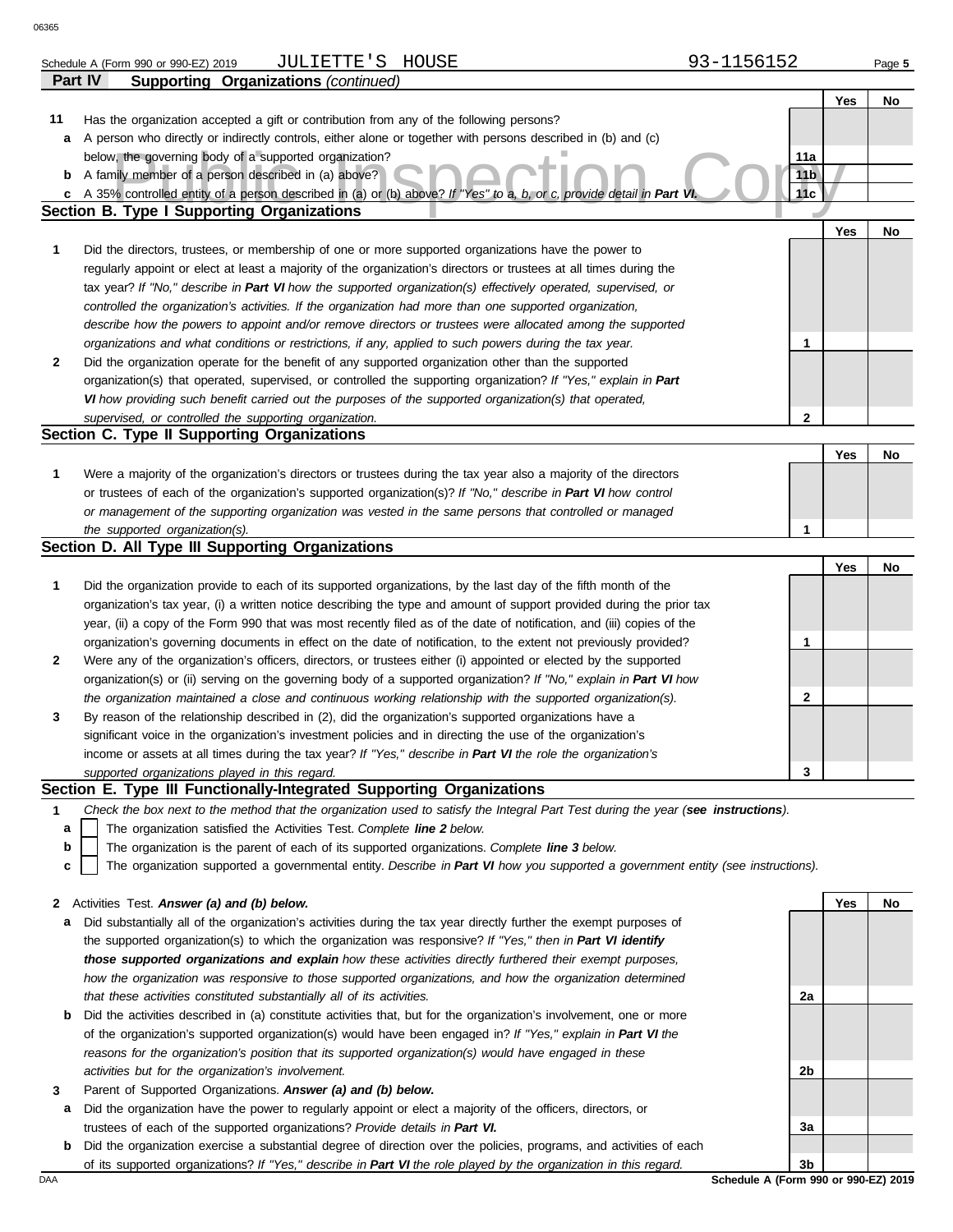| ມວວວ |                                                                                                                                   |                 |     |     |        |
|------|-----------------------------------------------------------------------------------------------------------------------------------|-----------------|-----|-----|--------|
|      | JULIETTE'S HOUSE<br>Schedule A (Form 990 or 990-EZ) 2019                                                                          | 93-1156152      |     |     | Page 5 |
|      | Part IV<br><b>Supporting Organizations (continued)</b>                                                                            |                 |     |     |        |
|      |                                                                                                                                   |                 |     | Yes | No     |
| 11   | Has the organization accepted a gift or contribution from any of the following persons?                                           |                 |     |     |        |
| a    | A person who directly or indirectly controls, either alone or together with persons described in (b) and (c)                      |                 |     |     |        |
|      | below, the governing body of a supported organization?                                                                            | 11a             |     |     |        |
| b    | A family member of a person described in (a) above?                                                                               | 11 <sub>b</sub> |     |     |        |
| c    | A 35% controlled entity of a person described in (a) or (b) above? If "Yes" to a, b, or c, provide detail in Part VI              | 11c             |     |     |        |
|      | <b>Section B. Type I Supporting Organizations</b>                                                                                 |                 |     |     |        |
|      |                                                                                                                                   |                 | Yes |     | No     |
| 1    | Did the directors, trustees, or membership of one or more supported organizations have the power to                               |                 |     |     |        |
|      | regularly appoint or elect at least a majority of the organization's directors or trustees at all times during the                |                 |     |     |        |
|      | tax year? If "No," describe in Part VI how the supported organization(s) effectively operated, supervised, or                     |                 |     |     |        |
|      | controlled the organization's activities. If the organization had more than one supported organization,                           |                 |     |     |        |
|      | describe how the powers to appoint and/or remove directors or trustees were allocated among the supported                         |                 |     |     |        |
|      | organizations and what conditions or restrictions, if any, applied to such powers during the tax year.                            | 1               |     |     |        |
| 2    | Did the organization operate for the benefit of any supported organization other than the supported                               |                 |     |     |        |
|      | organization(s) that operated, supervised, or controlled the supporting organization? If "Yes," explain in Part                   |                 |     |     |        |
|      | VI how providing such benefit carried out the purposes of the supported organization(s) that operated,                            |                 |     |     |        |
|      | supervised, or controlled the supporting organization.                                                                            | $\mathbf{2}$    |     |     |        |
|      | Section C. Type II Supporting Organizations                                                                                       |                 |     |     |        |
|      |                                                                                                                                   |                 | Yes |     | No     |
| 1    | Were a majority of the organization's directors or trustees during the tax year also a majority of the directors                  |                 |     |     |        |
|      | or trustees of each of the organization's supported organization(s)? If "No," describe in Part VI how control                     |                 |     |     |        |
|      | or management of the supporting organization was vested in the same persons that controlled or managed                            |                 |     |     |        |
|      | the supported organization(s).                                                                                                    | 1               |     |     |        |
|      | Section D. All Type III Supporting Organizations                                                                                  |                 |     |     |        |
|      |                                                                                                                                   |                 | Yes |     | No     |
| 1    | Did the organization provide to each of its supported organizations, by the last day of the fifth month of the                    |                 |     |     |        |
|      | organization's tax year, (i) a written notice describing the type and amount of support provided during the prior tax             |                 |     |     |        |
|      | year, (ii) a copy of the Form 990 that was most recently filed as of the date of notification, and (iii) copies of the            |                 |     |     |        |
|      | organization's governing documents in effect on the date of notification, to the extent not previously provided?                  | 1               |     |     |        |
| 2    | Were any of the organization's officers, directors, or trustees either (i) appointed or elected by the supported                  |                 |     |     |        |
|      | organization(s) or (ii) serving on the governing body of a supported organization? If "No," explain in Part VI how                |                 |     |     |        |
|      | the organization maintained a close and continuous working relationship with the supported organization(s).                       | 2               |     |     |        |
| 3    | By reason of the relationship described in (2), did the organization's supported organizations have a                             |                 |     |     |        |
|      | significant voice in the organization's investment policies and in directing the use of the organization's                        |                 |     |     |        |
|      | income or assets at all times during the tax year? If "Yes," describe in Part VI the role the organization's                      |                 |     |     |        |
|      | supported organizations played in this regard.                                                                                    | 3               |     |     |        |
|      | Section E. Type III Functionally-Integrated Supporting Organizations                                                              |                 |     |     |        |
| 1    | Check the box next to the method that the organization used to satisfy the Integral Part Test during the year (see instructions). |                 |     |     |        |
| a    | The organization satisfied the Activities Test. Complete line 2 below.                                                            |                 |     |     |        |
| b    | The organization is the parent of each of its supported organizations. Complete line 3 below.                                     |                 |     |     |        |
| C    | The organization supported a governmental entity. Describe in Part VI how you supported a government entity (see instructions).   |                 |     |     |        |
|      |                                                                                                                                   |                 |     |     |        |
| 2    | Activities Test. Answer (a) and (b) below.                                                                                        |                 | Yes |     | No     |
| а    | Did substantially all of the organization's activities during the tax year directly further the exempt purposes of                |                 |     |     |        |
|      | the supported organization(s) to which the organization was responsive? If "Yes," then in Part VI identify                        |                 |     |     |        |
|      | those supported organizations and explain how these activities directly furthered their exempt purposes,                          |                 |     |     |        |
|      | how the organization was responsive to those supported organizations, and how the organization determined                         |                 |     |     |        |
|      | that these activities constituted substantially all of its activities.                                                            | 2a              |     |     |        |
| b    | Did the activities described in (a) constitute activities that, but for the organization's involvement, one or more               |                 |     |     |        |
|      | of the organization's supported organization(s) would have been engaged in? If "Yes," explain in Part VI the                      |                 |     |     |        |

**3** Parent of Supported Organizations. *Answer (a) and (b) below.*

*activities but for the organization's involvement.*

**a** Did the organization have the power to regularly appoint or elect a majority of the officers, directors, or trustees of each of the supported organizations? *Provide details in Part VI.*

*reasons for the organization's position that its supported organization(s) would have engaged in these* 

**b** Did the organization exercise a substantial degree of direction over the policies, programs, and activities of each of its supported organizations? *If "Yes," describe in Part VI the role played by the organization in this regard.*

DAA **Schedule A (Form 990 or 990-EZ) 2019 3b**

**2b**

**3a**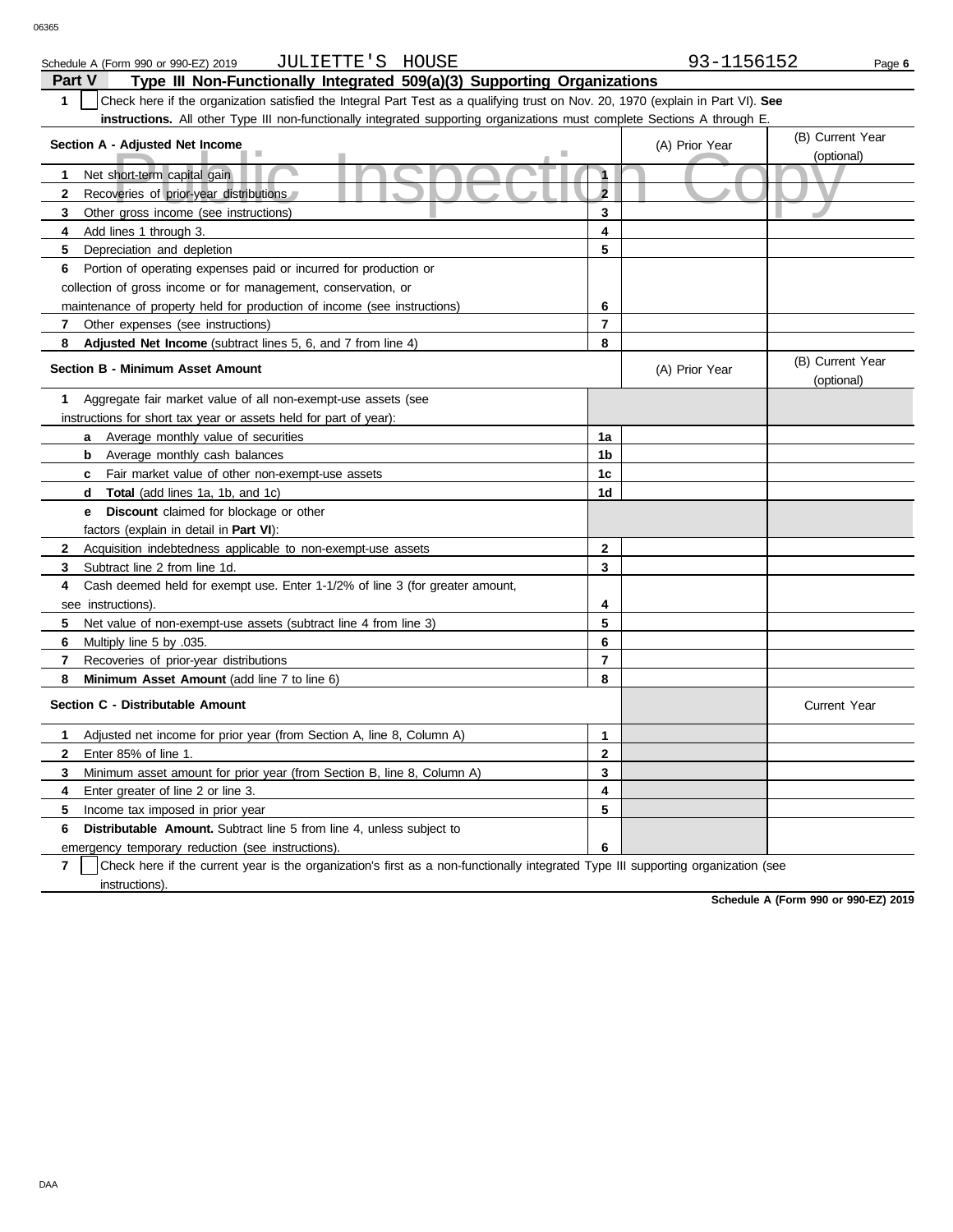| Schedule A (Form 990 or 990-EZ) 2019 | TUL<br>LETTE '<br>. . | HOUSE | $\sim$ $-$<br><b>LIDOLDZ</b> | Page 6 |
|--------------------------------------|-----------------------|-------|------------------------------|--------|
|--------------------------------------|-----------------------|-------|------------------------------|--------|

| Part V<br>Type III Non-Functionally Integrated 509(a)(3) Supporting Organizations                                                     |                         |                |                                |  |  |  |  |  |
|---------------------------------------------------------------------------------------------------------------------------------------|-------------------------|----------------|--------------------------------|--|--|--|--|--|
| Check here if the organization satisfied the Integral Part Test as a qualifying trust on Nov. 20, 1970 (explain in Part VI). See<br>1 |                         |                |                                |  |  |  |  |  |
| instructions. All other Type III non-functionally integrated supporting organizations must complete Sections A through E.             |                         |                |                                |  |  |  |  |  |
| Section A - Adjusted Net Income                                                                                                       |                         | (A) Prior Year | (B) Current Year               |  |  |  |  |  |
|                                                                                                                                       |                         |                | (optional)                     |  |  |  |  |  |
| Net short-term capital gain<br>1                                                                                                      | 1                       |                |                                |  |  |  |  |  |
| $\mathbf{2}$<br>Recoveries of prior-year distributions                                                                                | $\overline{\mathbf{c}}$ |                |                                |  |  |  |  |  |
| 3<br>Other gross income (see instructions)                                                                                            | 3                       |                |                                |  |  |  |  |  |
| Add lines 1 through 3.<br>4                                                                                                           | 4                       |                |                                |  |  |  |  |  |
| 5<br>Depreciation and depletion                                                                                                       | 5                       |                |                                |  |  |  |  |  |
| Portion of operating expenses paid or incurred for production or<br>6                                                                 |                         |                |                                |  |  |  |  |  |
| collection of gross income or for management, conservation, or                                                                        |                         |                |                                |  |  |  |  |  |
| maintenance of property held for production of income (see instructions)                                                              | 6                       |                |                                |  |  |  |  |  |
| 7<br>Other expenses (see instructions)                                                                                                | $\overline{7}$          |                |                                |  |  |  |  |  |
| 8<br><b>Adjusted Net Income</b> (subtract lines 5, 6, and 7 from line 4)                                                              | 8                       |                |                                |  |  |  |  |  |
| Section B - Minimum Asset Amount                                                                                                      |                         | (A) Prior Year | (B) Current Year<br>(optional) |  |  |  |  |  |
| Aggregate fair market value of all non-exempt-use assets (see<br>1                                                                    |                         |                |                                |  |  |  |  |  |
| instructions for short tax year or assets held for part of year):                                                                     |                         |                |                                |  |  |  |  |  |
| Average monthly value of securities<br>a                                                                                              | 1a                      |                |                                |  |  |  |  |  |
| <b>b</b> Average monthly cash balances                                                                                                | 1b                      |                |                                |  |  |  |  |  |
| <b>c</b> Fair market value of other non-exempt-use assets                                                                             | 1 <sub>c</sub>          |                |                                |  |  |  |  |  |
| <b>Total</b> (add lines 1a, 1b, and 1c)<br>d                                                                                          | 1 <sub>d</sub>          |                |                                |  |  |  |  |  |
| <b>Discount</b> claimed for blockage or other<br>е                                                                                    |                         |                |                                |  |  |  |  |  |
| factors (explain in detail in Part VI):                                                                                               |                         |                |                                |  |  |  |  |  |
| $\mathbf{2}$<br>Acquisition indebtedness applicable to non-exempt-use assets                                                          | $\mathbf{2}$            |                |                                |  |  |  |  |  |
| Subtract line 2 from line 1d.<br>3                                                                                                    | 3                       |                |                                |  |  |  |  |  |
| 4<br>Cash deemed held for exempt use. Enter 1-1/2% of line 3 (for greater amount,                                                     |                         |                |                                |  |  |  |  |  |
| see instructions).                                                                                                                    | 4                       |                |                                |  |  |  |  |  |
| 5<br>Net value of non-exempt-use assets (subtract line 4 from line 3)                                                                 | 5                       |                |                                |  |  |  |  |  |
| 6<br>Multiply line 5 by .035.                                                                                                         | 6                       |                |                                |  |  |  |  |  |
| 7<br>Recoveries of prior-year distributions                                                                                           | $\overline{7}$          |                |                                |  |  |  |  |  |
| 8<br>Minimum Asset Amount (add line 7 to line 6)                                                                                      | 8                       |                |                                |  |  |  |  |  |
| Section C - Distributable Amount                                                                                                      |                         |                | <b>Current Year</b>            |  |  |  |  |  |
| Adjusted net income for prior year (from Section A, line 8, Column A)<br>1                                                            | 1                       |                |                                |  |  |  |  |  |
| Enter 85% of line 1.<br>$\mathbf{2}$                                                                                                  | $\overline{2}$          |                |                                |  |  |  |  |  |
| Minimum asset amount for prior year (from Section B, line 8, Column A)<br>3                                                           | 3                       |                |                                |  |  |  |  |  |
| 4<br>Enter greater of line 2 or line 3.                                                                                               | 4                       |                |                                |  |  |  |  |  |
| 5<br>Income tax imposed in prior year                                                                                                 | 5                       |                |                                |  |  |  |  |  |
| 6<br><b>Distributable Amount.</b> Subtract line 5 from line 4, unless subject to                                                      |                         |                |                                |  |  |  |  |  |
| emergency temporary reduction (see instructions).                                                                                     | 6                       |                |                                |  |  |  |  |  |

**7** | Check here if the current year is the organization's first as a non-functionally integrated Type III supporting organization (see instructions).

**Schedule A (Form 990 or 990-EZ) 2019**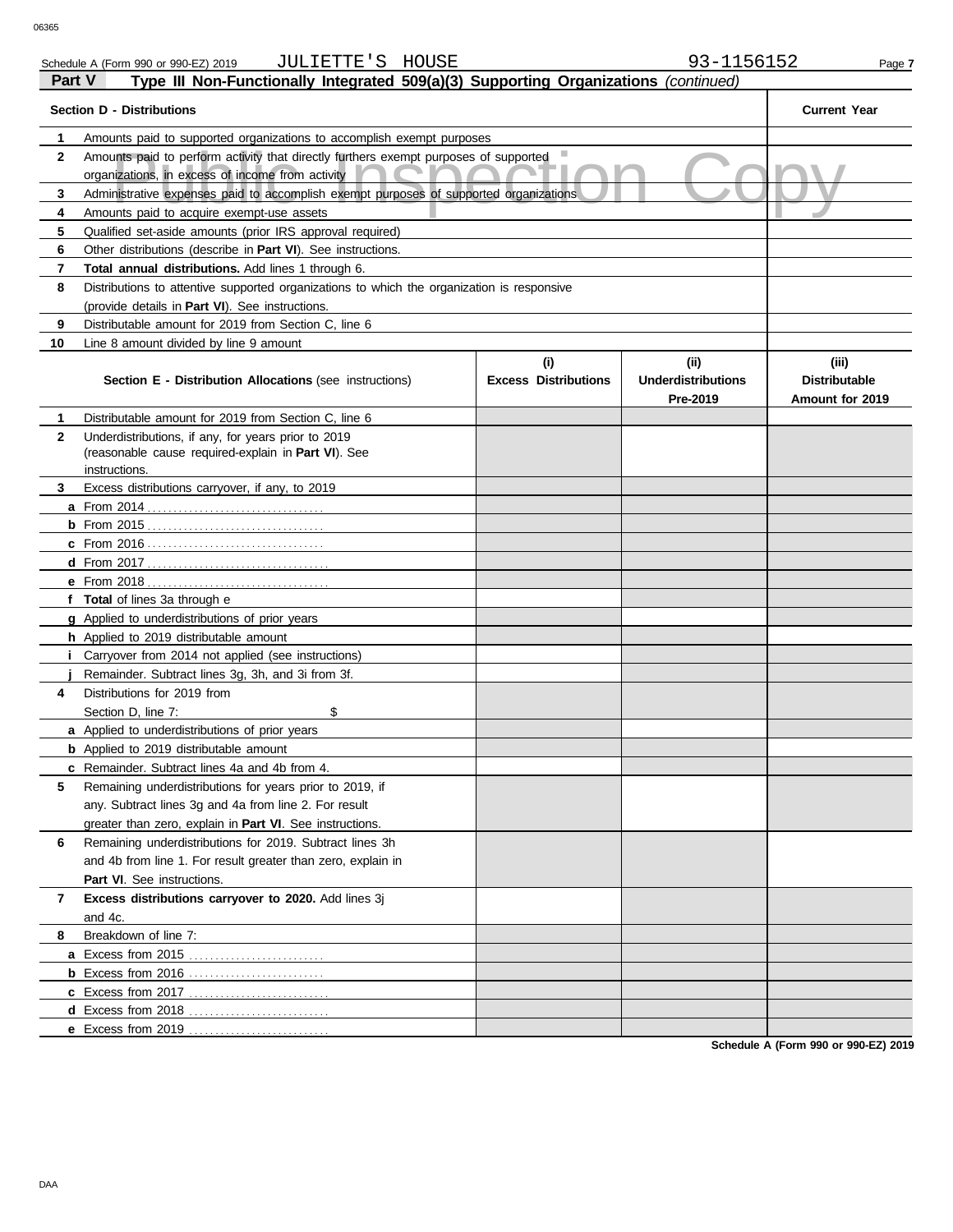### unts paid to perform activity that directly furthers exempt purposes of supported<br>nizations, in excess of income from activity<br>nistrative expenses paid to accomplish exempt purposes of supported organizations<br>unts paid to **Part V Type III Non-Functionally Integrated 509(a)(3) Supporting Organizations** *(continued)* **Section D - Distributions Current Year 1 2 3 4 5 6 7 8 9 10** Amounts paid to supported organizations to accomplish exempt purposes Amounts paid to perform activity that directly furthers exempt purposes of supported organizations, in excess of income from activity Administrative expenses paid to accomplish exempt purposes of supported organizations Amounts paid to acquire exempt-use assets Qualified set-aside amounts (prior IRS approval required) Other distributions (describe in **Part VI**). See instructions. **Total annual distributions.** Add lines 1 through 6. Distributions to attentive supported organizations to which the organization is responsive (provide details in **Part VI**). See instructions. Distributable amount for 2019 from Section C, line 6 Line 8 amount divided by line 9 amount **Section E - Distribution Allocations** (see instructions) **Excess Distributions (i) (ii) Underdistributions Pre-2019 (iii) Distributable Amount for 2019 8 7 6 5 4 3 2 1 a** From 2014 . . . . . . . . . . . . . . . . . . . . . . . . . . . . . . . . . . **b** From 2015 . . . . . . . . . . . . . . . . . . . . . . . . . . . . . . . . . . **c** From 2016 . . . . . . . . . . . . . . . . . . . . . . . . . . . . . . . . . . **d** From 2017 . . . . . . . . . . . . . . . . . . . . . . . . . . . . . . . . . . . **e** From 2018 . . . . . . . . . . . . . . . . . . . . . . . . . . . . . . . . . . . **f Total** of lines 3a through e **g** Applied to underdistributions of prior years **h** Applied to 2019 distributable amount **i** Carryover from 2014 not applied (see instructions) **j** Remainder. Subtract lines 3g, 3h, and 3i from 3f. **a** Applied to underdistributions of prior years **b** Applied to 2019 distributable amount **c** Remainder. Subtract lines 4a and 4b from 4. **a** Excess from 2015 . . . . . . . . . . . . . . . . . . . . . . . . . . **b** Excess from 2016 . . . . . . . . . . . . . . . . . . . . . . . . . . **c** Excess from 2017 . . . . . . . . . . . . . . . . . . . . . . . . . . . **d** Excess from 2018 . . . . . . . . . . . . . . . . . . . . . . . . . . . Distributable amount for 2019 from Section C, line 6 Underdistributions, if any, for years prior to 2019 (reasonable cause required-explain in **Part VI**). See Excess distributions carryover, if any, to 2019 Distributions for 2019 from Section D, line 7: \$ Remaining underdistributions for years prior to 2019, if any. Subtract lines 3g and 4a from line 2. For result greater than zero, explain in **Part VI**. See instructions. Remaining underdistributions for 2019. Subtract lines 3h and 4b from line 1. For result greater than zero, explain in **Part VI**. See instructions. **Excess distributions carryover to 2020.** Add lines 3j and 4c. Breakdown of line 7: instructions.

**Schedule A (Form 990 or 990-EZ) 2019**

**e** Excess from 2019 . . . . . . . . . . . . . . . . . . . . . . . . . . .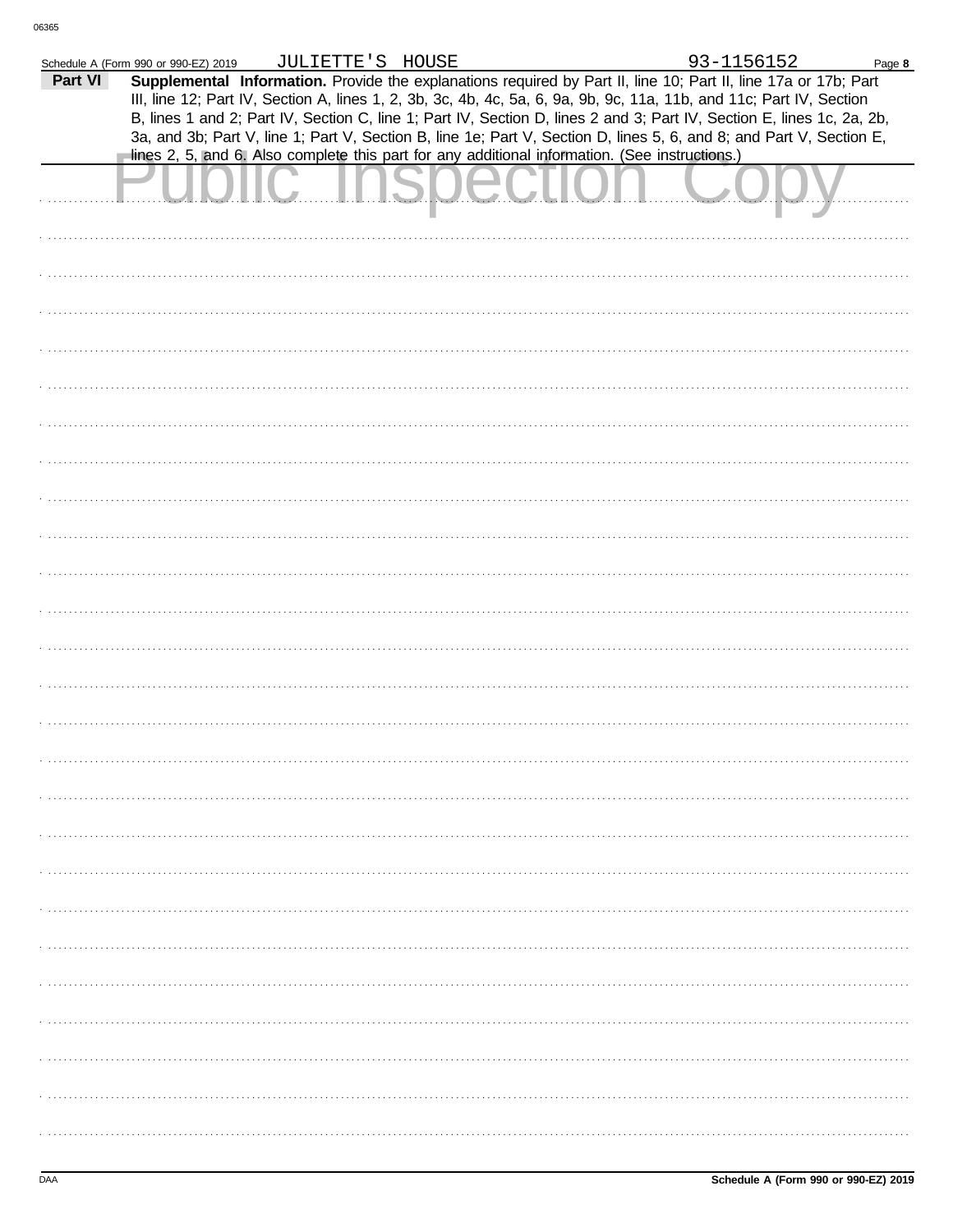|         | Schedule A (Form 990 or 990-EZ) 2019                                                           | JULIETTE'S HOUSE |  | 93-1156152                                                                                                                                                                                                                                     | Page 8 |
|---------|------------------------------------------------------------------------------------------------|------------------|--|------------------------------------------------------------------------------------------------------------------------------------------------------------------------------------------------------------------------------------------------|--------|
| Part VI |                                                                                                |                  |  | Supplemental Information. Provide the explanations required by Part II, line 10; Part II, line 17a or 17b; Part<br>III, line 12; Part IV, Section A, lines 1, 2, 3b, 3c, 4b, 4c, 5a, 6, 9a, 9b, 9c, 11a, 11b, and 11c; Part IV, Section        |        |
|         | lines 2, 5, and 6. Also complete this part for any additional information. (See instructions.) |                  |  | B, lines 1 and 2; Part IV, Section C, line 1; Part IV, Section D, lines 2 and 3; Part IV, Section E, lines 1c, 2a, 2b,<br>3a, and 3b; Part V, line 1; Part V, Section B, line 1e; Part V, Section D, lines 5, 6, and 8; and Part V, Section E, |        |
|         |                                                                                                |                  |  |                                                                                                                                                                                                                                                |        |
|         |                                                                                                |                  |  |                                                                                                                                                                                                                                                |        |
|         |                                                                                                |                  |  |                                                                                                                                                                                                                                                |        |
|         |                                                                                                |                  |  |                                                                                                                                                                                                                                                |        |
|         |                                                                                                |                  |  |                                                                                                                                                                                                                                                |        |
|         |                                                                                                |                  |  |                                                                                                                                                                                                                                                |        |
|         |                                                                                                |                  |  |                                                                                                                                                                                                                                                |        |
|         |                                                                                                |                  |  |                                                                                                                                                                                                                                                |        |
|         |                                                                                                |                  |  |                                                                                                                                                                                                                                                |        |
|         |                                                                                                |                  |  |                                                                                                                                                                                                                                                |        |
|         |                                                                                                |                  |  |                                                                                                                                                                                                                                                |        |
|         |                                                                                                |                  |  |                                                                                                                                                                                                                                                |        |
|         |                                                                                                |                  |  |                                                                                                                                                                                                                                                |        |
|         |                                                                                                |                  |  |                                                                                                                                                                                                                                                |        |
|         |                                                                                                |                  |  |                                                                                                                                                                                                                                                |        |
|         |                                                                                                |                  |  |                                                                                                                                                                                                                                                |        |
|         |                                                                                                |                  |  |                                                                                                                                                                                                                                                |        |
|         |                                                                                                |                  |  |                                                                                                                                                                                                                                                |        |
|         |                                                                                                |                  |  |                                                                                                                                                                                                                                                |        |
|         |                                                                                                |                  |  |                                                                                                                                                                                                                                                |        |
|         |                                                                                                |                  |  |                                                                                                                                                                                                                                                |        |
|         |                                                                                                |                  |  |                                                                                                                                                                                                                                                |        |
|         |                                                                                                |                  |  |                                                                                                                                                                                                                                                |        |
|         |                                                                                                |                  |  |                                                                                                                                                                                                                                                |        |
|         |                                                                                                |                  |  |                                                                                                                                                                                                                                                |        |
|         |                                                                                                |                  |  |                                                                                                                                                                                                                                                |        |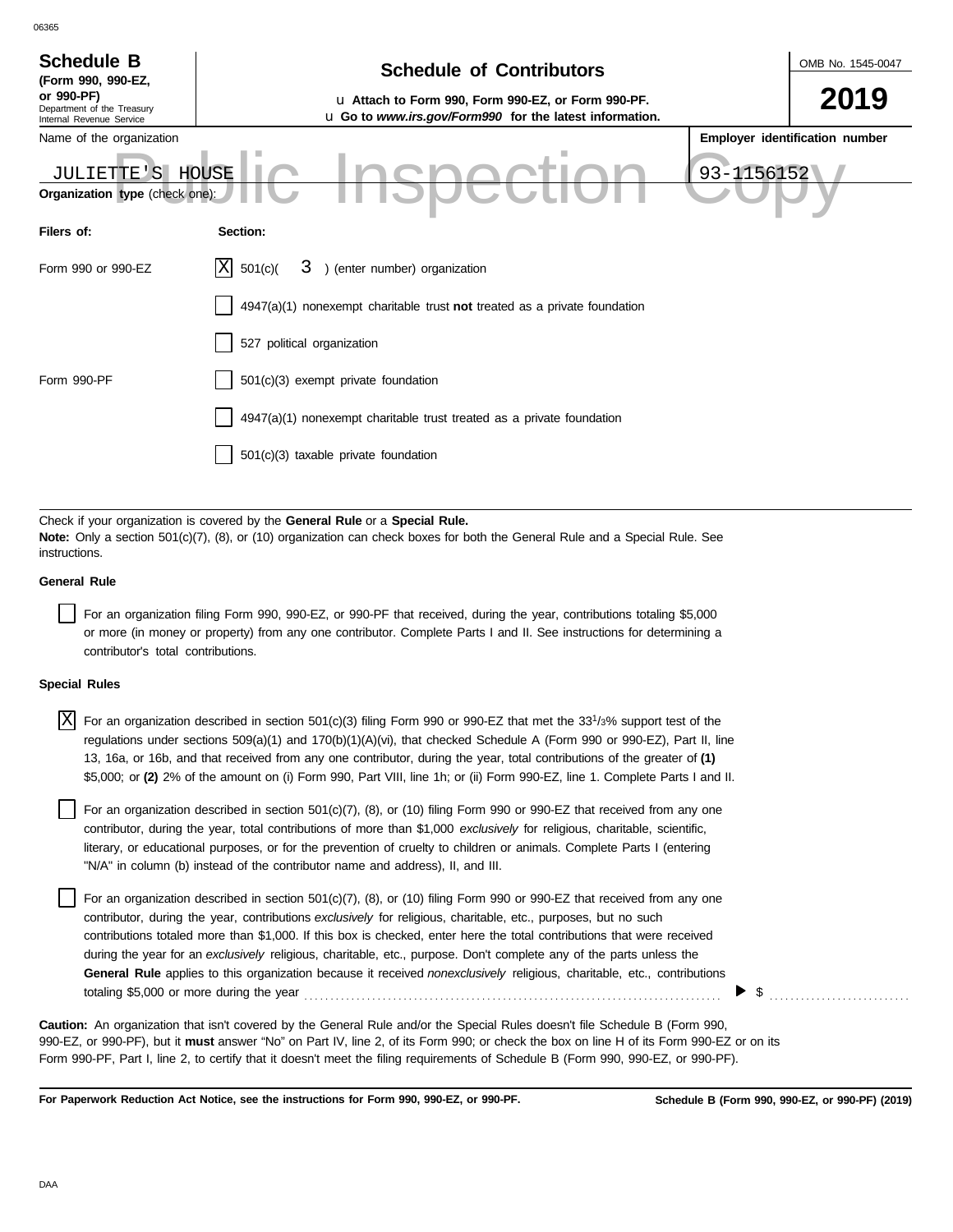| <b>Schedule B</b><br>(Form 990, 990-EZ,                              | <b>Schedule of Contributors</b>                                                                               | OMB No. 1545-0047 |                                |  |  |  |
|----------------------------------------------------------------------|---------------------------------------------------------------------------------------------------------------|-------------------|--------------------------------|--|--|--|
| or 990-PF)<br>Department of the Treasury<br>Internal Revenue Service | u Attach to Form 990, Form 990-EZ, or Form 990-PF.<br>u Go to www.irs.gov/Form990 for the latest information. |                   |                                |  |  |  |
| Name of the organization                                             |                                                                                                               |                   | Employer identification number |  |  |  |
| <b>JULIETTE'</b><br>.S                                               | HOUSE                                                                                                         | 93-1156152        |                                |  |  |  |
| Organization type (check one):                                       |                                                                                                               |                   |                                |  |  |  |
| Filers of:                                                           | Section:                                                                                                      |                   |                                |  |  |  |
| Form 990 or 990-EZ                                                   | X<br>) (enter number) organization<br>501(c)<br>3.                                                            |                   |                                |  |  |  |
|                                                                      | 4947(a)(1) nonexempt charitable trust not treated as a private foundation                                     |                   |                                |  |  |  |
|                                                                      | 527 political organization                                                                                    |                   |                                |  |  |  |
| Form 990-PF                                                          | 501(c)(3) exempt private foundation                                                                           |                   |                                |  |  |  |
|                                                                      | 4947(a)(1) nonexempt charitable trust treated as a private foundation                                         |                   |                                |  |  |  |
|                                                                      | $501(c)(3)$ taxable private foundation                                                                        |                   |                                |  |  |  |

Check if your organization is covered by the **General Rule** or a **Special Rule. Note:** Only a section 501(c)(7), (8), or (10) organization can check boxes for both the General Rule and a Special Rule. See instructions.

## **General Rule**

06365

For an organization filing Form 990, 990-EZ, or 990-PF that received, during the year, contributions totaling \$5,000 or more (in money or property) from any one contributor. Complete Parts I and II. See instructions for determining a contributor's total contributions.

### **Special Rules**

| $X$ For an organization described in section 501(c)(3) filing Form 990 or 990-EZ that met the 33 <sup>1</sup> /3% support test of the |
|---------------------------------------------------------------------------------------------------------------------------------------|
| regulations under sections 509(a)(1) and 170(b)(1)(A)(vi), that checked Schedule A (Form 990 or 990-EZ), Part II, line                |
| 13, 16a, or 16b, and that received from any one contributor, during the year, total contributions of the greater of (1)               |
| \$5,000; or (2) 2% of the amount on (i) Form 990, Part VIII, line 1h; or (ii) Form 990-EZ, line 1. Complete Parts I and II.           |

literary, or educational purposes, or for the prevention of cruelty to children or animals. Complete Parts I (entering For an organization described in section  $501(c)(7)$ ,  $(8)$ , or  $(10)$  filing Form 990 or 990-EZ that received from any one contributor, during the year, total contributions of more than \$1,000 *exclusively* for religious, charitable, scientific, "N/A" in column (b) instead of the contributor name and address), II, and III.

For an organization described in section 501(c)(7), (8), or (10) filing Form 990 or 990-EZ that received from any one contributor, during the year, contributions *exclusively* for religious, charitable, etc., purposes, but no such contributions totaled more than \$1,000. If this box is checked, enter here the total contributions that were received during the year for an *exclusively* religious, charitable, etc., purpose. Don't complete any of the parts unless the **General Rule** applies to this organization because it received *nonexclusively* religious, charitable, etc., contributions totaling \$5,000 or more during the year . . . . . . . . . . . . . . . . . . . . . . . . . . . . . . . . . . . . . . . . . . . . . . . . . . . . . . . . . . . . . . . . . . . . . . . . . . . . . . . .

990-EZ, or 990-PF), but it **must** answer "No" on Part IV, line 2, of its Form 990; or check the box on line H of its Form 990-EZ or on its Form 990-PF, Part I, line 2, to certify that it doesn't meet the filing requirements of Schedule B (Form 990, 990-EZ, or 990-PF). **Caution:** An organization that isn't covered by the General Rule and/or the Special Rules doesn't file Schedule B (Form 990,

**For Paperwork Reduction Act Notice, see the instructions for Form 990, 990-EZ, or 990-PF.**

 $\blacktriangleright$   $\$\,$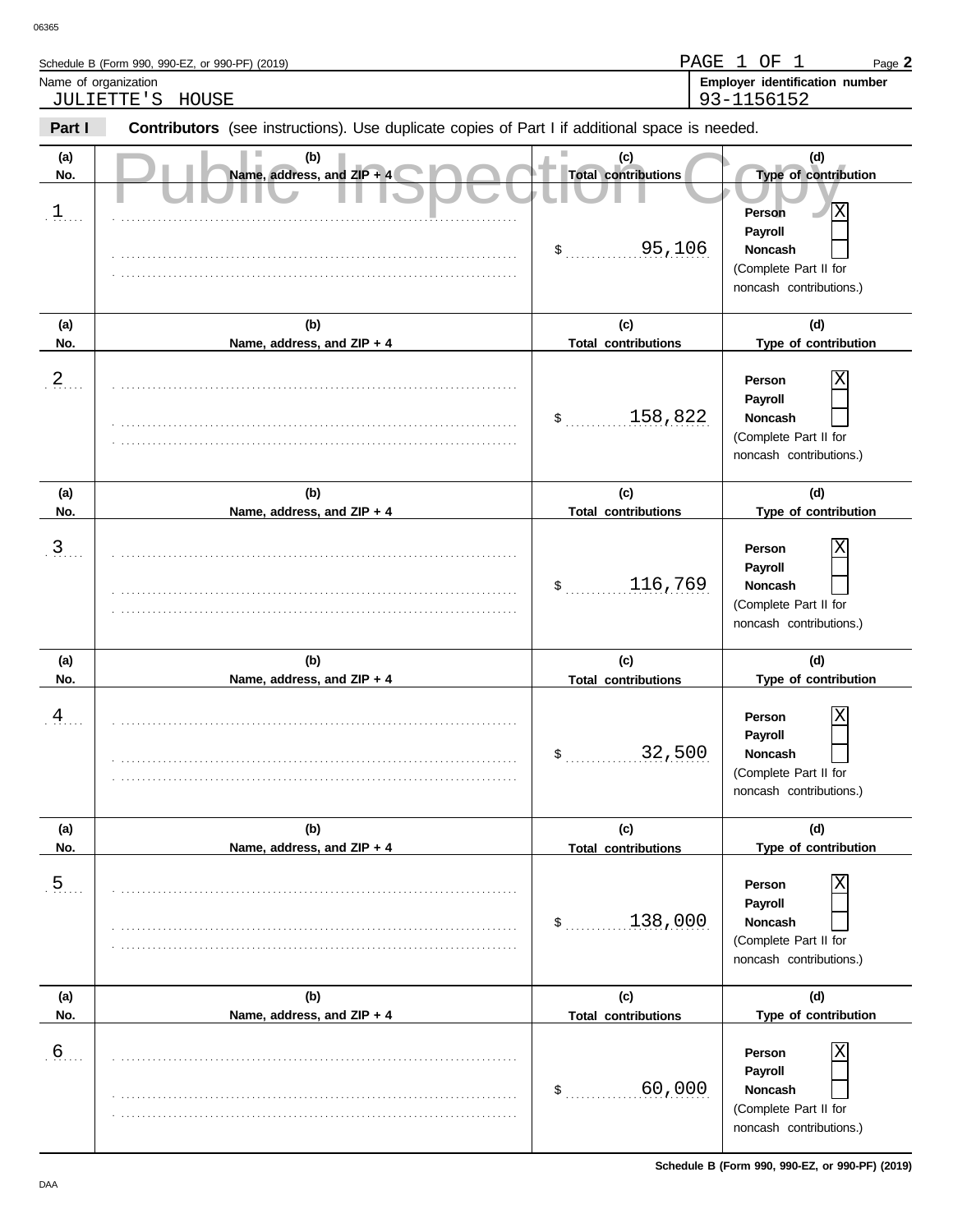Schedule B (Form 990, 990-EZ, or 990-PF) (2019)

| Name of organization    | JULIETTE'S<br>HOUSE                                                                            |                                                              | Employer identification number<br>93-1156152                                                                         |
|-------------------------|------------------------------------------------------------------------------------------------|--------------------------------------------------------------|----------------------------------------------------------------------------------------------------------------------|
| Part I                  | Contributors (see instructions). Use duplicate copies of Part I if additional space is needed. |                                                              |                                                                                                                      |
| (a)<br>No.<br>$1$       | (b)<br>Name, address, and ZIP + 4                                                              | (c)<br><b>Total contributions</b><br>95,106<br>$\frac{1}{2}$ | (d)<br>Type of contribution<br>X<br>Person<br>Payroll<br>Noncash<br>(Complete Part II for<br>noncash contributions.) |
| (a)<br>No.              | (b)<br>Name, address, and ZIP + 4                                                              | (c)<br><b>Total contributions</b>                            | (d)<br>Type of contribution                                                                                          |
| $2_{\ldots}$            |                                                                                                | 158,822<br>$\frac{1}{2}$                                     | Χ<br>Person<br>Payroll<br>Noncash<br>(Complete Part II for<br>noncash contributions.)                                |
| (a)<br>No.              | (b)<br>Name, address, and ZIP + 4                                                              | (c)<br><b>Total contributions</b>                            | (d)<br>Type of contribution                                                                                          |
| $\mathfrak{Z}_{\ldots}$ |                                                                                                | 116,769<br>$\frac{1}{2}$                                     | Χ<br>Person<br>Payroll<br>Noncash<br>(Complete Part II for<br>noncash contributions.)                                |
| (a)<br>No.              | (b)<br>Name, address, and ZIP + 4                                                              | (c)<br><b>Total contributions</b>                            | (d)<br>Type of contribution                                                                                          |
| $\frac{4}{1}$           |                                                                                                | 32,500<br>$\ddot{\text{S}}$                                  | Χ<br>Person<br>Payroll<br><b>Noncash</b><br>(Complete Part II for<br>noncash contributions.)                         |
| (a)<br>No.              | (b)<br>Name, address, and ZIP + 4                                                              | (c)<br><b>Total contributions</b>                            | (d)<br>Type of contribution                                                                                          |
| $\overline{5}$ .        |                                                                                                | 138,000<br>\$                                                | Χ<br>Person<br>Payroll<br>Noncash<br>(Complete Part II for<br>noncash contributions.)                                |
| (a)<br>No.              | (b)<br>Name, address, and ZIP + 4                                                              | (c)<br><b>Total contributions</b>                            | (d)<br>Type of contribution                                                                                          |
| 6                       |                                                                                                | 60,000<br>\$                                                 | Χ<br>Person<br>Payroll<br>Noncash                                                                                    |

. . . . . . . . . . . . . . . . . . . . . . . . . . . . . . . . . . . . . . . . . . . . . . . . . . . . . . . . . . . . . . . . . . . . . . . . . . . . .

(Complete Part II for noncash contributions.)

Page **2**

PAGE 1 OF 1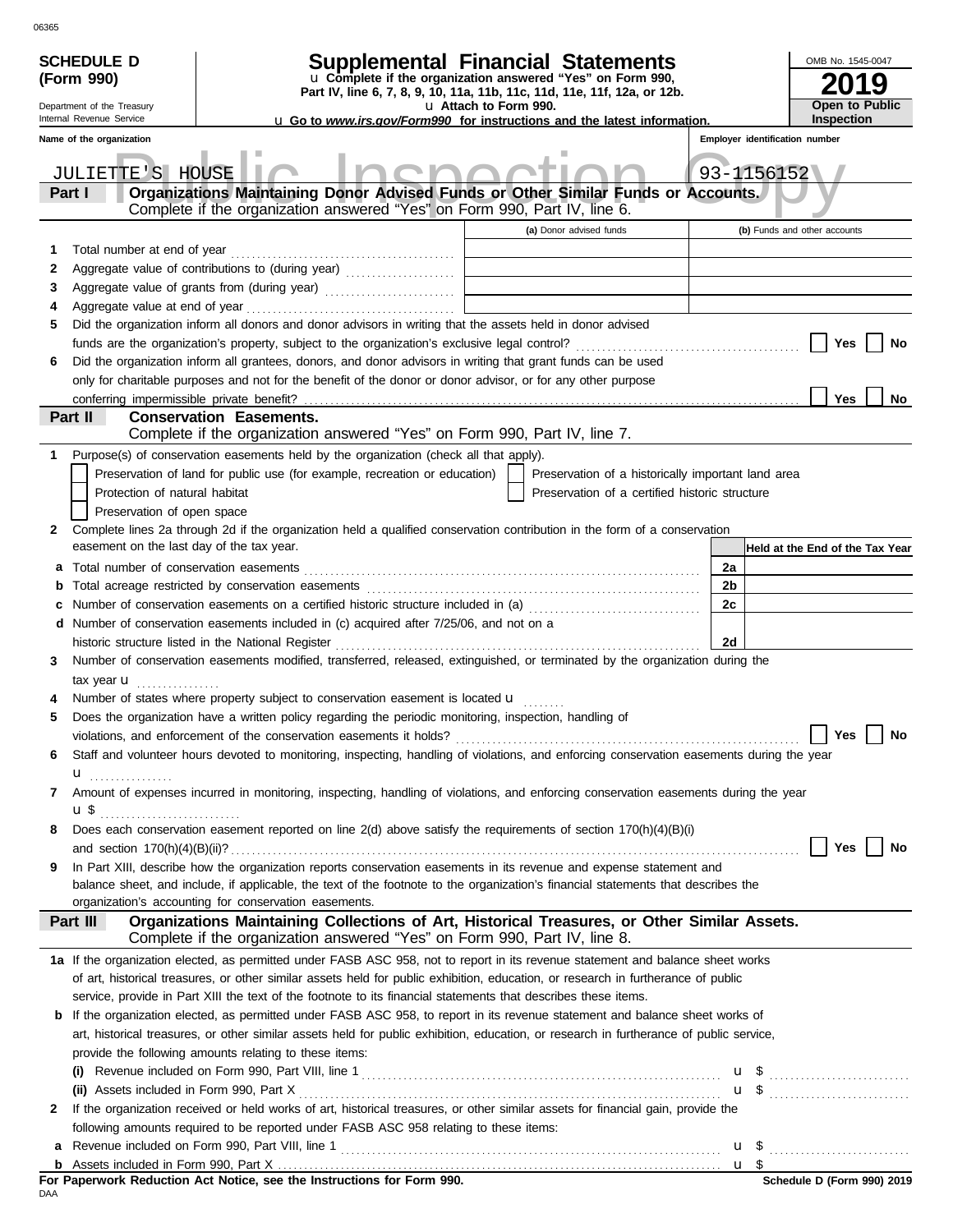| <b>SCHEDULE D</b><br>(Form 990)<br>Department of the Treasury<br>Internal Revenue Service | <b>Supplemental Financial Statements</b><br>u Complete if the organization answered "Yes" on Form 990,<br>Part IV, line 6, 7, 8, 9, 10, 11a, 11b, 11c, 11d, 11e, 11f, 12a, or 12b.                                                                                                                                | u Attach to Form 990.                                                      |                                                                                                      |    | OMB No. 1545-0047<br><b>Open to Public</b><br><b>Inspection</b> |
|-------------------------------------------------------------------------------------------|-------------------------------------------------------------------------------------------------------------------------------------------------------------------------------------------------------------------------------------------------------------------------------------------------------------------|----------------------------------------------------------------------------|------------------------------------------------------------------------------------------------------|----|-----------------------------------------------------------------|
| Name of the organization                                                                  | <b>u</b> Go to <i>www.irs.gov/Form990</i> for instructions and the latest information.                                                                                                                                                                                                                            |                                                                            |                                                                                                      |    | Employer identification number                                  |
|                                                                                           |                                                                                                                                                                                                                                                                                                                   |                                                                            |                                                                                                      |    |                                                                 |
| JULIETTE'S HOUSE<br>Part I                                                                | Organizations Maintaining Donor Advised Funds or Other Similar Funds or Accounts.<br>Complete if the organization answered "Yes" on Form 990, Part IV, line 6.                                                                                                                                                    |                                                                            |                                                                                                      |    | 93-1156152                                                      |
|                                                                                           |                                                                                                                                                                                                                                                                                                                   |                                                                            | (a) Donor advised funds                                                                              |    | (b) Funds and other accounts                                    |
| Total number at end of year<br>1                                                          |                                                                                                                                                                                                                                                                                                                   |                                                                            |                                                                                                      |    |                                                                 |
| 2                                                                                         |                                                                                                                                                                                                                                                                                                                   |                                                                            |                                                                                                      |    |                                                                 |
| 3                                                                                         |                                                                                                                                                                                                                                                                                                                   | the control of the control of the control of the control of the control of |                                                                                                      |    |                                                                 |
| 4                                                                                         |                                                                                                                                                                                                                                                                                                                   |                                                                            |                                                                                                      |    |                                                                 |
| 5                                                                                         | Did the organization inform all donors and donor advisors in writing that the assets held in donor advised                                                                                                                                                                                                        |                                                                            |                                                                                                      |    |                                                                 |
|                                                                                           |                                                                                                                                                                                                                                                                                                                   |                                                                            |                                                                                                      |    | Yes<br>No                                                       |
| 6                                                                                         | Did the organization inform all grantees, donors, and donor advisors in writing that grant funds can be used                                                                                                                                                                                                      |                                                                            |                                                                                                      |    |                                                                 |
|                                                                                           | only for charitable purposes and not for the benefit of the donor or donor advisor, or for any other purpose                                                                                                                                                                                                      |                                                                            |                                                                                                      |    |                                                                 |
| conferring impermissible private benefit?<br>Part II                                      | <b>Conservation Easements.</b>                                                                                                                                                                                                                                                                                    |                                                                            |                                                                                                      |    | Yes<br>No                                                       |
|                                                                                           | Complete if the organization answered "Yes" on Form 990, Part IV, line 7.                                                                                                                                                                                                                                         |                                                                            |                                                                                                      |    |                                                                 |
| 1.                                                                                        | Purpose(s) of conservation easements held by the organization (check all that apply).                                                                                                                                                                                                                             |                                                                            |                                                                                                      |    |                                                                 |
| Protection of natural habitat<br>Preservation of open space                               | Preservation of land for public use (for example, recreation or education)                                                                                                                                                                                                                                        |                                                                            | Preservation of a historically important land area<br>Preservation of a certified historic structure |    |                                                                 |
| 2                                                                                         | Complete lines 2a through 2d if the organization held a qualified conservation contribution in the form of a conservation                                                                                                                                                                                         |                                                                            |                                                                                                      |    |                                                                 |
| easement on the last day of the tax year.                                                 |                                                                                                                                                                                                                                                                                                                   |                                                                            |                                                                                                      |    | Held at the End of the Tax Year                                 |
| а                                                                                         |                                                                                                                                                                                                                                                                                                                   |                                                                            |                                                                                                      | 2a |                                                                 |
| b                                                                                         |                                                                                                                                                                                                                                                                                                                   |                                                                            |                                                                                                      | 2b |                                                                 |
| c                                                                                         | Number of conservation easements on a certified historic structure included in (a) [[[[[ [ [ a]]]                                                                                                                                                                                                                 |                                                                            |                                                                                                      | 2c |                                                                 |
| d                                                                                         | Number of conservation easements included in (c) acquired after 7/25/06, and not on a                                                                                                                                                                                                                             |                                                                            |                                                                                                      |    |                                                                 |
|                                                                                           | historic structure listed in the National Register                                                                                                                                                                                                                                                                |                                                                            |                                                                                                      | 2d |                                                                 |
| 3                                                                                         | Number of conservation easements modified, transferred, released, extinguished, or terminated by the organization during the                                                                                                                                                                                      |                                                                            |                                                                                                      |    |                                                                 |
| tax year $\mathbf{u}$                                                                     |                                                                                                                                                                                                                                                                                                                   |                                                                            |                                                                                                      |    |                                                                 |
| 4                                                                                         | Number of states where property subject to conservation easement is located u                                                                                                                                                                                                                                     |                                                                            |                                                                                                      |    |                                                                 |
| 5                                                                                         | Does the organization have a written policy regarding the periodic monitoring, inspection, handling of                                                                                                                                                                                                            |                                                                            |                                                                                                      |    | Yes $\boxed{\phantom{a}}$<br>No                                 |
| 6                                                                                         | Staff and volunteer hours devoted to monitoring, inspecting, handling of violations, and enforcing conservation easements during the year                                                                                                                                                                         |                                                                            |                                                                                                      |    |                                                                 |
|                                                                                           |                                                                                                                                                                                                                                                                                                                   |                                                                            |                                                                                                      |    |                                                                 |
| $\mathbf{u}$ <sub></sub><br>7                                                             | Amount of expenses incurred in monitoring, inspecting, handling of violations, and enforcing conservation easements during the year                                                                                                                                                                               |                                                                            |                                                                                                      |    |                                                                 |
|                                                                                           |                                                                                                                                                                                                                                                                                                                   |                                                                            |                                                                                                      |    |                                                                 |
| 8                                                                                         | Does each conservation easement reported on line 2(d) above satisfy the requirements of section 170(h)(4)(B)(i)                                                                                                                                                                                                   |                                                                            |                                                                                                      |    |                                                                 |
|                                                                                           |                                                                                                                                                                                                                                                                                                                   |                                                                            |                                                                                                      |    | Yes<br>No                                                       |
| 9                                                                                         | In Part XIII, describe how the organization reports conservation easements in its revenue and expense statement and<br>balance sheet, and include, if applicable, the text of the footnote to the organization's financial statements that describes the<br>organization's accounting for conservation easements. |                                                                            |                                                                                                      |    |                                                                 |
| Part III                                                                                  | Organizations Maintaining Collections of Art, Historical Treasures, or Other Similar Assets.<br>Complete if the organization answered "Yes" on Form 990, Part IV, line 8.                                                                                                                                         |                                                                            |                                                                                                      |    |                                                                 |
|                                                                                           | 1a If the organization elected, as permitted under FASB ASC 958, not to report in its revenue statement and balance sheet works                                                                                                                                                                                   |                                                                            |                                                                                                      |    |                                                                 |
|                                                                                           | of art, historical treasures, or other similar assets held for public exhibition, education, or research in furtherance of public                                                                                                                                                                                 |                                                                            |                                                                                                      |    |                                                                 |
|                                                                                           | service, provide in Part XIII the text of the footnote to its financial statements that describes these items.                                                                                                                                                                                                    |                                                                            |                                                                                                      |    |                                                                 |
| b                                                                                         | If the organization elected, as permitted under FASB ASC 958, to report in its revenue statement and balance sheet works of                                                                                                                                                                                       |                                                                            |                                                                                                      |    |                                                                 |
|                                                                                           | art, historical treasures, or other similar assets held for public exhibition, education, or research in furtherance of public service,                                                                                                                                                                           |                                                                            |                                                                                                      |    |                                                                 |
|                                                                                           | provide the following amounts relating to these items:                                                                                                                                                                                                                                                            |                                                                            |                                                                                                      |    |                                                                 |
| (i)                                                                                       |                                                                                                                                                                                                                                                                                                                   |                                                                            |                                                                                                      |    | $\mathbf{u}$ \$                                                 |
|                                                                                           |                                                                                                                                                                                                                                                                                                                   |                                                                            |                                                                                                      |    | <b>u</b> \$                                                     |
| 2                                                                                         | If the organization received or held works of art, historical treasures, or other similar assets for financial gain, provide the                                                                                                                                                                                  |                                                                            |                                                                                                      |    |                                                                 |
|                                                                                           | following amounts required to be reported under FASB ASC 958 relating to these items:                                                                                                                                                                                                                             |                                                                            |                                                                                                      |    |                                                                 |
| a                                                                                         |                                                                                                                                                                                                                                                                                                                   |                                                                            |                                                                                                      |    | $u \text{ }$                                                    |
|                                                                                           |                                                                                                                                                                                                                                                                                                                   |                                                                            |                                                                                                      |    |                                                                 |
|                                                                                           | For Paperwork Reduction Act Notice, see the Instructions for Form 990.                                                                                                                                                                                                                                            |                                                                            |                                                                                                      |    | Schedule D (Form 990) 2019                                      |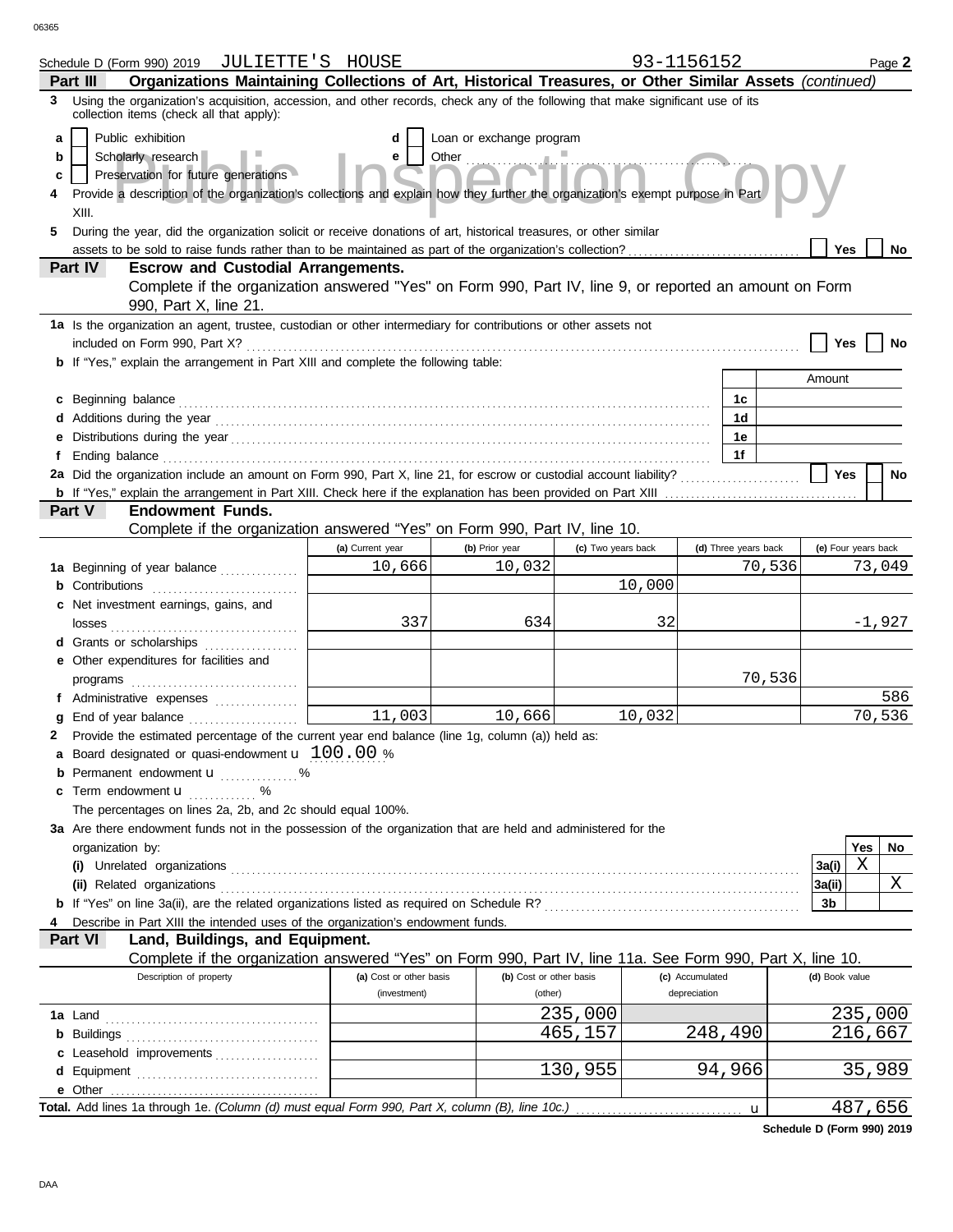|   | Schedule D (Form 990) 2019 JULIETTE'S HOUSE                                                                                                                                                                                                                                                              |                         |                          |                      | 93-1156152      |                      |                |                     | Page 2   |  |
|---|----------------------------------------------------------------------------------------------------------------------------------------------------------------------------------------------------------------------------------------------------------------------------------------------------------|-------------------------|--------------------------|----------------------|-----------------|----------------------|----------------|---------------------|----------|--|
|   | Organizations Maintaining Collections of Art, Historical Treasures, or Other Similar Assets (continued)<br>Part III                                                                                                                                                                                      |                         |                          |                      |                 |                      |                |                     |          |  |
| 3 | Using the organization's acquisition, accession, and other records, check any of the following that make significant use of its<br>collection items (check all that apply):                                                                                                                              |                         |                          |                      |                 |                      |                |                     |          |  |
| a | Public exhibition                                                                                                                                                                                                                                                                                        | d                       | Loan or exchange program |                      |                 |                      |                |                     |          |  |
| b | Scholarly research                                                                                                                                                                                                                                                                                       | е                       | Other $\frac{1}{2}$      | أنستستعيض والمتعارفة |                 |                      |                |                     |          |  |
| c | Preservation for future generations                                                                                                                                                                                                                                                                      |                         |                          |                      |                 |                      |                |                     |          |  |
| 4 | Provide a description of the organization's collections and explain how they further the organization's exempt purpose in Part                                                                                                                                                                           |                         |                          |                      |                 |                      |                |                     |          |  |
|   | XIII.                                                                                                                                                                                                                                                                                                    |                         |                          |                      |                 |                      |                |                     |          |  |
| 5 | During the year, did the organization solicit or receive donations of art, historical treasures, or other similar                                                                                                                                                                                        |                         |                          |                      |                 |                      |                |                     |          |  |
|   |                                                                                                                                                                                                                                                                                                          |                         |                          |                      |                 |                      |                | <b>Yes</b>          | No       |  |
|   | Part IV<br><b>Escrow and Custodial Arrangements.</b>                                                                                                                                                                                                                                                     |                         |                          |                      |                 |                      |                |                     |          |  |
|   | Complete if the organization answered "Yes" on Form 990, Part IV, line 9, or reported an amount on Form                                                                                                                                                                                                  |                         |                          |                      |                 |                      |                |                     |          |  |
|   | 990, Part X, line 21.                                                                                                                                                                                                                                                                                    |                         |                          |                      |                 |                      |                |                     |          |  |
|   | 1a Is the organization an agent, trustee, custodian or other intermediary for contributions or other assets not                                                                                                                                                                                          |                         |                          |                      |                 |                      |                |                     |          |  |
|   |                                                                                                                                                                                                                                                                                                          |                         |                          |                      |                 |                      |                | Yes                 | No       |  |
|   | <b>b</b> If "Yes," explain the arrangement in Part XIII and complete the following table:                                                                                                                                                                                                                |                         |                          |                      |                 |                      | Amount         |                     |          |  |
|   |                                                                                                                                                                                                                                                                                                          |                         |                          |                      |                 |                      |                |                     |          |  |
|   | c Beginning balance <b>contract to the contract of the contract of the contract of the contract of the contract of the contract of the contract of the contract of the contract of the contract of the contract of the contract </b>                                                                     |                         |                          |                      |                 | 1c<br>1d             |                |                     |          |  |
|   |                                                                                                                                                                                                                                                                                                          |                         |                          |                      |                 | 1е                   |                |                     |          |  |
|   |                                                                                                                                                                                                                                                                                                          |                         |                          |                      |                 | 1f                   |                |                     |          |  |
|   |                                                                                                                                                                                                                                                                                                          |                         |                          |                      |                 |                      |                | <b>Yes</b>          | No       |  |
|   |                                                                                                                                                                                                                                                                                                          |                         |                          |                      |                 |                      |                |                     |          |  |
|   | Part V<br><b>Endowment Funds.</b>                                                                                                                                                                                                                                                                        |                         |                          |                      |                 |                      |                |                     |          |  |
|   | Complete if the organization answered "Yes" on Form 990, Part IV, line 10.                                                                                                                                                                                                                               |                         |                          |                      |                 |                      |                |                     |          |  |
|   |                                                                                                                                                                                                                                                                                                          | (a) Current year        | (b) Prior year           | (c) Two years back   |                 | (d) Three years back |                | (e) Four years back |          |  |
|   | 1a Beginning of year balance                                                                                                                                                                                                                                                                             | 10,666                  | 10,032                   |                      |                 | 70,536               |                |                     | 73,049   |  |
|   | <b>b</b> Contributions <b>contributions</b>                                                                                                                                                                                                                                                              |                         |                          |                      | 10,000          |                      |                |                     |          |  |
|   | c Net investment earnings, gains, and                                                                                                                                                                                                                                                                    |                         |                          |                      |                 |                      |                |                     |          |  |
|   | losses                                                                                                                                                                                                                                                                                                   | 337                     | 634                      |                      | 32              |                      |                |                     | $-1,927$ |  |
|   | d Grants or scholarships                                                                                                                                                                                                                                                                                 |                         |                          |                      |                 |                      |                |                     |          |  |
|   | e Other expenditures for facilities and                                                                                                                                                                                                                                                                  |                         |                          |                      |                 |                      |                |                     |          |  |
|   | $\mathsf{programs}$ [[1] $\mathsf{m}$ [1] $\mathsf{m}$ [1] $\mathsf{m}$ [1] $\mathsf{m}$ [1] $\mathsf{m}$ [1] $\mathsf{m}$ [1] $\mathsf{m}$ [1] $\mathsf{m}$ [1] $\mathsf{m}$ [1] $\mathsf{m}$ [1] $\mathsf{m}$ [1] $\mathsf{m}$ [1] $\mathsf{m}$ [1] $\mathsf{m}$ [1] $\mathsf{m}$ [1] $\mathsf{m}$ [1] |                         |                          |                      |                 | 70,536               |                |                     |          |  |
|   | f Administrative expenses                                                                                                                                                                                                                                                                                |                         |                          |                      |                 |                      |                |                     | 586      |  |
|   |                                                                                                                                                                                                                                                                                                          | 11,003                  | 10,666                   |                      | 10,032          |                      |                |                     | 70,536   |  |
|   | 2 Provide the estimated percentage of the current year end balance (line 1g, column (a)) held as:                                                                                                                                                                                                        |                         |                          |                      |                 |                      |                |                     |          |  |
|   | <b>a</b> Board designated or quasi-endowment $\mathbf{u}$ 100.00 %                                                                                                                                                                                                                                       |                         |                          |                      |                 |                      |                |                     |          |  |
|   | Permanent endowment <b>u</b> %                                                                                                                                                                                                                                                                           |                         |                          |                      |                 |                      |                |                     |          |  |
|   | c Term endowment <b>u</b> %                                                                                                                                                                                                                                                                              |                         |                          |                      |                 |                      |                |                     |          |  |
|   | The percentages on lines 2a, 2b, and 2c should equal 100%.                                                                                                                                                                                                                                               |                         |                          |                      |                 |                      |                |                     |          |  |
|   | 3a Are there endowment funds not in the possession of the organization that are held and administered for the                                                                                                                                                                                            |                         |                          |                      |                 |                      |                |                     |          |  |
|   | organization by:                                                                                                                                                                                                                                                                                         |                         |                          |                      |                 |                      |                | Yes                 | No.      |  |
|   |                                                                                                                                                                                                                                                                                                          |                         |                          |                      |                 |                      | 3a(i)          | $\mathbf X$         |          |  |
|   | (ii) Related organizations <b>constants</b> and constant of the constant of the constant of the constant of the constant of the constant of the constant of the constant of the constant of the constant of the constant of the con                                                                      |                         |                          |                      |                 |                      | 3a(ii)         |                     | Χ        |  |
|   |                                                                                                                                                                                                                                                                                                          |                         |                          |                      |                 |                      | 3b             |                     |          |  |
|   | Describe in Part XIII the intended uses of the organization's endowment funds.                                                                                                                                                                                                                           |                         |                          |                      |                 |                      |                |                     |          |  |
|   | Part VI<br>Land, Buildings, and Equipment.                                                                                                                                                                                                                                                               |                         |                          |                      |                 |                      |                |                     |          |  |
|   | Complete if the organization answered "Yes" on Form 990, Part IV, line 11a. See Form 990, Part X, line 10.                                                                                                                                                                                               |                         |                          |                      |                 |                      |                |                     |          |  |
|   | Description of property                                                                                                                                                                                                                                                                                  | (a) Cost or other basis | (b) Cost or other basis  |                      | (c) Accumulated |                      | (d) Book value |                     |          |  |
|   |                                                                                                                                                                                                                                                                                                          | (investment)            | (other)                  |                      | depreciation    |                      |                |                     |          |  |
|   |                                                                                                                                                                                                                                                                                                          |                         |                          | 235,000              |                 |                      |                |                     | 235,000  |  |
|   |                                                                                                                                                                                                                                                                                                          |                         |                          | 465,157              |                 | 248,490              |                |                     | 216,667  |  |
|   | c Leasehold improvements                                                                                                                                                                                                                                                                                 |                         |                          |                      |                 |                      |                |                     |          |  |
|   |                                                                                                                                                                                                                                                                                                          |                         |                          | 130,955              |                 | 94,966               |                |                     | 35,989   |  |
|   | e Other                                                                                                                                                                                                                                                                                                  |                         |                          |                      |                 |                      |                |                     | 487,656  |  |
|   |                                                                                                                                                                                                                                                                                                          |                         |                          |                      |                 | $\mathbf u$          |                |                     |          |  |

**Schedule D (Form 990) 2019**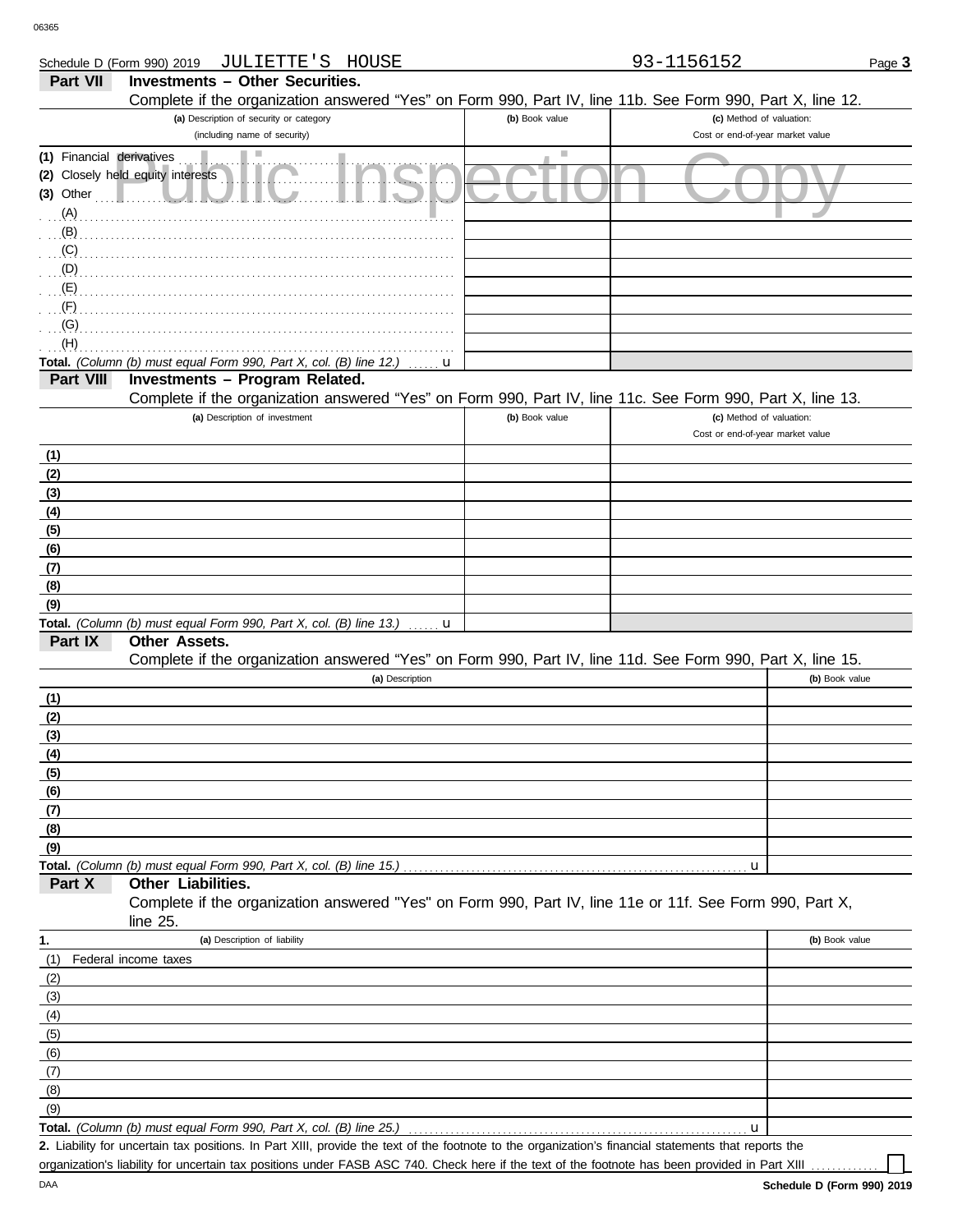| Schedule D (Form 990) 2019 | JULIETTE'S HOUSE                                                                                                               |                | 93-1156152                                                   | Page 3         |
|----------------------------|--------------------------------------------------------------------------------------------------------------------------------|----------------|--------------------------------------------------------------|----------------|
| Part VII                   | <b>Investments - Other Securities.</b>                                                                                         |                |                                                              |                |
|                            | Complete if the organization answered "Yes" on Form 990, Part IV, line 11b. See Form 990, Part X, line 12.                     |                |                                                              |                |
|                            | (a) Description of security or category                                                                                        | (b) Book value | (c) Method of valuation:                                     |                |
|                            | (including name of security)                                                                                                   |                | Cost or end-of-year market value                             |                |
| (1) Financial derivatives  |                                                                                                                                | Ш              |                                                              |                |
|                            | (2) Closely held equity interests                                                                                              |                |                                                              |                |
| $(3)$ Other                |                                                                                                                                |                |                                                              |                |
| (A)                        |                                                                                                                                |                |                                                              |                |
| (B)                        |                                                                                                                                |                |                                                              |                |
|                            | $\overline{c}$ (C)                                                                                                             |                |                                                              |                |
|                            |                                                                                                                                |                |                                                              |                |
|                            |                                                                                                                                |                |                                                              |                |
| $\langle F \rangle$        |                                                                                                                                |                |                                                              |                |
| (G)                        |                                                                                                                                |                |                                                              |                |
| (H)                        |                                                                                                                                |                |                                                              |                |
|                            | Total. (Column (b) must equal Form 990, Part X, col. (B) line 12.)<br>u                                                        |                |                                                              |                |
| Part VIII                  | Investments - Program Related.                                                                                                 |                |                                                              |                |
|                            | Complete if the organization answered "Yes" on Form 990, Part IV, line 11c. See Form 990, Part X, line 13.                     |                |                                                              |                |
|                            | (a) Description of investment                                                                                                  | (b) Book value | (c) Method of valuation:<br>Cost or end-of-year market value |                |
|                            |                                                                                                                                |                |                                                              |                |
| (1)                        |                                                                                                                                |                |                                                              |                |
| (2)                        |                                                                                                                                |                |                                                              |                |
| (3)<br>(4)                 |                                                                                                                                |                |                                                              |                |
| (5)                        |                                                                                                                                |                |                                                              |                |
| (6)                        |                                                                                                                                |                |                                                              |                |
| (7)                        |                                                                                                                                |                |                                                              |                |
| (8)                        |                                                                                                                                |                |                                                              |                |
| (9)                        |                                                                                                                                |                |                                                              |                |
|                            | Total. (Column (b) must equal Form 990, Part X, col. (B) line 13.)<br>u                                                        |                |                                                              |                |
| Part IX                    | Other Assets.                                                                                                                  |                |                                                              |                |
|                            | Complete if the organization answered "Yes" on Form 990, Part IV, line 11d. See Form 990, Part X, line 15.                     |                |                                                              |                |
|                            | (a) Description                                                                                                                |                |                                                              | (b) Book value |
| (1)                        |                                                                                                                                |                |                                                              |                |
| (2)                        |                                                                                                                                |                |                                                              |                |
| (3)                        |                                                                                                                                |                |                                                              |                |
| (4)                        |                                                                                                                                |                |                                                              |                |
| (5)                        |                                                                                                                                |                |                                                              |                |
| (6)                        |                                                                                                                                |                |                                                              |                |
| (7)                        |                                                                                                                                |                |                                                              |                |
| (8)                        |                                                                                                                                |                |                                                              |                |
| (9)                        |                                                                                                                                |                |                                                              |                |
|                            | Total. (Column (b) must equal Form 990, Part X, col. (B) line 15.)                                                             |                | u                                                            |                |
| Part X                     | Other Liabilities.<br>Complete if the organization answered "Yes" on Form 990, Part IV, line 11e or 11f. See Form 990, Part X, |                |                                                              |                |
|                            | line 25.                                                                                                                       |                |                                                              |                |
|                            | (a) Description of liability                                                                                                   |                |                                                              | (b) Book value |
| 1.<br>(1)                  | Federal income taxes                                                                                                           |                |                                                              |                |
|                            |                                                                                                                                |                |                                                              |                |
| (2)<br>(3)                 |                                                                                                                                |                |                                                              |                |
| (4)                        |                                                                                                                                |                |                                                              |                |
| (5)                        |                                                                                                                                |                |                                                              |                |
| (6)                        |                                                                                                                                |                |                                                              |                |
| (7)                        |                                                                                                                                |                |                                                              |                |
| (8)                        |                                                                                                                                |                |                                                              |                |
| (9)                        |                                                                                                                                |                |                                                              |                |
|                            | Total. (Column (b) must equal Form 990, Part X, col. (B) line 25.)                                                             |                | u                                                            |                |

DAA

Liability for uncertain tax positions. In Part XIII, provide the text of the footnote to the organization's financial statements that reports the **2.** organization's liability for uncertain tax positions under FASB ASC 740. Check here if the text of the footnote has been provided in Part XIII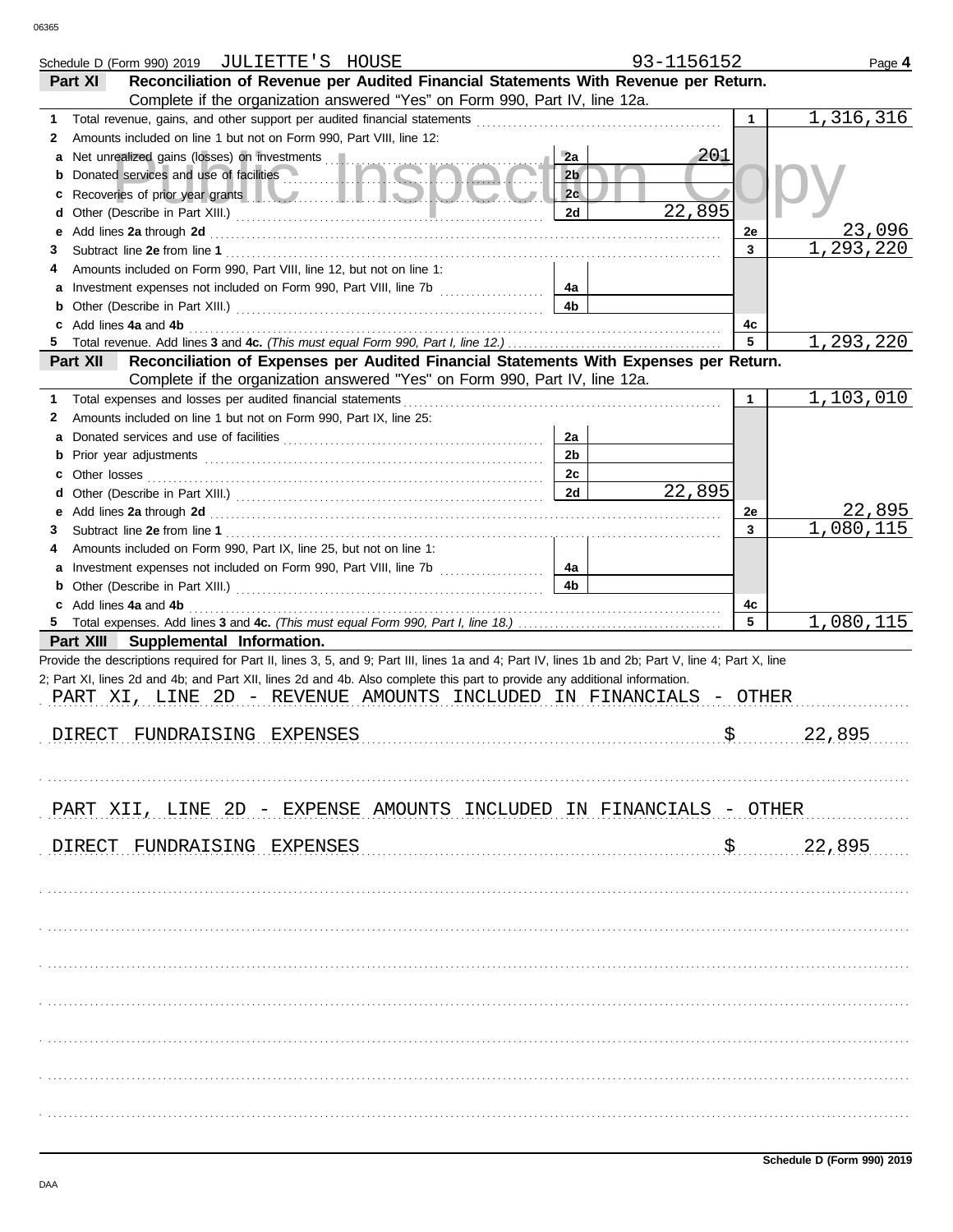|    | Schedule D (Form 990) 2019 JULIETTE'S HOUSE                                                                                                                                                                                   |                | 93-1156152 |             | Page 4                    |
|----|-------------------------------------------------------------------------------------------------------------------------------------------------------------------------------------------------------------------------------|----------------|------------|-------------|---------------------------|
|    | Reconciliation of Revenue per Audited Financial Statements With Revenue per Return.<br>Part XI                                                                                                                                |                |            |             |                           |
|    | Complete if the organization answered "Yes" on Form 990, Part IV, line 12a.                                                                                                                                                   |                |            |             |                           |
| 1  |                                                                                                                                                                                                                               |                |            | 1           | 1,316,316                 |
| 2  | Amounts included on line 1 but not on Form 990, Part VIII, line 12:                                                                                                                                                           |                |            |             |                           |
| а  | Net unrealized gains (losses) on investments                                                                                                                                                                                  | 2a             | 201        |             |                           |
|    | Donated services and use of facilities                                                                                                                                                                                        | 2 <sub>b</sub> |            |             |                           |
| c  | Recoveries of prior year grants <b>All Manual Prior Contract Contract Prior</b>                                                                                                                                               | 2 <sub>c</sub> |            |             |                           |
| d  |                                                                                                                                                                                                                               | 2d             | 22,895     |             |                           |
| е  |                                                                                                                                                                                                                               |                |            | 2e          | 23,096                    |
|    | Add lines 2a through 2d [11] Add [12] Add [16] Add lines 2a through 2d [12] Add lines 2a through 2d [12] Add [12] Add [12] Add [12] Add [12] Add [12] Add [12] Add [12] Add [12] Add [12] Add [12] Add [12] Add [12] Add [12] |                |            | 3           | $\overline{1,293,220}$    |
| 3  |                                                                                                                                                                                                                               |                |            |             |                           |
|    | Amounts included on Form 990, Part VIII, line 12, but not on line 1:                                                                                                                                                          |                |            |             |                           |
| а  |                                                                                                                                                                                                                               | 4a             |            |             |                           |
| b  |                                                                                                                                                                                                                               | 4b             |            |             |                           |
|    | Add lines 4a and 4b                                                                                                                                                                                                           |                |            | 4c          |                           |
|    |                                                                                                                                                                                                                               |                |            | 5           | 1,293,220                 |
|    | Part XII<br>Reconciliation of Expenses per Audited Financial Statements With Expenses per Return.                                                                                                                             |                |            |             |                           |
|    | Complete if the organization answered "Yes" on Form 990, Part IV, line 12a.                                                                                                                                                   |                |            |             |                           |
| 1  | Total expenses and losses per audited financial statements                                                                                                                                                                    |                |            | $\mathbf 1$ | 1,103,010                 |
| 2  | Amounts included on line 1 but not on Form 990, Part IX, line 25:                                                                                                                                                             |                |            |             |                           |
| а  |                                                                                                                                                                                                                               | 2a             |            |             |                           |
| b  |                                                                                                                                                                                                                               | 2 <sub>b</sub> |            |             |                           |
|    | Other losses                                                                                                                                                                                                                  | 2c             |            |             |                           |
| d  |                                                                                                                                                                                                                               | 2d             | 22,895     |             |                           |
| е  |                                                                                                                                                                                                                               |                |            | 2e          | 22,895                    |
| 3  |                                                                                                                                                                                                                               |                |            | 3           | $\overline{1}$ , 080, 115 |
|    | Amounts included on Form 990, Part IX, line 25, but not on line 1:                                                                                                                                                            |                |            |             |                           |
|    |                                                                                                                                                                                                                               |                |            |             |                           |
| а  | Investment expenses not included on Form 990, Part VIII, line 7b [                                                                                                                                                            | 4a             |            |             |                           |
| b  |                                                                                                                                                                                                                               | 4b             |            |             |                           |
|    |                                                                                                                                                                                                                               |                |            |             |                           |
|    | Add lines 4a and 4b                                                                                                                                                                                                           |                |            | 4c          |                           |
| 5. |                                                                                                                                                                                                                               |                |            | 5           | 1,080,115                 |
|    | Part XIII Supplemental Information.                                                                                                                                                                                           |                |            |             |                           |
|    | Provide the descriptions required for Part II, lines 3, 5, and 9; Part III, lines 1a and 4; Part IV, lines 1b and 2b; Part V, line 4; Part X, line                                                                            |                |            |             |                           |
|    | 2; Part XI, lines 2d and 4b; and Part XII, lines 2d and 4b. Also complete this part to provide any additional information.                                                                                                    |                |            |             |                           |
|    | PART XI, LINE 2D - REVENUE AMOUNTS INCLUDED IN FINANCIALS - OTHER                                                                                                                                                             |                |            |             |                           |
|    |                                                                                                                                                                                                                               |                |            |             |                           |
|    | FUNDRAISING EXPENSES<br>DIRECT                                                                                                                                                                                                |                |            |             | 22,895                    |
|    |                                                                                                                                                                                                                               |                |            |             |                           |
|    |                                                                                                                                                                                                                               |                |            |             |                           |
|    |                                                                                                                                                                                                                               |                |            |             |                           |
|    |                                                                                                                                                                                                                               |                |            |             |                           |
|    | PART XII, LINE 2D - EXPENSE AMOUNTS INCLUDED IN FINANCIALS - OTHER                                                                                                                                                            |                |            |             |                           |
|    |                                                                                                                                                                                                                               |                |            |             |                           |
|    | DIRECT FUNDRAISING EXPENSES                                                                                                                                                                                                   |                |            |             | 22,895                    |
|    |                                                                                                                                                                                                                               |                |            |             |                           |
|    |                                                                                                                                                                                                                               |                |            |             |                           |
|    |                                                                                                                                                                                                                               |                |            |             |                           |
|    |                                                                                                                                                                                                                               |                |            |             |                           |
|    |                                                                                                                                                                                                                               |                |            |             |                           |
|    |                                                                                                                                                                                                                               |                |            |             |                           |
|    |                                                                                                                                                                                                                               |                |            |             |                           |
|    |                                                                                                                                                                                                                               |                |            |             |                           |
|    |                                                                                                                                                                                                                               |                |            |             |                           |
|    |                                                                                                                                                                                                                               |                |            |             |                           |
|    |                                                                                                                                                                                                                               |                |            |             |                           |
|    |                                                                                                                                                                                                                               |                |            |             |                           |
|    |                                                                                                                                                                                                                               |                |            |             |                           |
|    |                                                                                                                                                                                                                               |                |            |             |                           |
|    |                                                                                                                                                                                                                               |                |            |             |                           |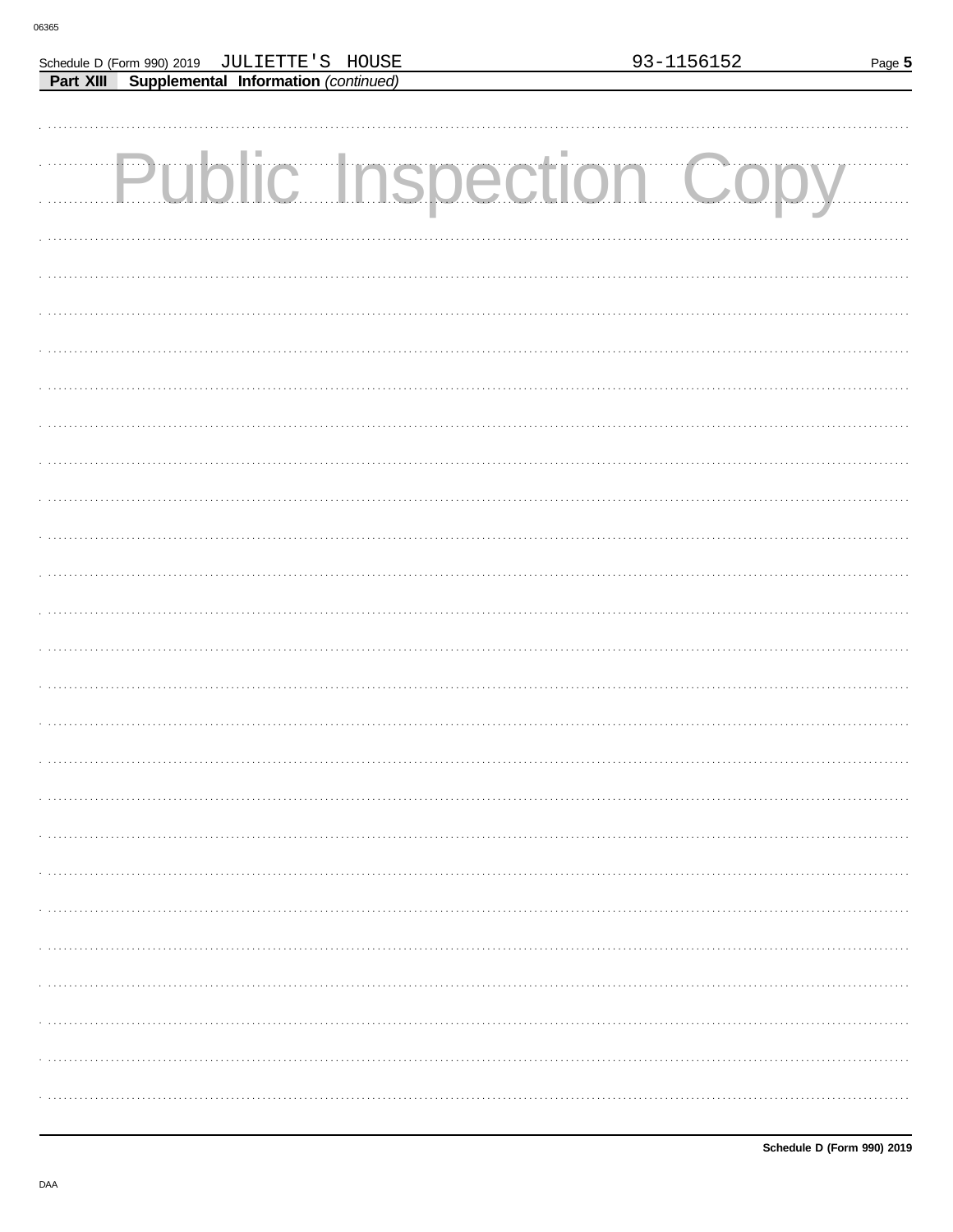Schedule D (Form 990) 2019 JULIETTE'S HOUSE

Part XIII Supplemental Information (continued)

| <b>Public Inspection Copy</b> |
|-------------------------------|
|                               |
|                               |
|                               |
|                               |
|                               |
|                               |
|                               |
|                               |
|                               |
|                               |
|                               |
|                               |
|                               |
|                               |
|                               |
|                               |
|                               |
|                               |
|                               |
|                               |
|                               |
|                               |
|                               |
|                               |
|                               |
|                               |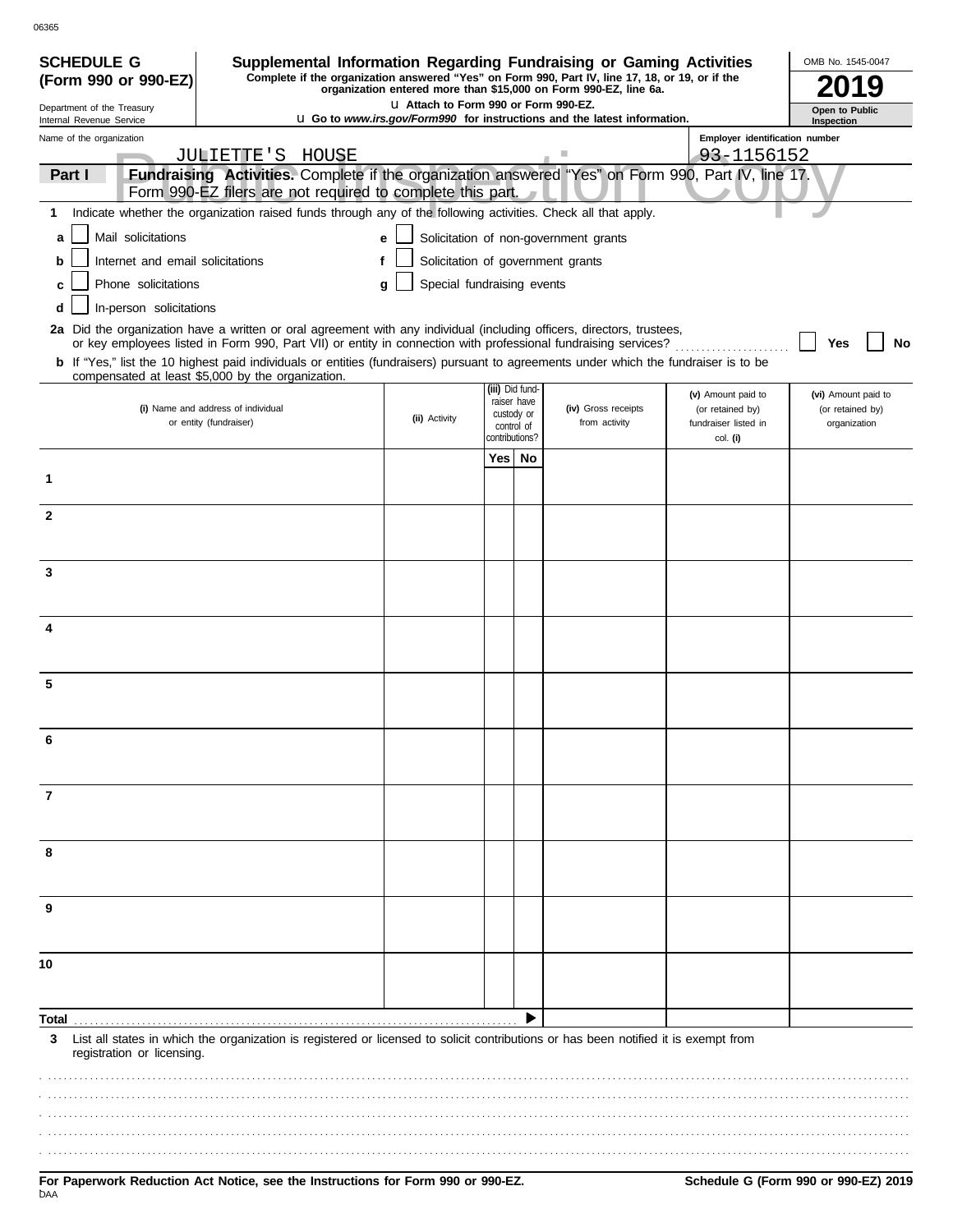| <b>SCHEDULE G</b>                                      | Supplemental Information Regarding Fundraising or Gaming Activities<br>Complete if the organization answered "Yes" on Form 990, Part IV, line 17, 18, or 19, or if the                     |                                       |     |                                |                                                                                 |                                          | OMB No. 1545-0047                |
|--------------------------------------------------------|--------------------------------------------------------------------------------------------------------------------------------------------------------------------------------------------|---------------------------------------|-----|--------------------------------|---------------------------------------------------------------------------------|------------------------------------------|----------------------------------|
| (Form 990 or 990-EZ)                                   |                                                                                                                                                                                            |                                       |     |                                | organization entered more than \$15,000 on Form 990-EZ, line 6a.                |                                          |                                  |
| Department of the Treasury<br>Internal Revenue Service |                                                                                                                                                                                            | LI Attach to Form 990 or Form 990-EZ. |     |                                | <b>u</b> Go to www.irs.gov/Form990 for instructions and the latest information. |                                          | Open to Public<br>Inspection     |
| Name of the organization                               |                                                                                                                                                                                            |                                       |     |                                |                                                                                 | Employer identification number           |                                  |
|                                                        | JULIETTE'S HOUSE                                                                                                                                                                           |                                       |     |                                |                                                                                 | 93-1156152                               |                                  |
| Part I                                                 | Fundraising Activities. Complete if the organization answered "Yes" on Form 990, Part IV, line 17.<br>Form 990-EZ filers are not required to complete this part.                           |                                       |     |                                |                                                                                 |                                          |                                  |
| 1                                                      | Indicate whether the organization raised funds through any of the following activities. Check all that apply.                                                                              |                                       |     |                                |                                                                                 |                                          |                                  |
| Mail solicitations<br>a                                |                                                                                                                                                                                            | e                                     |     |                                | Solicitation of non-government grants                                           |                                          |                                  |
| Internet and email solicitations<br>b                  |                                                                                                                                                                                            | f                                     |     |                                | Solicitation of government grants                                               |                                          |                                  |
| Phone solicitations<br>c                               |                                                                                                                                                                                            | Special fundraising events<br>g       |     |                                |                                                                                 |                                          |                                  |
| In-person solicitations<br>d                           |                                                                                                                                                                                            |                                       |     |                                |                                                                                 |                                          |                                  |
|                                                        | 2a Did the organization have a written or oral agreement with any individual (including officers, directors, trustees,                                                                     |                                       |     |                                |                                                                                 |                                          |                                  |
|                                                        | or key employees listed in Form 990, Part VII) or entity in connection with professional fundraising services?                                                                             |                                       |     |                                |                                                                                 |                                          | Yes<br>No                        |
|                                                        | b If "Yes," list the 10 highest paid individuals or entities (fundraisers) pursuant to agreements under which the fundraiser is to be<br>compensated at least \$5,000 by the organization. |                                       |     |                                |                                                                                 |                                          |                                  |
|                                                        |                                                                                                                                                                                            |                                       |     | (iii) Did fund-<br>raiser have |                                                                                 | (v) Amount paid to                       | (vi) Amount paid to              |
|                                                        | (i) Name and address of individual<br>or entity (fundraiser)                                                                                                                               | (ii) Activity                         |     | custody or<br>control of       | (iv) Gross receipts<br>from activity                                            | (or retained by)<br>fundraiser listed in | (or retained by)<br>organization |
|                                                        |                                                                                                                                                                                            |                                       |     | contributions?                 |                                                                                 | col. (i)                                 |                                  |
|                                                        |                                                                                                                                                                                            |                                       | Yes | No                             |                                                                                 |                                          |                                  |
| 1                                                      |                                                                                                                                                                                            |                                       |     |                                |                                                                                 |                                          |                                  |
| $\mathbf{2}$                                           |                                                                                                                                                                                            |                                       |     |                                |                                                                                 |                                          |                                  |
|                                                        |                                                                                                                                                                                            |                                       |     |                                |                                                                                 |                                          |                                  |
|                                                        |                                                                                                                                                                                            |                                       |     |                                |                                                                                 |                                          |                                  |
| 3                                                      |                                                                                                                                                                                            |                                       |     |                                |                                                                                 |                                          |                                  |
|                                                        |                                                                                                                                                                                            |                                       |     |                                |                                                                                 |                                          |                                  |
| 4                                                      |                                                                                                                                                                                            |                                       |     |                                |                                                                                 |                                          |                                  |
|                                                        |                                                                                                                                                                                            |                                       |     |                                |                                                                                 |                                          |                                  |
| 5                                                      |                                                                                                                                                                                            |                                       |     |                                |                                                                                 |                                          |                                  |
|                                                        |                                                                                                                                                                                            |                                       |     |                                |                                                                                 |                                          |                                  |
|                                                        |                                                                                                                                                                                            |                                       |     |                                |                                                                                 |                                          |                                  |
|                                                        |                                                                                                                                                                                            |                                       |     |                                |                                                                                 |                                          |                                  |
|                                                        |                                                                                                                                                                                            |                                       |     |                                |                                                                                 |                                          |                                  |
| 7                                                      |                                                                                                                                                                                            |                                       |     |                                |                                                                                 |                                          |                                  |
|                                                        |                                                                                                                                                                                            |                                       |     |                                |                                                                                 |                                          |                                  |
| 8                                                      |                                                                                                                                                                                            |                                       |     |                                |                                                                                 |                                          |                                  |
|                                                        |                                                                                                                                                                                            |                                       |     |                                |                                                                                 |                                          |                                  |
|                                                        |                                                                                                                                                                                            |                                       |     |                                |                                                                                 |                                          |                                  |
| 9                                                      |                                                                                                                                                                                            |                                       |     |                                |                                                                                 |                                          |                                  |
|                                                        |                                                                                                                                                                                            |                                       |     |                                |                                                                                 |                                          |                                  |
| 10                                                     |                                                                                                                                                                                            |                                       |     |                                |                                                                                 |                                          |                                  |
|                                                        |                                                                                                                                                                                            |                                       |     |                                |                                                                                 |                                          |                                  |
|                                                        |                                                                                                                                                                                            |                                       |     |                                |                                                                                 |                                          |                                  |
| Total<br>3                                             | List all states in which the organization is registered or licensed to solicit contributions or has been notified it is exempt from                                                        |                                       |     |                                |                                                                                 |                                          |                                  |
| registration or licensing.                             |                                                                                                                                                                                            |                                       |     |                                |                                                                                 |                                          |                                  |
|                                                        |                                                                                                                                                                                            |                                       |     |                                |                                                                                 |                                          |                                  |
|                                                        |                                                                                                                                                                                            |                                       |     |                                |                                                                                 |                                          |                                  |
|                                                        |                                                                                                                                                                                            |                                       |     |                                |                                                                                 |                                          |                                  |
|                                                        |                                                                                                                                                                                            |                                       |     |                                |                                                                                 |                                          |                                  |
|                                                        |                                                                                                                                                                                            |                                       |     |                                |                                                                                 |                                          |                                  |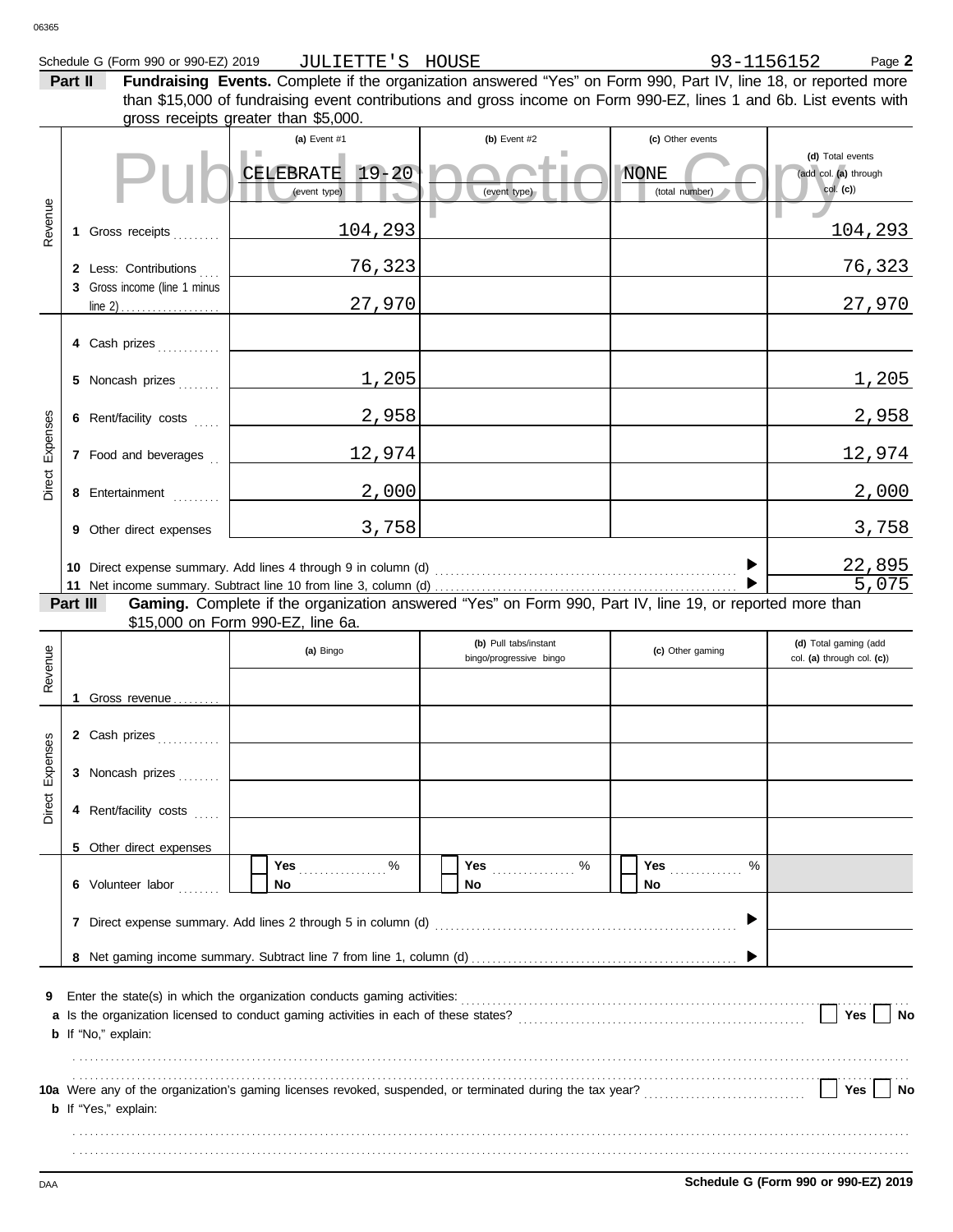#### Schedule G (Form 990 or 990-EZ) 2019 Page **2** JULIETTE'S HOUSE

**Part II Fundraising Events.** Complete if the organization answered "Yes" on Form 990, Part IV, line 18, or reported more gross receipts greater than \$5,000. than \$15,000 of fundraising event contributions and gross income on Form 990-EZ, lines 1 and 6b. List events with

|          |                                  | (a) Event $#1$<br>CELEBRATE 19-20<br>(event type)                                                                                                                                                                              | (b) Event $#2$<br>(event type)                   | (c) Other events<br><b>NONE</b><br>(total number) | (d) Total events<br>(add col. (a) through<br>$col.$ (c)) |
|----------|----------------------------------|--------------------------------------------------------------------------------------------------------------------------------------------------------------------------------------------------------------------------------|--------------------------------------------------|---------------------------------------------------|----------------------------------------------------------|
| Revenue  | 1 Gross receipts                 | 104,293                                                                                                                                                                                                                        |                                                  |                                                   | <u> 104,293</u>                                          |
|          | 2 Less: Contributions            | 76,323                                                                                                                                                                                                                         |                                                  |                                                   | 76,323                                                   |
|          | 3 Gross income (line 1 minus     | 27,970                                                                                                                                                                                                                         |                                                  |                                                   | 27,970                                                   |
|          | 4 Cash prizes                    |                                                                                                                                                                                                                                |                                                  |                                                   |                                                          |
|          | 5 Noncash prizes                 | 1,205                                                                                                                                                                                                                          |                                                  |                                                   | 1,205                                                    |
|          | 6 Rent/facility costs            | 2,958                                                                                                                                                                                                                          |                                                  |                                                   | 2,958                                                    |
| Expenses | 7 Food and beverages             | <u>12,974</u>                                                                                                                                                                                                                  |                                                  |                                                   | <u> 12,974</u>                                           |
| Direct   | 8 Entertainment                  | 2,000                                                                                                                                                                                                                          |                                                  |                                                   | 2,000                                                    |
|          | 9 Other direct expenses          | 3,758                                                                                                                                                                                                                          |                                                  |                                                   | 3,758                                                    |
|          |                                  |                                                                                                                                                                                                                                |                                                  |                                                   | $\frac{22,895}{5,075}$                                   |
|          | Part III                         | Gaming. Complete if the organization answered "Yes" on Form 990, Part IV, line 19, or reported more than                                                                                                                       |                                                  |                                                   |                                                          |
|          |                                  | \$15,000 on Form 990-EZ, line 6a.<br>(a) Bingo                                                                                                                                                                                 | (b) Pull tabs/instant<br>bingo/progressive bingo | (c) Other gaming                                  | (d) Total gaming (add<br>col. (a) through col. (c))      |
| Revenue  |                                  |                                                                                                                                                                                                                                |                                                  |                                                   |                                                          |
|          | 1 Gross revenue<br>2 Cash prizes |                                                                                                                                                                                                                                |                                                  |                                                   |                                                          |
| Expenses | 3 Noncash prizes                 |                                                                                                                                                                                                                                |                                                  |                                                   |                                                          |
| Direct   | 4 Rent/facility costs            |                                                                                                                                                                                                                                |                                                  |                                                   |                                                          |
|          | 5 Other direct expenses          |                                                                                                                                                                                                                                |                                                  |                                                   |                                                          |
|          |                                  | Yes 9%                                                                                                                                                                                                                         | %<br><b>Yes</b>                                  | %<br><b>Yes</b>                                   |                                                          |
|          | 6 Volunteer labor                | No                                                                                                                                                                                                                             | No                                               | No                                                |                                                          |
|          |                                  |                                                                                                                                                                                                                                |                                                  |                                                   |                                                          |
| 9        | b If "No," explain:              | Enter the state(s) in which the organization conducts gaming activities: [11] content to conduct the state(s) in which the organization conducts gaming activities: [11] content to conduct the state (s) in the state (s) and |                                                  |                                                   | Yes<br>No                                                |
|          | b If "Yes," explain:             |                                                                                                                                                                                                                                |                                                  |                                                   | Yes<br>No                                                |
|          |                                  |                                                                                                                                                                                                                                |                                                  |                                                   |                                                          |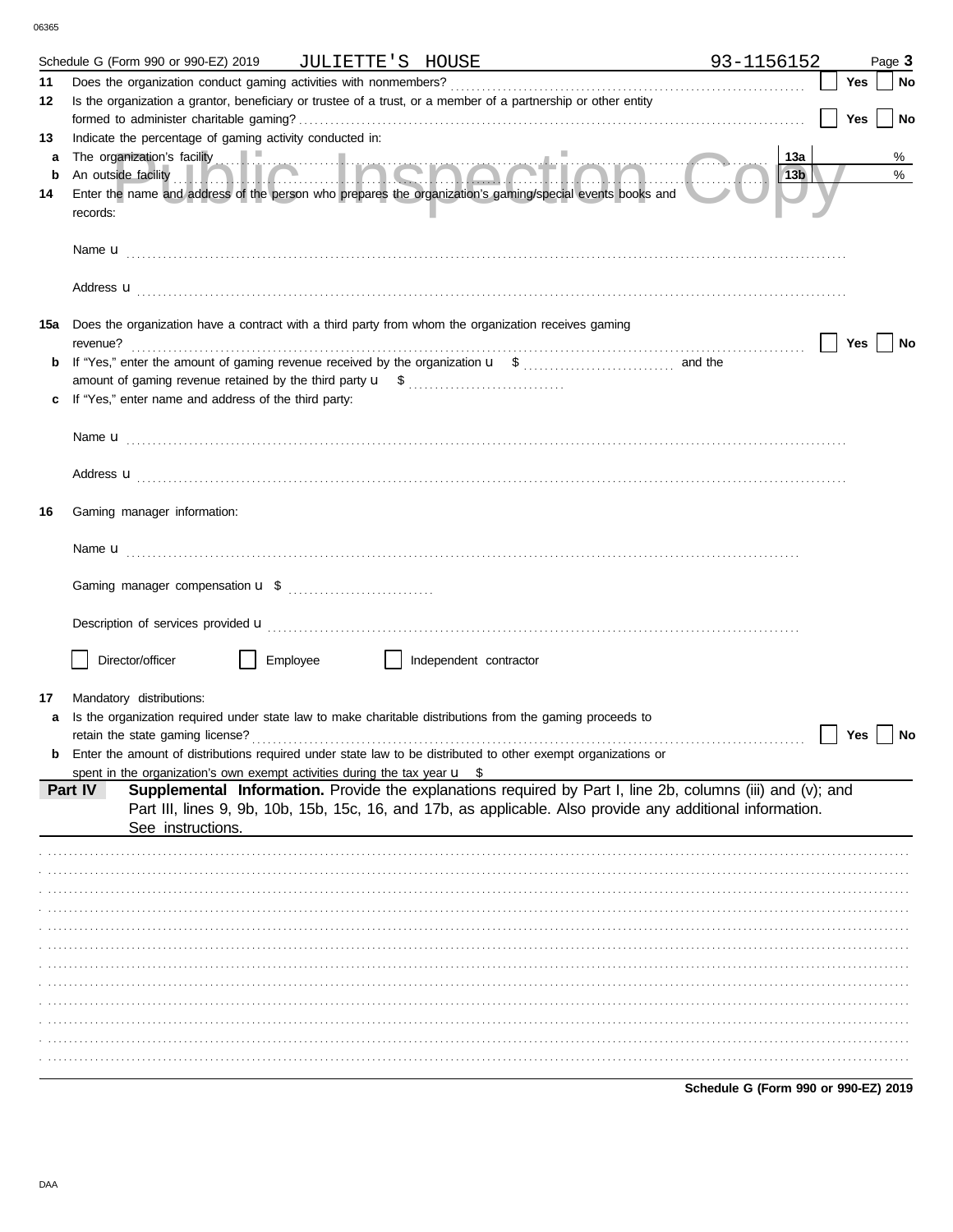|         | Schedule G (Form 990 or 990-EZ) 2019 JULIETTE'S HOUSE                                                                           | 93-1156152             |            | Page 3 |
|---------|---------------------------------------------------------------------------------------------------------------------------------|------------------------|------------|--------|
| 11      |                                                                                                                                 |                        | Yes        | No     |
| 12      | Is the organization a grantor, beneficiary or trustee of a trust, or a member of a partnership or other entity                  |                        |            |        |
|         |                                                                                                                                 |                        | <b>Yes</b> | No     |
| 13      | Indicate the percentage of gaming activity conducted in:                                                                        |                        |            |        |
| a       |                                                                                                                                 | 13a<br>13 <sub>b</sub> |            | %<br>% |
| b<br>14 | Enter the name and address of the person who prepares the organization's gaming/special events books and                        |                        |            |        |
|         | records:                                                                                                                        |                        |            |        |
|         |                                                                                                                                 |                        |            |        |
|         | Address <b>u</b>                                                                                                                |                        |            |        |
| 15a     | Does the organization have a contract with a third party from whom the organization receives gaming<br>revenue?                 |                        | Yes        | No     |
| b       |                                                                                                                                 |                        |            |        |
|         |                                                                                                                                 |                        |            |        |
|         | If "Yes," enter name and address of the third party:                                                                            |                        |            |        |
|         |                                                                                                                                 |                        |            |        |
|         |                                                                                                                                 |                        |            |        |
|         |                                                                                                                                 |                        |            |        |
|         | Address <b>u</b>                                                                                                                |                        |            |        |
| 16      | Gaming manager information:                                                                                                     |                        |            |        |
|         |                                                                                                                                 |                        |            |        |
|         |                                                                                                                                 |                        |            |        |
|         |                                                                                                                                 |                        |            |        |
|         |                                                                                                                                 |                        |            |        |
|         | Description of services provided <b>u</b> electron control and the control of services provided <b>u</b>                        |                        |            |        |
|         | Director/officer<br>Employee<br>Independent contractor                                                                          |                        |            |        |
| 17      | Mandatory distributions:                                                                                                        |                        |            |        |
|         | Is the organization required under state law to make charitable distributions from the gaming proceeds to                       |                        |            |        |
|         | retain the state gaming license?                                                                                                |                        | Yes        | No     |
|         | Enter the amount of distributions required under state law to be distributed to other exempt organizations or                   |                        |            |        |
|         | spent in the organization's own exempt activities during the tax year $\mathbf{u}$ \$                                           |                        |            |        |
|         | Supplemental Information. Provide the explanations required by Part I, line 2b, columns (iii) and (v); and<br>Part IV           |                        |            |        |
|         | Part III, lines 9, 9b, 10b, 15b, 15c, 16, and 17b, as applicable. Also provide any additional information.<br>See instructions. |                        |            |        |
|         |                                                                                                                                 |                        |            |        |
|         |                                                                                                                                 |                        |            |        |
|         |                                                                                                                                 |                        |            |        |
|         |                                                                                                                                 |                        |            |        |
|         |                                                                                                                                 |                        |            |        |
|         |                                                                                                                                 |                        |            |        |
|         |                                                                                                                                 |                        |            |        |
|         |                                                                                                                                 |                        |            |        |
|         |                                                                                                                                 |                        |            |        |
|         |                                                                                                                                 |                        |            |        |
|         |                                                                                                                                 |                        |            |        |
|         |                                                                                                                                 |                        |            |        |

Schedule G (Form 990 or 990-EZ) 2019